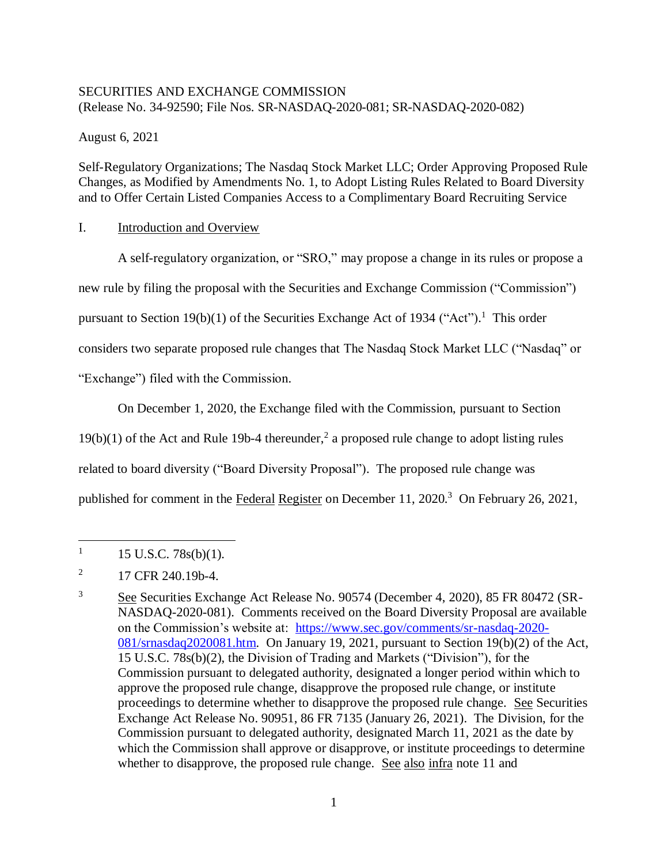## SECURITIES AND EXCHANGE COMMISSION (Release No. 34-92590; File Nos. SR-NASDAQ-2020-081; SR-NASDAQ-2020-082)

August 6, 2021

Self-Regulatory Organizations; The Nasdaq Stock Market LLC; Order Approving Proposed Rule Changes, as Modified by Amendments No. 1, to Adopt Listing Rules Related to Board Diversity and to Offer Certain Listed Companies Access to a Complimentary Board Recruiting Service

# I. Introduction and Overview

A self-regulatory organization, or "SRO," may propose a change in its rules or propose a new rule by filing the proposal with the Securities and Exchange Commission ("Commission") pursuant to Section 19(b)(1) of the Securities Exchange Act of 1934 ("Act").<sup>1</sup> This order considers two separate proposed rule changes that The Nasdaq Stock Market LLC ("Nasdaq" or "Exchange") filed with the Commission.

On December 1, 2020, the Exchange filed with the Commission, pursuant to Section

 $19(b)(1)$  of the Act and Rule 19b-4 thereunder,<sup>2</sup> a proposed rule change to adopt listing rules

related to board diversity ("Board Diversity Proposal"). The proposed rule change was

published for comment in the Federal Register on December 11, 2020.<sup>3</sup> On February 26, 2021,

<sup>1</sup> 15 U.S.C. 78s(b)(1).

<sup>2</sup> 17 CFR 240.19b-4.

<sup>3</sup> See Securities Exchange Act Release No. 90574 (December 4, 2020), 85 FR 80472 (SR-NASDAQ-2020-081). Comments received on the Board Diversity Proposal are available on the Commission's website at: [https://www.sec.gov/comments/sr-nasdaq-2020-](https://www.sec.gov/comments/sr-nasdaq-2020-081/srnasdaq2020081.htm) [081/srnasdaq2020081.htm.](https://www.sec.gov/comments/sr-nasdaq-2020-081/srnasdaq2020081.htm) On January 19, 2021, pursuant to Section 19(b)(2) of the Act, 15 U.S.C. 78s(b)(2), the Division of Trading and Markets ("Division"), for the Commission pursuant to delegated authority, designated a longer period within which to approve the proposed rule change, disapprove the proposed rule change, or institute proceedings to determine whether to disapprove the proposed rule change. See Securities Exchange Act Release No. 90951, 86 FR 7135 (January 26, 2021). The Division, for the Commission pursuant to delegated authority, designated March 11, 2021 as the date by which the Commission shall approve or disapprove, or institute proceedings to determine whether to disapprove, the proposed rule change. See also infra note [11](#page-2-0) and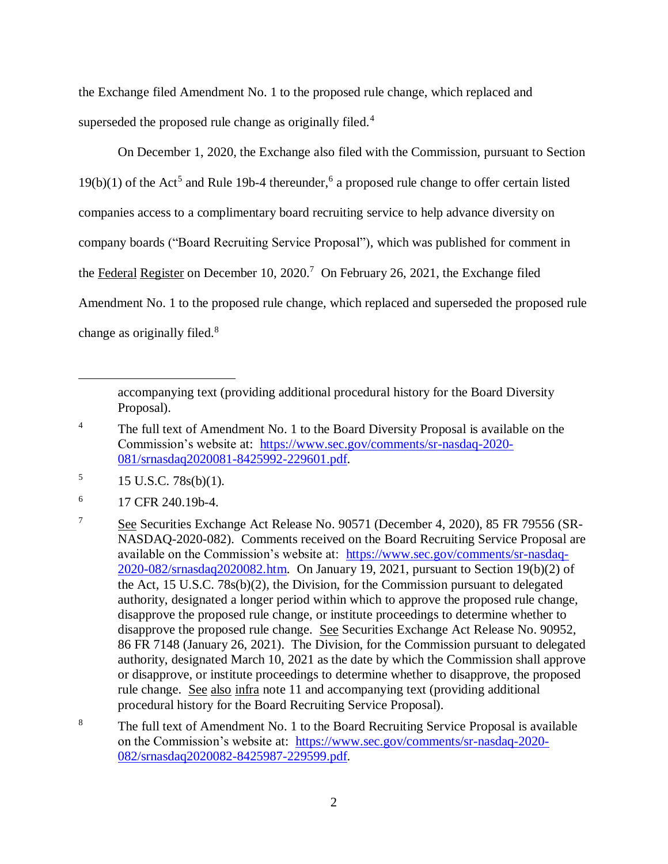the Exchange filed Amendment No. 1 to the proposed rule change, which replaced and superseded the proposed rule change as originally filed. $4$ 

On December 1, 2020, the Exchange also filed with the Commission, pursuant to Section  $19(b)(1)$  of the Act<sup>5</sup> and Rule 19b-4 thereunder,<sup>6</sup> a proposed rule change to offer certain listed companies access to a complimentary board recruiting service to help advance diversity on company boards ("Board Recruiting Service Proposal"), which was published for comment in the Federal Register on December 10, 2020.<sup>7</sup> On February 26, 2021, the Exchange filed Amendment No. 1 to the proposed rule change, which replaced and superseded the proposed rule change as originally filed.<sup>8</sup>

accompanying text (providing additional procedural history for the Board Diversity Proposal).

<sup>&</sup>lt;sup>4</sup> The full text of Amendment No. 1 to the Board Diversity Proposal is available on the Commission's website at: [https://www.sec.gov/comments/sr-nasdaq-2020-](https://www.sec.gov/comments/sr-nasdaq-2020-081/srnasdaq2020081-8425992-229601.pdf) [081/srnasdaq2020081-8425992-229601.pdf.](https://www.sec.gov/comments/sr-nasdaq-2020-081/srnasdaq2020081-8425992-229601.pdf)

<sup>5</sup> 15 U.S.C. 78s(b)(1).

<sup>6</sup> 17 CFR 240.19b-4.

<sup>7</sup> See Securities Exchange Act Release No. 90571 (December 4, 2020), 85 FR 79556 (SR-NASDAQ-2020-082). Comments received on the Board Recruiting Service Proposal are available on the Commission's website at: [https://www.sec.gov/comments/sr-nasdaq-](https://www.sec.gov/comments/sr-nasdaq-2020-082/srnasdaq2020082.htm)[2020-082/srnasdaq2020082.htm.](https://www.sec.gov/comments/sr-nasdaq-2020-082/srnasdaq2020082.htm) On January 19, 2021, pursuant to Section 19(b)(2) of the Act, 15 U.S.C. 78s(b)(2), the Division, for the Commission pursuant to delegated authority, designated a longer period within which to approve the proposed rule change, disapprove the proposed rule change, or institute proceedings to determine whether to disapprove the proposed rule change. See Securities Exchange Act Release No. 90952, 86 FR 7148 (January 26, 2021). The Division, for the Commission pursuant to delegated authority, designated March 10, 2021 as the date by which the Commission shall approve or disapprove, or institute proceedings to determine whether to disapprove, the proposed rule change. See also infra note [11](#page-2-0) and accompanying text (providing additional procedural history for the Board Recruiting Service Proposal).

<sup>&</sup>lt;sup>8</sup> The full text of Amendment No. 1 to the Board Recruiting Service Proposal is available on the Commission's website at: [https://www.sec.gov/comments/sr-nasdaq-2020-](https://www.sec.gov/comments/sr-nasdaq-2020-082/srnasdaq2020082-8425987-229599.pdf) [082/srnasdaq2020082-8425987-229599.pdf.](https://www.sec.gov/comments/sr-nasdaq-2020-082/srnasdaq2020082-8425987-229599.pdf)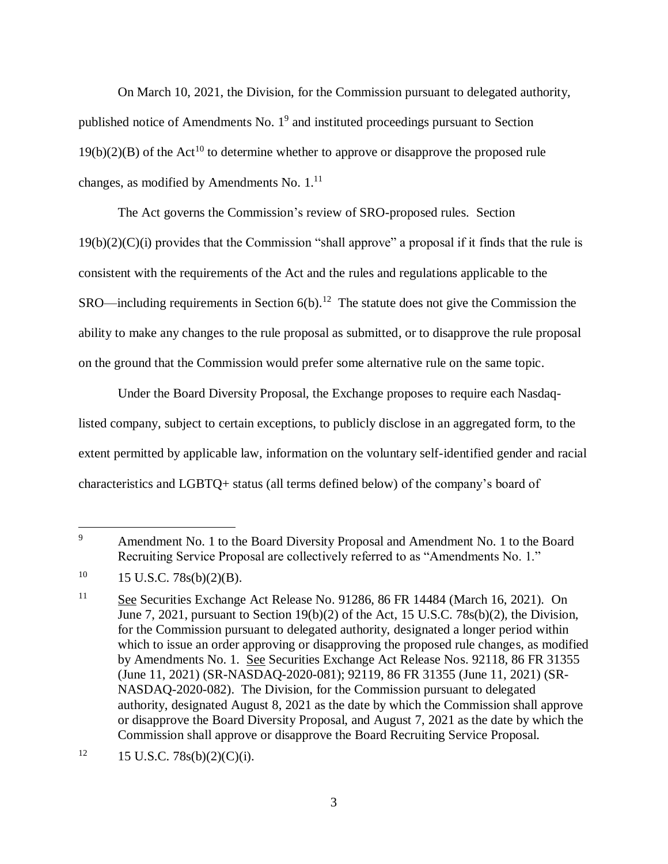On March 10, 2021, the Division, for the Commission pursuant to delegated authority, published notice of Amendments No.  $1<sup>9</sup>$  and instituted proceedings pursuant to Section  $19(b)(2)(B)$  of the Act<sup>10</sup> to determine whether to approve or disapprove the proposed rule changes, as modified by Amendments No.  $1<sup>11</sup>$ 

<span id="page-2-0"></span>The Act governs the Commission's review of SRO-proposed rules. Section 19(b)(2)(C)(i) provides that the Commission "shall approve" a proposal if it finds that the rule is consistent with the requirements of the Act and the rules and regulations applicable to the  $SRO$ —including requirements in Section  $6(b)$ .<sup>12</sup> The statute does not give the Commission the ability to make any changes to the rule proposal as submitted, or to disapprove the rule proposal on the ground that the Commission would prefer some alternative rule on the same topic.

Under the Board Diversity Proposal, the Exchange proposes to require each Nasdaqlisted company, subject to certain exceptions, to publicly disclose in an aggregated form, to the extent permitted by applicable law, information on the voluntary self-identified gender and racial characteristics and LGBTQ+ status (all terms defined below) of the company's board of

<sup>&</sup>lt;sup>9</sup> Amendment No. 1 to the Board Diversity Proposal and Amendment No. 1 to the Board Recruiting Service Proposal are collectively referred to as "Amendments No. 1."

 $10 \qquad 15 \text{ U.S.C. } 78\text{s(b)}(2)(\text{B)}.$ 

<sup>&</sup>lt;sup>11</sup> See Securities Exchange Act Release No. 91286, 86 FR 14484 (March 16, 2021). On June 7, 2021, pursuant to Section 19(b)(2) of the Act, 15 U.S.C. 78s(b)(2), the Division, for the Commission pursuant to delegated authority, designated a longer period within which to issue an order approving or disapproving the proposed rule changes, as modified by Amendments No. 1. See Securities Exchange Act Release Nos. 92118, 86 FR 31355 (June 11, 2021) (SR-NASDAQ-2020-081); 92119, 86 FR 31355 (June 11, 2021) (SR-NASDAQ-2020-082). The Division, for the Commission pursuant to delegated authority, designated August 8, 2021 as the date by which the Commission shall approve or disapprove the Board Diversity Proposal, and August 7, 2021 as the date by which the Commission shall approve or disapprove the Board Recruiting Service Proposal.

 $12 \qquad 15 \text{ U.S.C. } 78 \text{s(b)}(2) \text{(C)}(i).$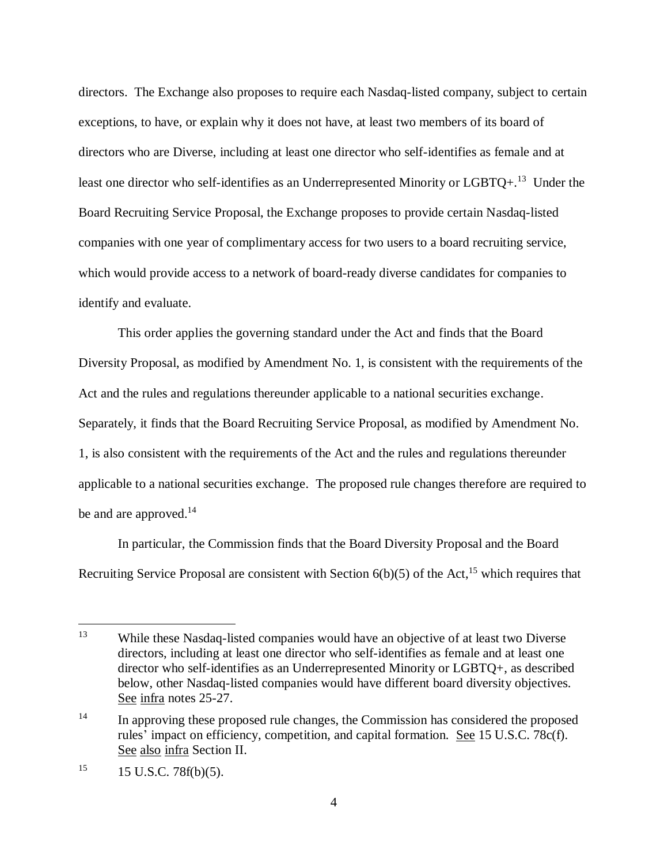directors. The Exchange also proposes to require each Nasdaq-listed company, subject to certain exceptions, to have, or explain why it does not have, at least two members of its board of directors who are Diverse, including at least one director who self-identifies as female and at least one director who self-identifies as an Underrepresented Minority or LGBTQ+.<sup>13</sup> Under the Board Recruiting Service Proposal, the Exchange proposes to provide certain Nasdaq-listed companies with one year of complimentary access for two users to a board recruiting service, which would provide access to a network of board-ready diverse candidates for companies to identify and evaluate.

This order applies the governing standard under the Act and finds that the Board Diversity Proposal, as modified by Amendment No. 1, is consistent with the requirements of the Act and the rules and regulations thereunder applicable to a national securities exchange. Separately, it finds that the Board Recruiting Service Proposal, as modified by Amendment No. 1, is also consistent with the requirements of the Act and the rules and regulations thereunder applicable to a national securities exchange. The proposed rule changes therefore are required to be and are approved.<sup>14</sup>

In particular, the Commission finds that the Board Diversity Proposal and the Board Recruiting Service Proposal are consistent with Section  $6(b)(5)$  of the Act,<sup>15</sup> which requires that

<sup>&</sup>lt;sup>13</sup> While these Nasdaq-listed companies would have an objective of at least two Diverse directors, including at least one director who self-identifies as female and at least one director who self-identifies as an Underrepresented Minority or LGBTQ+, as described below, other Nasdaq-listed companies would have different board diversity objectives. See infra notes [25-](#page-7-0)[27.](#page-8-0)

<sup>&</sup>lt;sup>14</sup> In approving these proposed rule changes, the Commission has considered the proposed rules' impact on efficiency, competition, and capital formation. See 15 U.S.C. 78c(f). See also infra Section II.

 $15$  15 U.S.C. 78f(b)(5).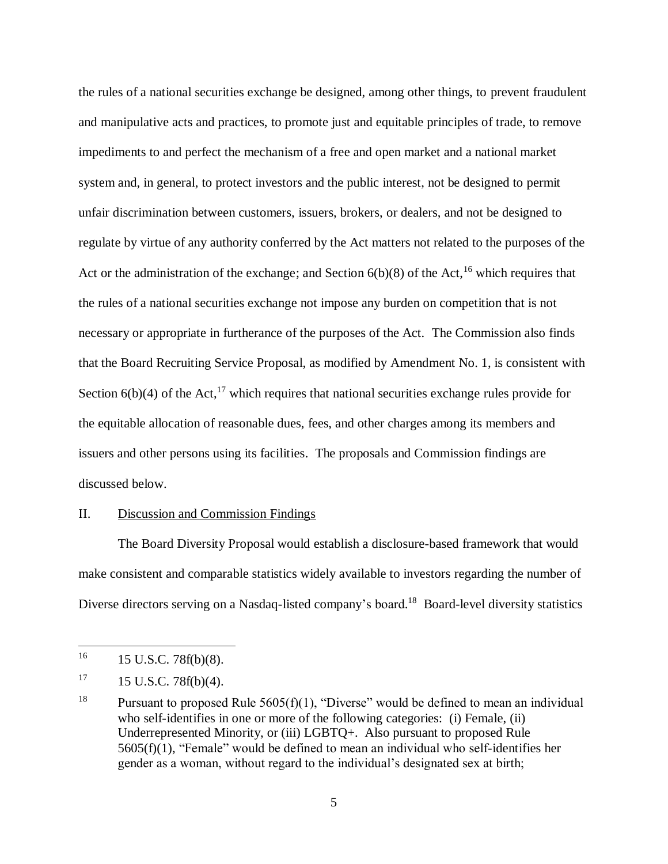the rules of a national securities exchange be designed, among other things, to prevent fraudulent and manipulative acts and practices, to promote just and equitable principles of trade, to remove impediments to and perfect the mechanism of a free and open market and a national market system and, in general, to protect investors and the public interest, not be designed to permit unfair discrimination between customers, issuers, brokers, or dealers, and not be designed to regulate by virtue of any authority conferred by the Act matters not related to the purposes of the Act or the administration of the exchange; and Section  $6(b)(8)$  of the Act,<sup>16</sup> which requires that the rules of a national securities exchange not impose any burden on competition that is not necessary or appropriate in furtherance of the purposes of the Act. The Commission also finds that the Board Recruiting Service Proposal, as modified by Amendment No. 1, is consistent with Section  $6(b)(4)$  of the Act,<sup>17</sup> which requires that national securities exchange rules provide for the equitable allocation of reasonable dues, fees, and other charges among its members and issuers and other persons using its facilities. The proposals and Commission findings are discussed below.

#### II. Discussion and Commission Findings

The Board Diversity Proposal would establish a disclosure-based framework that would make consistent and comparable statistics widely available to investors regarding the number of Diverse directors serving on a Nasdaq-listed company's board.<sup>18</sup> Board-level diversity statistics

<sup>16</sup> <sup>16</sup> 15 U.S.C. 78f(b)(8).

 $17 \quad 15 \text{ U.S.C. } 78f(b)(4).$ 

<sup>&</sup>lt;sup>18</sup> Pursuant to proposed Rule  $5605(f)(1)$ , "Diverse" would be defined to mean an individual who self-identifies in one or more of the following categories: (i) Female, (ii) Underrepresented Minority, or (iii) LGBTQ+. Also pursuant to proposed Rule 5605(f)(1), "Female" would be defined to mean an individual who self-identifies her gender as a woman, without regard to the individual's designated sex at birth;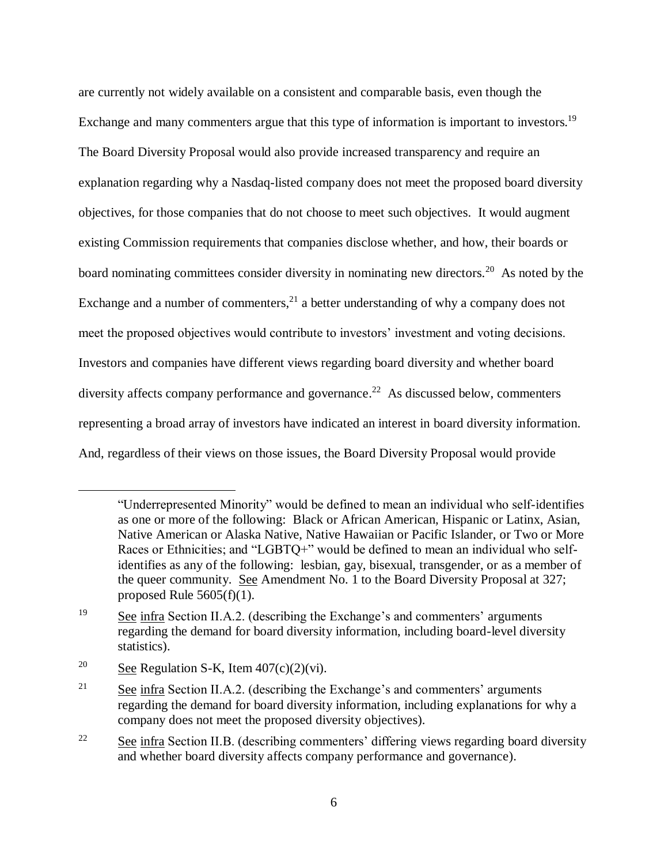are currently not widely available on a consistent and comparable basis, even though the Exchange and many commenters argue that this type of information is important to investors.<sup>19</sup> The Board Diversity Proposal would also provide increased transparency and require an explanation regarding why a Nasdaq-listed company does not meet the proposed board diversity objectives, for those companies that do not choose to meet such objectives. It would augment existing Commission requirements that companies disclose whether, and how, their boards or board nominating committees consider diversity in nominating new directors.<sup>20</sup> As noted by the Exchange and a number of commenters, $^{21}$  a better understanding of why a company does not meet the proposed objectives would contribute to investors' investment and voting decisions. Investors and companies have different views regarding board diversity and whether board diversity affects company performance and governance.<sup>22</sup> As discussed below, commenters representing a broad array of investors have indicated an interest in board diversity information. And, regardless of their views on those issues, the Board Diversity Proposal would provide

<sup>&</sup>quot;Underrepresented Minority" would be defined to mean an individual who self-identifies as one or more of the following: Black or African American, Hispanic or Latinx, Asian, Native American or Alaska Native, Native Hawaiian or Pacific Islander, or Two or More Races or Ethnicities; and "LGBTQ+" would be defined to mean an individual who selfidentifies as any of the following: lesbian, gay, bisexual, transgender, or as a member of the queer community. See Amendment No. 1 to the Board Diversity Proposal at 327; proposed Rule  $5605(f)(1)$ .

 $19$  See infra Section II.A.2. (describing the Exchange's and commenters' arguments regarding the demand for board diversity information, including board-level diversity statistics).

<sup>&</sup>lt;sup>20</sup> See Regulation S-K, Item  $407(c)(2)(vi)$ .

 $21$  See infra Section II.A.2. (describing the Exchange's and commenters' arguments regarding the demand for board diversity information, including explanations for why a company does not meet the proposed diversity objectives).

<sup>&</sup>lt;sup>22</sup> See infra Section II.B. (describing commenters' differing views regarding board diversity and whether board diversity affects company performance and governance).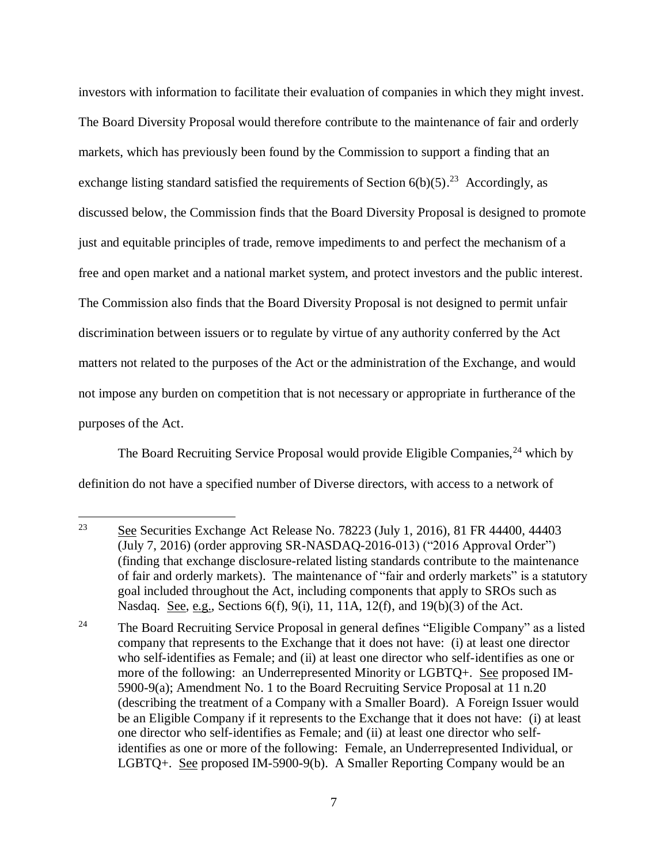investors with information to facilitate their evaluation of companies in which they might invest. The Board Diversity Proposal would therefore contribute to the maintenance of fair and orderly markets, which has previously been found by the Commission to support a finding that an exchange listing standard satisfied the requirements of Section  $6(b)(5)$ .<sup>23</sup> Accordingly, as discussed below, the Commission finds that the Board Diversity Proposal is designed to promote just and equitable principles of trade, remove impediments to and perfect the mechanism of a free and open market and a national market system, and protect investors and the public interest. The Commission also finds that the Board Diversity Proposal is not designed to permit unfair discrimination between issuers or to regulate by virtue of any authority conferred by the Act matters not related to the purposes of the Act or the administration of the Exchange, and would not impose any burden on competition that is not necessary or appropriate in furtherance of the purposes of the Act.

The Board Recruiting Service Proposal would provide Eligible Companies,<sup>24</sup> which by definition do not have a specified number of Diverse directors, with access to a network of

 $\overline{a}$ 

<sup>24</sup> The Board Recruiting Service Proposal in general defines "Eligible Company" as a listed company that represents to the Exchange that it does not have: (i) at least one director who self-identifies as Female; and (ii) at least one director who self-identifies as one or more of the following: an Underrepresented Minority or LGBTQ+. See proposed IM-5900-9(a); Amendment No. 1 to the Board Recruiting Service Proposal at 11 n.20 (describing the treatment of a Company with a Smaller Board). A Foreign Issuer would be an Eligible Company if it represents to the Exchange that it does not have: (i) at least one director who self-identifies as Female; and (ii) at least one director who selfidentifies as one or more of the following: Female, an Underrepresented Individual, or LGBTQ+. See proposed IM-5900-9(b). A Smaller Reporting Company would be an

<sup>23</sup> See Securities Exchange Act Release No. 78223 (July 1, 2016), 81 FR 44400, 44403 (July 7, 2016) (order approving SR-NASDAQ-2016-013) ("2016 Approval Order") (finding that exchange disclosure-related listing standards contribute to the maintenance of fair and orderly markets). The maintenance of "fair and orderly markets" is a statutory goal included throughout the Act, including components that apply to SROs such as Nasdaq. See, e.g., Sections 6(f), 9(i), 11, 11A, 12(f), and 19(b)(3) of the Act.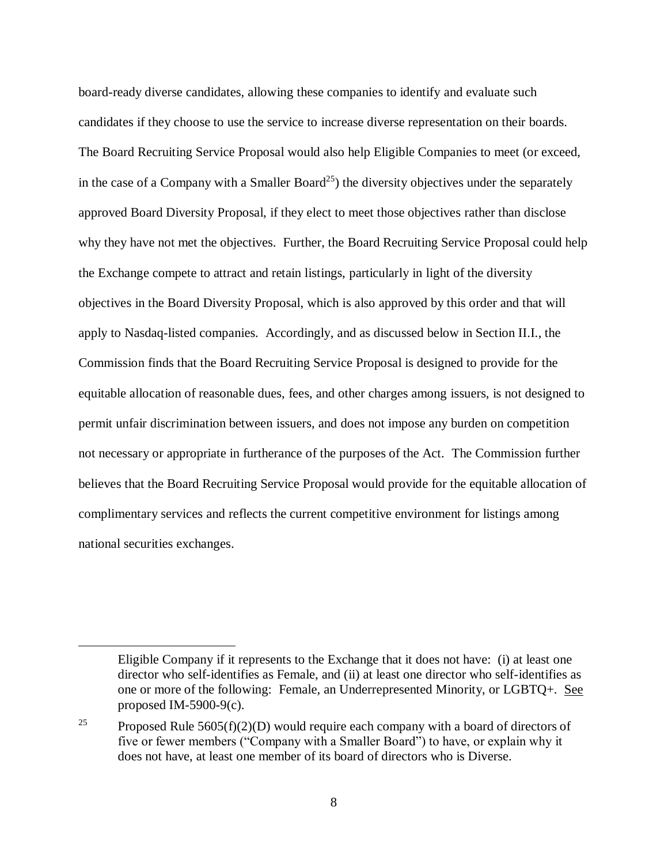<span id="page-7-0"></span>board-ready diverse candidates, allowing these companies to identify and evaluate such candidates if they choose to use the service to increase diverse representation on their boards. The Board Recruiting Service Proposal would also help Eligible Companies to meet (or exceed, in the case of a Company with a Smaller Board<sup>25</sup>) the diversity objectives under the separately approved Board Diversity Proposal, if they elect to meet those objectives rather than disclose why they have not met the objectives. Further, the Board Recruiting Service Proposal could help the Exchange compete to attract and retain listings, particularly in light of the diversity objectives in the Board Diversity Proposal, which is also approved by this order and that will apply to Nasdaq-listed companies. Accordingly, and as discussed below in Section II.I., the Commission finds that the Board Recruiting Service Proposal is designed to provide for the equitable allocation of reasonable dues, fees, and other charges among issuers, is not designed to permit unfair discrimination between issuers, and does not impose any burden on competition not necessary or appropriate in furtherance of the purposes of the Act. The Commission further believes that the Board Recruiting Service Proposal would provide for the equitable allocation of complimentary services and reflects the current competitive environment for listings among national securities exchanges.

Eligible Company if it represents to the Exchange that it does not have: (i) at least one director who self-identifies as Female, and (ii) at least one director who self-identifies as one or more of the following: Female, an Underrepresented Minority, or LGBTQ+. See proposed IM-5900-9(c).

<sup>&</sup>lt;sup>25</sup> Proposed Rule 5605(f)(2)(D) would require each company with a board of directors of five or fewer members ("Company with a Smaller Board") to have, or explain why it does not have, at least one member of its board of directors who is Diverse.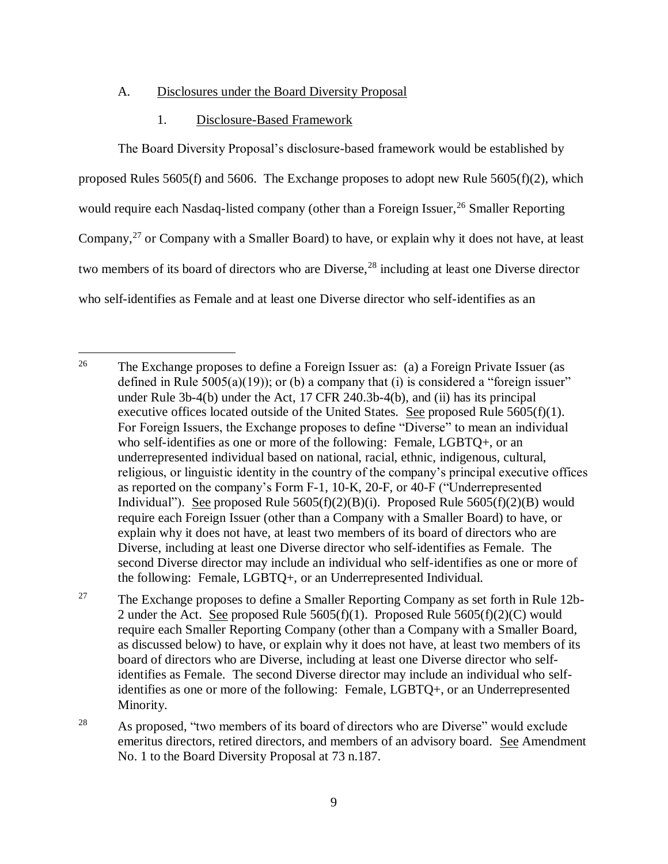### A. Disclosures under the Board Diversity Proposal

#### 1. Disclosure-Based Framework

 $\overline{a}$ 

<span id="page-8-0"></span>The Board Diversity Proposal's disclosure-based framework would be established by proposed Rules 5605(f) and 5606. The Exchange proposes to adopt new Rule 5605(f)(2), which would require each Nasdaq-listed company (other than a Foreign Issuer,  $^{26}$  Smaller Reporting Company,<sup>27</sup> or Company with a Smaller Board) to have, or explain why it does not have, at least two members of its board of directors who are Diverse,<sup>28</sup> including at least one Diverse director who self-identifies as Female and at least one Diverse director who self-identifies as an

<sup>&</sup>lt;sup>26</sup> The Exchange proposes to define a Foreign Issuer as: (a) a Foreign Private Issuer (as defined in Rule  $5005(a)(19)$ ; or (b) a company that (i) is considered a "foreign issuer" under Rule 3b-4(b) under the Act, 17 CFR 240.3b-4(b), and (ii) has its principal executive offices located outside of the United States. See proposed Rule  $5605(f)(1)$ . For Foreign Issuers, the Exchange proposes to define "Diverse" to mean an individual who self-identifies as one or more of the following: Female, LGBTQ+, or an underrepresented individual based on national, racial, ethnic, indigenous, cultural, religious, or linguistic identity in the country of the company's principal executive offices as reported on the company's Form F-1, 10-K, 20-F, or 40-F ("Underrepresented Individual"). See proposed Rule  $5605(f)(2)(B)(i)$ . Proposed Rule  $5605(f)(2)(B)$  would require each Foreign Issuer (other than a Company with a Smaller Board) to have, or explain why it does not have, at least two members of its board of directors who are Diverse, including at least one Diverse director who self-identifies as Female. The second Diverse director may include an individual who self-identifies as one or more of the following: Female, LGBTQ+, or an Underrepresented Individual.

<sup>&</sup>lt;sup>27</sup> The Exchange proposes to define a Smaller Reporting Company as set forth in Rule 12b-2 under the Act. See proposed Rule  $5605(f)(1)$ . Proposed Rule  $5605(f)(2)(C)$  would require each Smaller Reporting Company (other than a Company with a Smaller Board, as discussed below) to have, or explain why it does not have, at least two members of its board of directors who are Diverse, including at least one Diverse director who selfidentifies as Female. The second Diverse director may include an individual who selfidentifies as one or more of the following: Female, LGBTQ+, or an Underrepresented Minority.

<sup>&</sup>lt;sup>28</sup> As proposed, "two members of its board of directors who are Diverse" would exclude emeritus directors, retired directors, and members of an advisory board. See Amendment No. 1 to the Board Diversity Proposal at 73 n.187.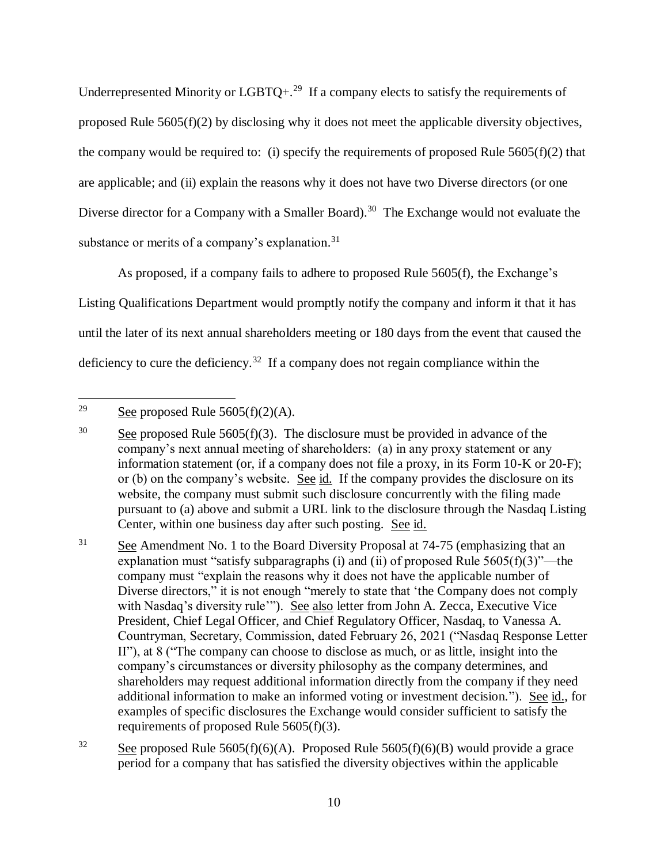Underrepresented Minority or  $LGBTQ +$ <sup>29</sup> If a company elects to satisfy the requirements of proposed Rule 5605(f)(2) by disclosing why it does not meet the applicable diversity objectives, the company would be required to: (i) specify the requirements of proposed Rule  $5605(f)(2)$  that are applicable; and (ii) explain the reasons why it does not have two Diverse directors (or one Diverse director for a Company with a Smaller Board).<sup>30</sup> The Exchange would not evaluate the substance or merits of a company's explanation.<sup>31</sup>

As proposed, if a company fails to adhere to proposed Rule 5605(f), the Exchange's Listing Qualifications Department would promptly notify the company and inform it that it has until the later of its next annual shareholders meeting or 180 days from the event that caused the deficiency to cure the deficiency.<sup>32</sup> If a company does not regain compliance within the

 $31$  See Amendment No. 1 to the Board Diversity Proposal at 74-75 (emphasizing that an explanation must "satisfy subparagraphs (i) and (ii) of proposed Rule  $5605(f)(3)$ "—the company must "explain the reasons why it does not have the applicable number of Diverse directors," it is not enough "merely to state that 'the Company does not comply with Nasdaq's diversity rule'"). See also letter from John A. Zecca, Executive Vice President, Chief Legal Officer, and Chief Regulatory Officer, Nasdaq, to Vanessa A. Countryman, Secretary, Commission, dated February 26, 2021 ("Nasdaq Response Letter II"), at 8 ("The company can choose to disclose as much, or as little, insight into the company's circumstances or diversity philosophy as the company determines, and shareholders may request additional information directly from the company if they need additional information to make an informed voting or investment decision."). See id., for examples of specific disclosures the Exchange would consider sufficient to satisfy the requirements of proposed Rule 5605(f)(3).

<sup>29</sup> See proposed Rule  $5605(f)(2)(A)$ .

<sup>&</sup>lt;sup>30</sup> See proposed Rule 5605(f)(3). The disclosure must be provided in advance of the company's next annual meeting of shareholders: (a) in any proxy statement or any information statement (or, if a company does not file a proxy, in its Form 10-K or 20-F); or (b) on the company's website. See id. If the company provides the disclosure on its website, the company must submit such disclosure concurrently with the filing made pursuant to (a) above and submit a URL link to the disclosure through the Nasdaq Listing Center, within one business day after such posting. See id.

<sup>&</sup>lt;sup>32</sup> See proposed Rule 5605(f)(6)(A). Proposed Rule 5605(f)(6)(B) would provide a grace period for a company that has satisfied the diversity objectives within the applicable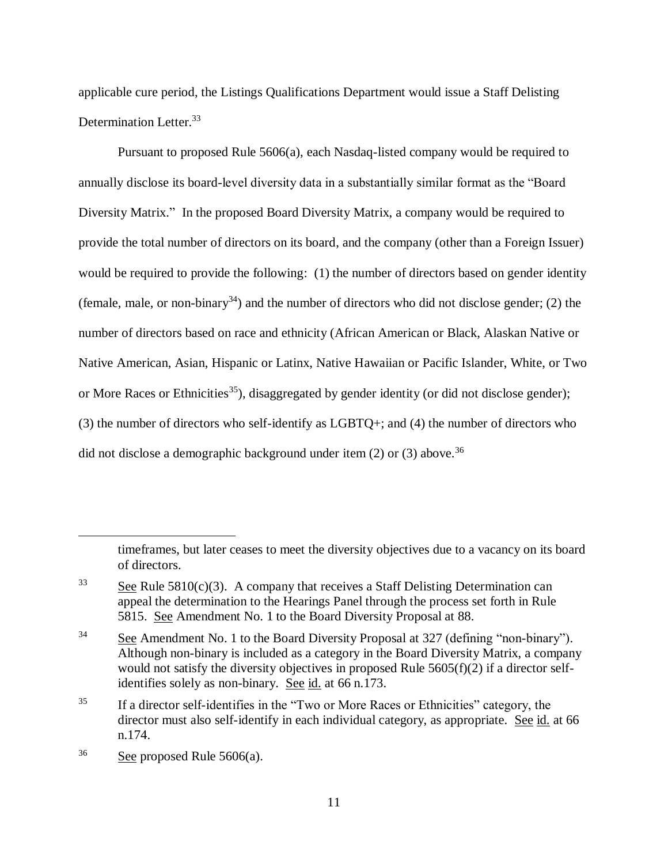applicable cure period, the Listings Qualifications Department would issue a Staff Delisting Determination Letter.<sup>33</sup>

Pursuant to proposed Rule 5606(a), each Nasdaq-listed company would be required to annually disclose its board-level diversity data in a substantially similar format as the "Board Diversity Matrix." In the proposed Board Diversity Matrix, a company would be required to provide the total number of directors on its board, and the company (other than a Foreign Issuer) would be required to provide the following: (1) the number of directors based on gender identity (female, male, or non-binary<sup>34</sup>) and the number of directors who did not disclose gender; (2) the number of directors based on race and ethnicity (African American or Black, Alaskan Native or Native American, Asian, Hispanic or Latinx, Native Hawaiian or Pacific Islander, White, or Two or More Races or Ethnicities<sup>35</sup>), disaggregated by gender identity (or did not disclose gender); (3) the number of directors who self-identify as LGBTQ+; and (4) the number of directors who did not disclose a demographic background under item  $(2)$  or  $(3)$  above.<sup>36</sup>

timeframes, but later ceases to meet the diversity objectives due to a vacancy on its board of directors.

<sup>&</sup>lt;sup>33</sup> See Rule 5810(c)(3). A company that receives a Staff Delisting Determination can appeal the determination to the Hearings Panel through the process set forth in Rule 5815. See Amendment No. 1 to the Board Diversity Proposal at 88.

<sup>&</sup>lt;sup>34</sup> See Amendment No. 1 to the Board Diversity Proposal at 327 (defining "non-binary"). Although non-binary is included as a category in the Board Diversity Matrix, a company would not satisfy the diversity objectives in proposed Rule 5605(f)(2) if a director selfidentifies solely as non-binary. See id. at 66 n.173.

<sup>&</sup>lt;sup>35</sup> If a director self-identifies in the "Two or More Races or Ethnicities" category, the director must also self-identify in each individual category, as appropriate. See id. at 66 n.174.

 $36$  See proposed Rule 5606(a).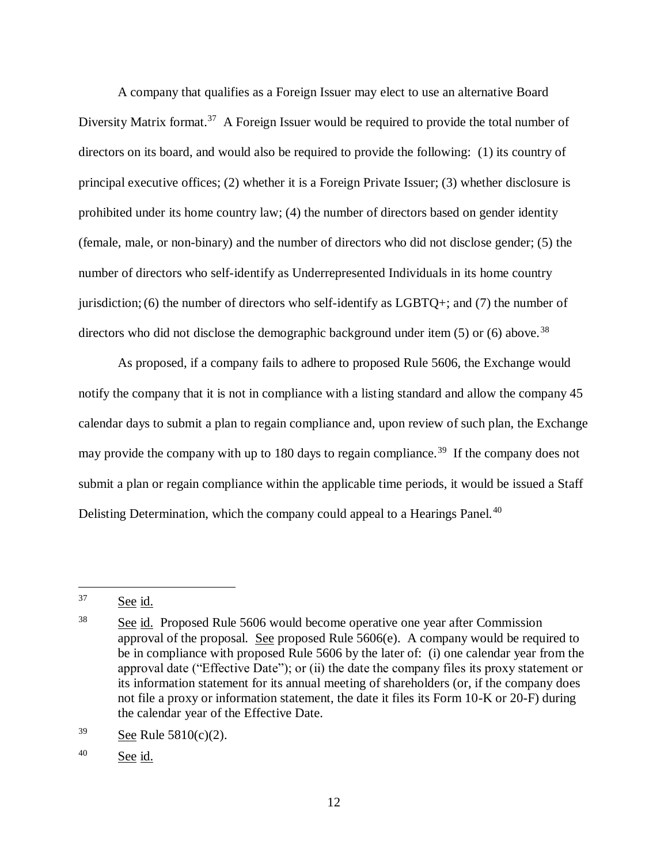A company that qualifies as a Foreign Issuer may elect to use an alternative Board Diversity Matrix format.<sup>37</sup> A Foreign Issuer would be required to provide the total number of directors on its board, and would also be required to provide the following: (1) its country of principal executive offices; (2) whether it is a Foreign Private Issuer; (3) whether disclosure is prohibited under its home country law; (4) the number of directors based on gender identity (female, male, or non-binary) and the number of directors who did not disclose gender; (5) the number of directors who self-identify as Underrepresented Individuals in its home country jurisdiction;(6) the number of directors who self-identify as LGBTQ+; and (7) the number of directors who did not disclose the demographic background under item  $(5)$  or  $(6)$  above.<sup>38</sup>

As proposed, if a company fails to adhere to proposed Rule 5606, the Exchange would notify the company that it is not in compliance with a listing standard and allow the company 45 calendar days to submit a plan to regain compliance and, upon review of such plan, the Exchange may provide the company with up to 180 days to regain compliance.<sup>39</sup> If the company does not submit a plan or regain compliance within the applicable time periods, it would be issued a Staff Delisting Determination, which the company could appeal to a Hearings Panel.<sup>40</sup>

 $\overline{a}$ 

 $39$  See Rule 5810(c)(2).

<sup>40</sup> See id.

<sup>37</sup> See id.

 $\frac{38}{2}$  See id. Proposed Rule 5606 would become operative one year after Commission approval of the proposal. See proposed Rule 5606(e). A company would be required to be in compliance with proposed Rule 5606 by the later of: (i) one calendar year from the approval date ("Effective Date"); or (ii) the date the company files its proxy statement or its information statement for its annual meeting of shareholders (or, if the company does not file a proxy or information statement, the date it files its Form 10-K or 20-F) during the calendar year of the Effective Date.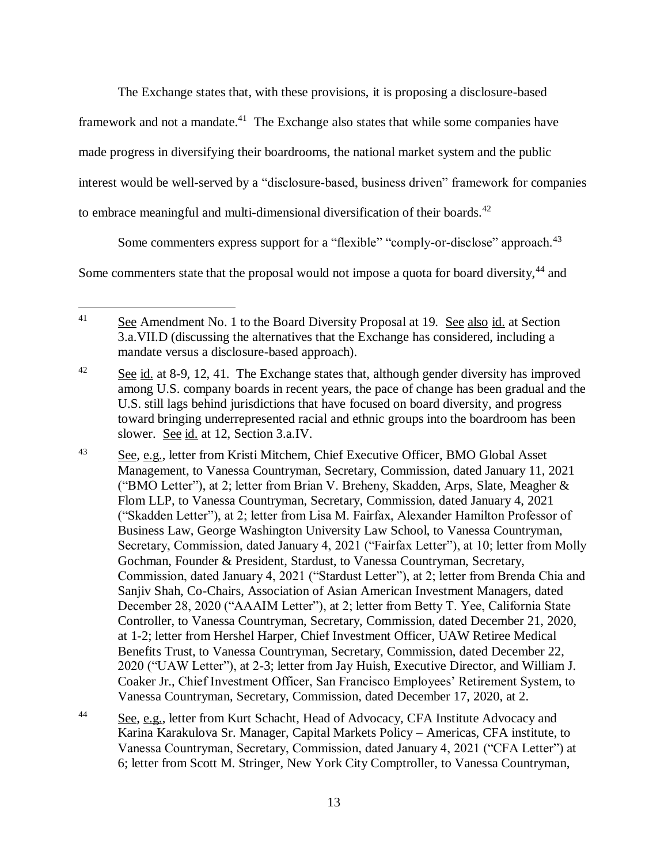The Exchange states that, with these provisions, it is proposing a disclosure-based

framework and not a mandate.<sup>41</sup> The Exchange also states that while some companies have

made progress in diversifying their boardrooms, the national market system and the public

interest would be well-served by a "disclosure-based, business driven" framework for companies

to embrace meaningful and multi-dimensional diversification of their boards.<sup>42</sup>

Some commenters express support for a "flexible" "comply-or-disclose" approach.<sup>43</sup>

Some commenters state that the proposal would not impose a quota for board diversity,<sup>44</sup> and

 $41$ See Amendment No. 1 to the Board Diversity Proposal at 19. See also id. at Section 3.a.VII.D (discussing the alternatives that the Exchange has considered, including a mandate versus a disclosure-based approach).

<sup>&</sup>lt;sup>42</sup> See id. at 8-9, 12, 41. The Exchange states that, although gender diversity has improved among U.S. company boards in recent years, the pace of change has been gradual and the U.S. still lags behind jurisdictions that have focused on board diversity, and progress toward bringing underrepresented racial and ethnic groups into the boardroom has been slower. See id. at 12, Section 3.a.IV.

<sup>&</sup>lt;sup>43</sup> See, e.g., letter from Kristi Mitchem, Chief Executive Officer, BMO Global Asset Management, to Vanessa Countryman, Secretary, Commission, dated January 11, 2021 ("BMO Letter"), at 2; letter from Brian V. Breheny, Skadden, Arps, Slate, Meagher & Flom LLP, to Vanessa Countryman, Secretary, Commission, dated January 4, 2021 ("Skadden Letter"), at 2; letter from Lisa M. Fairfax, Alexander Hamilton Professor of Business Law, George Washington University Law School, to Vanessa Countryman, Secretary, Commission, dated January 4, 2021 ("Fairfax Letter"), at 10; letter from Molly Gochman, Founder & President, Stardust, to Vanessa Countryman, Secretary, Commission, dated January 4, 2021 ("Stardust Letter"), at 2; letter from Brenda Chia and Sanjiv Shah, Co-Chairs, Association of Asian American Investment Managers, dated December 28, 2020 ("AAAIM Letter"), at 2; letter from Betty T. Yee, California State Controller, to Vanessa Countryman, Secretary, Commission, dated December 21, 2020, at 1-2; letter from Hershel Harper, Chief Investment Officer, UAW Retiree Medical Benefits Trust, to Vanessa Countryman, Secretary, Commission, dated December 22, 2020 ("UAW Letter"), at 2-3; letter from Jay Huish, Executive Director, and William J. Coaker Jr., Chief Investment Officer, San Francisco Employees' Retirement System, to Vanessa Countryman, Secretary, Commission, dated December 17, 2020, at 2.

<sup>&</sup>lt;sup>44</sup> See, e.g., letter from Kurt Schacht, Head of Advocacy, CFA Institute Advocacy and Karina Karakulova Sr. Manager, Capital Markets Policy – Americas, CFA institute, to Vanessa Countryman, Secretary, Commission, dated January 4, 2021 ("CFA Letter") at 6; letter from Scott M. Stringer, New York City Comptroller, to Vanessa Countryman,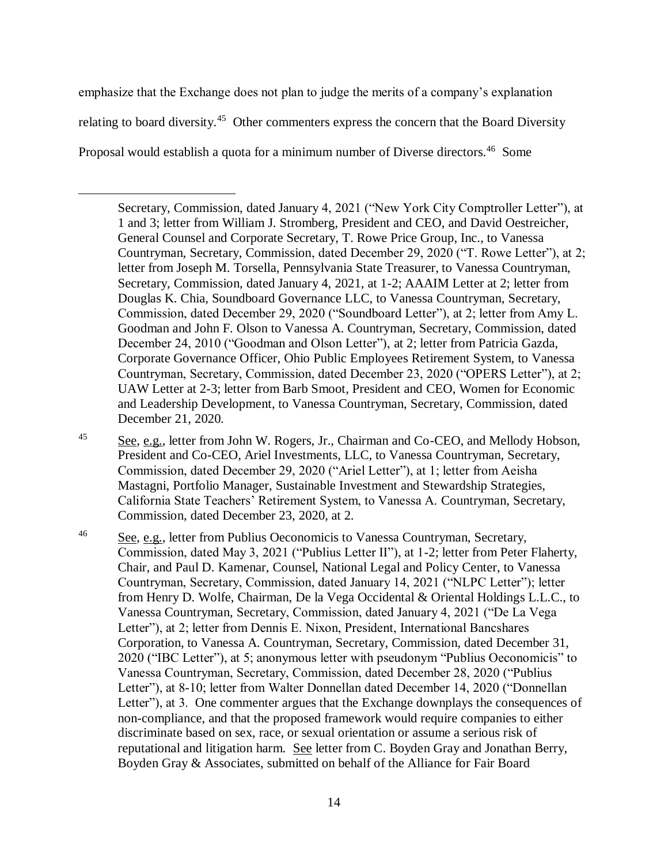emphasize that the Exchange does not plan to judge the merits of a company's explanation relating to board diversity.<sup>45</sup> Other commenters express the concern that the Board Diversity Proposal would establish a quota for a minimum number of Diverse directors.<sup>46</sup> Some

 $\overline{a}$ 

Secretary, Commission, dated January 4, 2021 ("New York City Comptroller Letter"), at 1 and 3; letter from William J. Stromberg, President and CEO, and David Oestreicher, General Counsel and Corporate Secretary, T. Rowe Price Group, Inc., to Vanessa Countryman, Secretary, Commission, dated December 29, 2020 ("T. Rowe Letter"), at 2; letter from Joseph M. Torsella, Pennsylvania State Treasurer, to Vanessa Countryman, Secretary, Commission, dated January 4, 2021, at 1-2; AAAIM Letter at 2; letter from Douglas K. Chia, Soundboard Governance LLC, to Vanessa Countryman, Secretary, Commission, dated December 29, 2020 ("Soundboard Letter"), at 2; letter from Amy L. Goodman and John F. Olson to Vanessa A. Countryman, Secretary, Commission, dated December 24, 2010 ("Goodman and Olson Letter"), at 2; letter from Patricia Gazda, Corporate Governance Officer, Ohio Public Employees Retirement System, to Vanessa Countryman, Secretary, Commission, dated December 23, 2020 ("OPERS Letter"), at 2; UAW Letter at 2-3; letter from Barb Smoot, President and CEO, Women for Economic and Leadership Development, to Vanessa Countryman, Secretary, Commission, dated December 21, 2020.

<sup>45</sup> See, e.g., letter from John W. Rogers, Jr., Chairman and Co-CEO, and Mellody Hobson, President and Co-CEO, Ariel Investments, LLC, to Vanessa Countryman, Secretary, Commission, dated December 29, 2020 ("Ariel Letter"), at 1; letter from Aeisha Mastagni, Portfolio Manager, Sustainable Investment and Stewardship Strategies, California State Teachers' Retirement System, to Vanessa A. Countryman, Secretary, Commission, dated December 23, 2020, at 2.

<sup>46</sup> See, e.g., letter from Publius Oeconomicis to Vanessa Countryman, Secretary, Commission, dated May 3, 2021 ("Publius Letter II"), at 1-2; letter from Peter Flaherty, Chair, and Paul D. Kamenar, Counsel, National Legal and Policy Center, to Vanessa Countryman, Secretary, Commission, dated January 14, 2021 ("NLPC Letter"); letter from Henry D. Wolfe, Chairman, De la Vega Occidental & Oriental Holdings L.L.C., to Vanessa Countryman, Secretary, Commission, dated January 4, 2021 ("De La Vega Letter"), at 2; letter from Dennis E. Nixon, President, International Bancshares Corporation, to Vanessa A. Countryman, Secretary, Commission, dated December 31, 2020 ("IBC Letter"), at 5; anonymous letter with pseudonym "Publius Oeconomicis" to Vanessa Countryman, Secretary, Commission, dated December 28, 2020 ("Publius Letter"), at 8-10; letter from Walter Donnellan dated December 14, 2020 ("Donnellan Letter"), at 3. One commenter argues that the Exchange downplays the consequences of non-compliance, and that the proposed framework would require companies to either discriminate based on sex, race, or sexual orientation or assume a serious risk of reputational and litigation harm. See letter from C. Boyden Gray and Jonathan Berry, Boyden Gray & Associates, submitted on behalf of the Alliance for Fair Board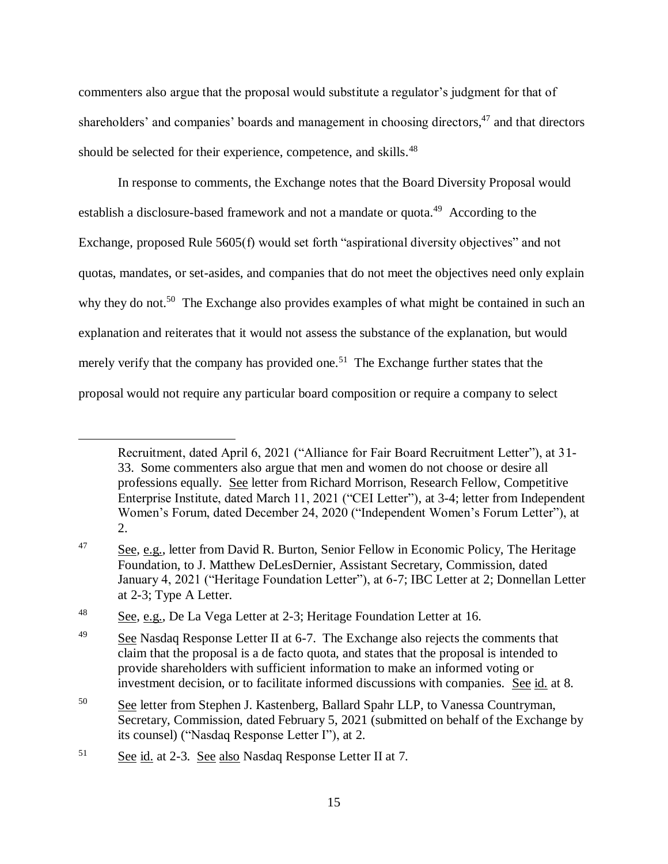commenters also argue that the proposal would substitute a regulator's judgment for that of shareholders' and companies' boards and management in choosing directors,<sup>47</sup> and that directors should be selected for their experience, competence, and skills.<sup>48</sup>

In response to comments, the Exchange notes that the Board Diversity Proposal would establish a disclosure-based framework and not a mandate or quota.<sup>49</sup> According to the Exchange, proposed Rule 5605(f) would set forth "aspirational diversity objectives" and not quotas, mandates, or set-asides, and companies that do not meet the objectives need only explain why they do not.<sup>50</sup> The Exchange also provides examples of what might be contained in such an explanation and reiterates that it would not assess the substance of the explanation, but would merely verify that the company has provided one.<sup>51</sup> The Exchange further states that the proposal would not require any particular board composition or require a company to select

Recruitment, dated April 6, 2021 ("Alliance for Fair Board Recruitment Letter"), at 31- 33. Some commenters also argue that men and women do not choose or desire all professions equally. See letter from Richard Morrison, Research Fellow, Competitive Enterprise Institute, dated March 11, 2021 ("CEI Letter"), at 3-4; letter from Independent Women's Forum, dated December 24, 2020 ("Independent Women's Forum Letter"), at 2.

<sup>&</sup>lt;sup>47</sup> See, e.g., letter from David R. Burton, Senior Fellow in Economic Policy, The Heritage Foundation, to J. Matthew DeLesDernier, Assistant Secretary, Commission, dated January 4, 2021 ("Heritage Foundation Letter"), at 6-7; IBC Letter at 2; Donnellan Letter at 2-3; Type A Letter.

<sup>&</sup>lt;sup>48</sup> See, e.g., De La Vega Letter at 2-3; Heritage Foundation Letter at 16.

 $\frac{49}{2}$  See Nasdaq Response Letter II at 6-7. The Exchange also rejects the comments that claim that the proposal is a de facto quota, and states that the proposal is intended to provide shareholders with sufficient information to make an informed voting or investment decision, or to facilitate informed discussions with companies. See id. at 8.

<sup>50</sup> See letter from Stephen J. Kastenberg, Ballard Spahr LLP, to Vanessa Countryman, Secretary, Commission, dated February 5, 2021 (submitted on behalf of the Exchange by its counsel) ("Nasdaq Response Letter I"), at 2.

<sup>51</sup> See id. at 2-3. See also Nasdaq Response Letter II at 7.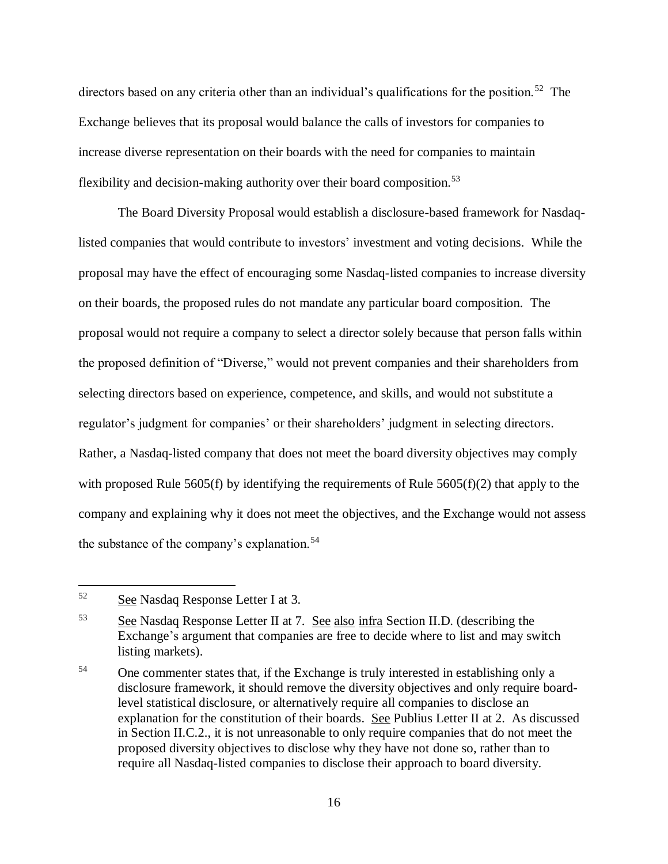directors based on any criteria other than an individual's qualifications for the position.<sup>52</sup> The Exchange believes that its proposal would balance the calls of investors for companies to increase diverse representation on their boards with the need for companies to maintain flexibility and decision-making authority over their board composition.<sup>53</sup>

The Board Diversity Proposal would establish a disclosure-based framework for Nasdaqlisted companies that would contribute to investors' investment and voting decisions. While the proposal may have the effect of encouraging some Nasdaq-listed companies to increase diversity on their boards, the proposed rules do not mandate any particular board composition. The proposal would not require a company to select a director solely because that person falls within the proposed definition of "Diverse," would not prevent companies and their shareholders from selecting directors based on experience, competence, and skills, and would not substitute a regulator's judgment for companies' or their shareholders' judgment in selecting directors. Rather, a Nasdaq-listed company that does not meet the board diversity objectives may comply with proposed Rule 5605(f) by identifying the requirements of Rule 5605(f)(2) that apply to the company and explaining why it does not meet the objectives, and the Exchange would not assess the substance of the company's explanation.<sup>54</sup>

<sup>52</sup> See Nasdaq Response Letter I at 3.

<sup>53</sup> See Nasdaq Response Letter II at 7. See also infra Section II.D. (describing the Exchange's argument that companies are free to decide where to list and may switch listing markets).

<sup>&</sup>lt;sup>54</sup> One commenter states that, if the Exchange is truly interested in establishing only a disclosure framework, it should remove the diversity objectives and only require boardlevel statistical disclosure, or alternatively require all companies to disclose an explanation for the constitution of their boards. See Publius Letter II at 2. As discussed in Section II.C.2., it is not unreasonable to only require companies that do not meet the proposed diversity objectives to disclose why they have not done so, rather than to require all Nasdaq-listed companies to disclose their approach to board diversity.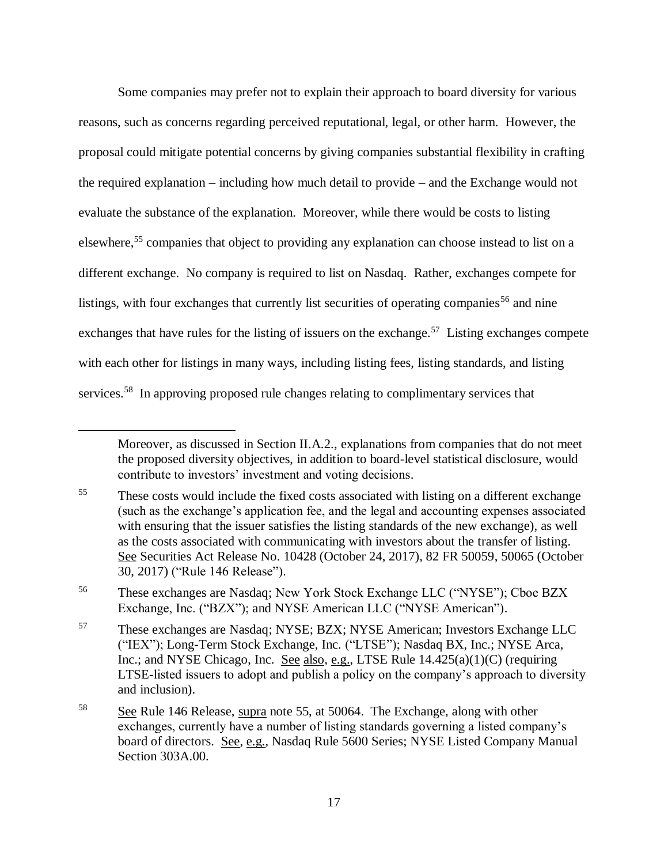<span id="page-16-0"></span>Some companies may prefer not to explain their approach to board diversity for various reasons, such as concerns regarding perceived reputational, legal, or other harm. However, the proposal could mitigate potential concerns by giving companies substantial flexibility in crafting the required explanation – including how much detail to provide – and the Exchange would not evaluate the substance of the explanation. Moreover, while there would be costs to listing elsewhere,<sup>55</sup> companies that object to providing any explanation can choose instead to list on a different exchange. No company is required to list on Nasdaq. Rather, exchanges compete for listings, with four exchanges that currently list securities of operating companies<sup>56</sup> and nine exchanges that have rules for the listing of issuers on the exchange.<sup>57</sup> Listing exchanges compete with each other for listings in many ways, including listing fees, listing standards, and listing services.<sup>58</sup> In approving proposed rule changes relating to complimentary services that

 $\overline{a}$ 

<sup>56</sup> These exchanges are Nasdaq; New York Stock Exchange LLC ("NYSE"); Cboe BZX Exchange, Inc. ("BZX"); and NYSE American LLC ("NYSE American").

Moreover, as discussed in Section II.A.2., explanations from companies that do not meet the proposed diversity objectives, in addition to board-level statistical disclosure, would contribute to investors' investment and voting decisions.

<sup>&</sup>lt;sup>55</sup> These costs would include the fixed costs associated with listing on a different exchange (such as the exchange's application fee, and the legal and accounting expenses associated with ensuring that the issuer satisfies the listing standards of the new exchange), as well as the costs associated with communicating with investors about the transfer of listing. See Securities Act Release No. 10428 (October 24, 2017), 82 FR 50059, 50065 (October 30, 2017) ("Rule 146 Release").

<sup>57</sup> These exchanges are Nasdaq; NYSE; BZX; NYSE American; Investors Exchange LLC ("IEX"); Long-Term Stock Exchange, Inc. ("LTSE"); Nasdaq BX, Inc.; NYSE Arca, Inc.; and NYSE Chicago, Inc. See also, e.g., LTSE Rule 14.425(a)(1)(C) (requiring LTSE-listed issuers to adopt and publish a policy on the company's approach to diversity and inclusion).

<sup>58</sup> See Rule 146 Release, supra note [55,](#page-16-0) at 50064. The Exchange, along with other exchanges, currently have a number of listing standards governing a listed company's board of directors. See, e.g., Nasdaq Rule 5600 Series; NYSE Listed Company Manual Section 303A.00.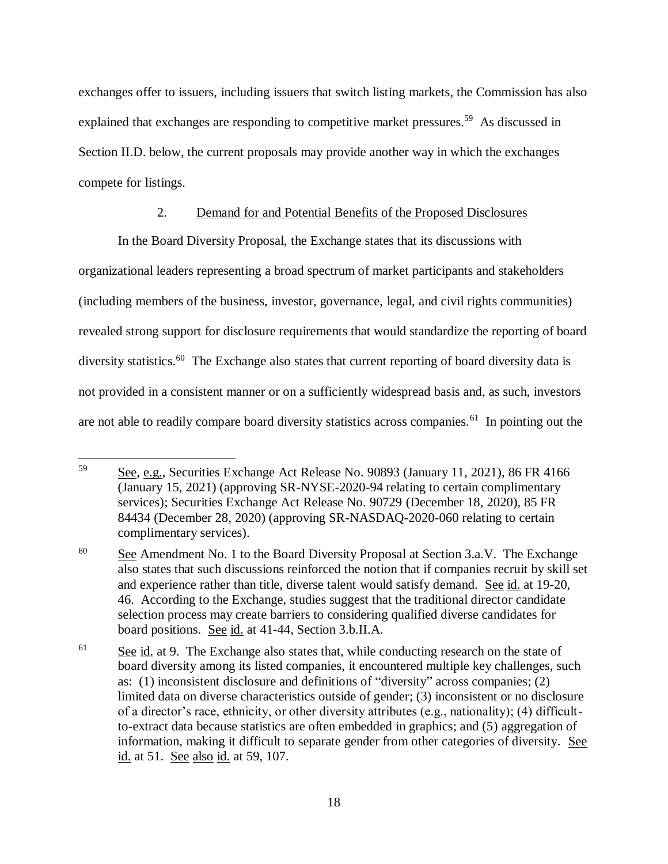exchanges offer to issuers, including issuers that switch listing markets, the Commission has also explained that exchanges are responding to competitive market pressures.<sup>59</sup> As discussed in Section II.D. below, the current proposals may provide another way in which the exchanges compete for listings.

### 2. Demand for and Potential Benefits of the Proposed Disclosures

In the Board Diversity Proposal, the Exchange states that its discussions with organizational leaders representing a broad spectrum of market participants and stakeholders (including members of the business, investor, governance, legal, and civil rights communities) revealed strong support for disclosure requirements that would standardize the reporting of board diversity statistics.<sup>60</sup> The Exchange also states that current reporting of board diversity data is not provided in a consistent manner or on a sufficiently widespread basis and, as such, investors are not able to readily compare board diversity statistics across companies.<sup>61</sup> In pointing out the

<sup>59</sup> See, e.g., Securities Exchange Act Release No. 90893 (January 11, 2021), 86 FR 4166 (January 15, 2021) (approving SR-NYSE-2020-94 relating to certain complimentary services); Securities Exchange Act Release No. 90729 (December 18, 2020), 85 FR 84434 (December 28, 2020) (approving SR-NASDAQ-2020-060 relating to certain complimentary services).

 $60$  See Amendment No. 1 to the Board Diversity Proposal at Section 3.a.V. The Exchange also states that such discussions reinforced the notion that if companies recruit by skill set and experience rather than title, diverse talent would satisfy demand. See id. at 19-20, 46. According to the Exchange, studies suggest that the traditional director candidate selection process may create barriers to considering qualified diverse candidates for board positions. See id. at 41-44, Section 3.b.II.A.

 $\frac{61}{2}$  See id. at 9. The Exchange also states that, while conducting research on the state of board diversity among its listed companies, it encountered multiple key challenges, such as: (1) inconsistent disclosure and definitions of "diversity" across companies; (2) limited data on diverse characteristics outside of gender; (3) inconsistent or no disclosure of a director's race, ethnicity, or other diversity attributes (e.g., nationality); (4) difficultto-extract data because statistics are often embedded in graphics; and (5) aggregation of information, making it difficult to separate gender from other categories of diversity. See id. at 51. See also id. at 59, 107.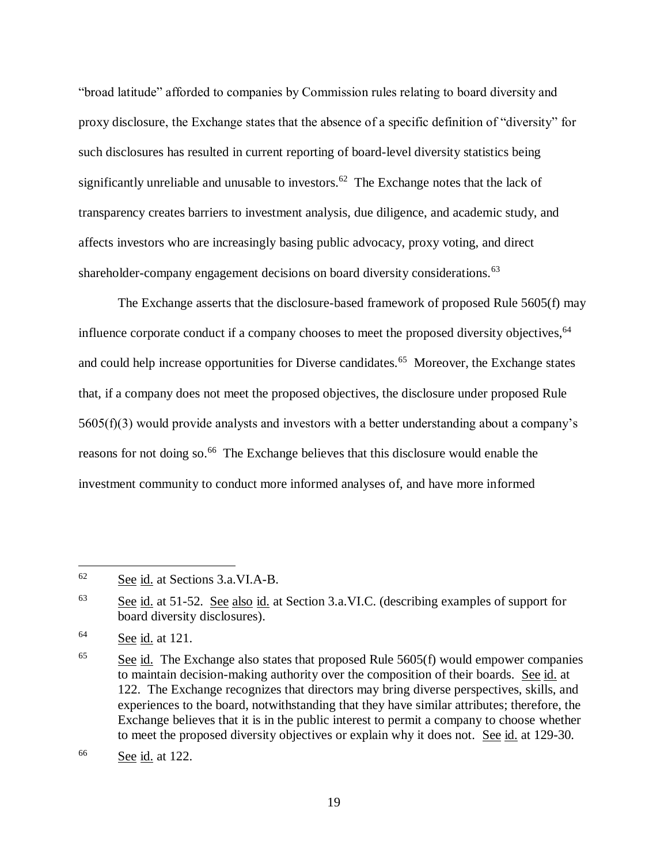"broad latitude" afforded to companies by Commission rules relating to board diversity and proxy disclosure, the Exchange states that the absence of a specific definition of "diversity" for such disclosures has resulted in current reporting of board-level diversity statistics being significantly unreliable and unusable to investors.<sup>62</sup> The Exchange notes that the lack of transparency creates barriers to investment analysis, due diligence, and academic study, and affects investors who are increasingly basing public advocacy, proxy voting, and direct shareholder-company engagement decisions on board diversity considerations.<sup>63</sup>

The Exchange asserts that the disclosure-based framework of proposed Rule 5605(f) may influence corporate conduct if a company chooses to meet the proposed diversity objectives, <sup>64</sup> and could help increase opportunities for Diverse candidates.<sup>65</sup> Moreover, the Exchange states that, if a company does not meet the proposed objectives, the disclosure under proposed Rule  $5605(f)(3)$  would provide analysts and investors with a better understanding about a company's reasons for not doing so.<sup>66</sup> The Exchange believes that this disclosure would enable the investment community to conduct more informed analyses of, and have more informed

<sup>62</sup> See id. at Sections 3.a.VI.A-B.

<sup>63</sup> See id. at 51-52. See also id. at Section 3.a.VI.C. (describing examples of support for board diversity disclosures).

 $64$  See id. at 121.

 $\frac{65}{2}$  See id. The Exchange also states that proposed Rule 5605(f) would empower companies to maintain decision-making authority over the composition of their boards. See id. at 122. The Exchange recognizes that directors may bring diverse perspectives, skills, and experiences to the board, notwithstanding that they have similar attributes; therefore, the Exchange believes that it is in the public interest to permit a company to choose whether to meet the proposed diversity objectives or explain why it does not. See id. at 129-30.

<sup>66</sup> See id. at 122.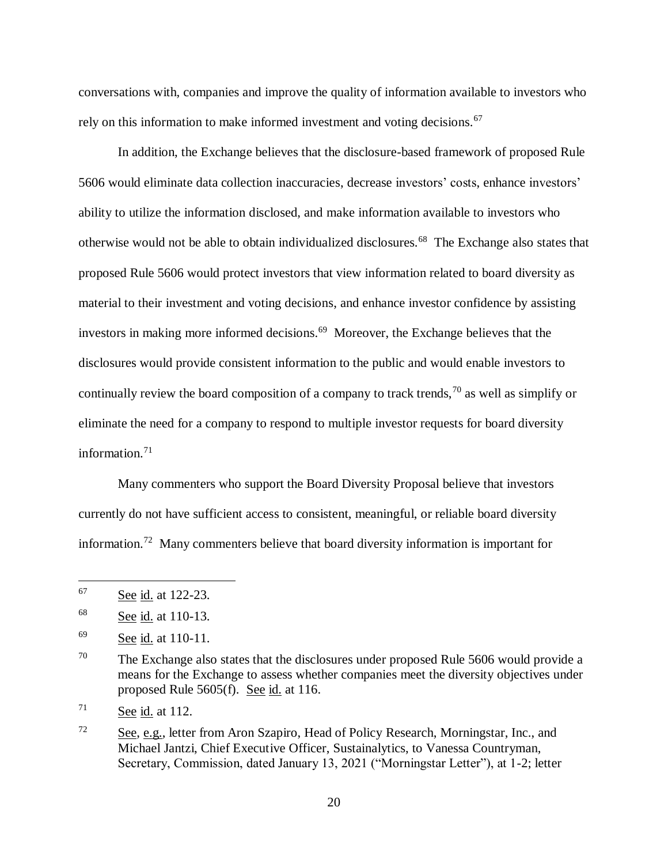conversations with, companies and improve the quality of information available to investors who rely on this information to make informed investment and voting decisions.<sup>67</sup>

In addition, the Exchange believes that the disclosure-based framework of proposed Rule 5606 would eliminate data collection inaccuracies, decrease investors' costs, enhance investors' ability to utilize the information disclosed, and make information available to investors who otherwise would not be able to obtain individualized disclosures.<sup>68</sup> The Exchange also states that proposed Rule 5606 would protect investors that view information related to board diversity as material to their investment and voting decisions, and enhance investor confidence by assisting investors in making more informed decisions.<sup>69</sup> Moreover, the Exchange believes that the disclosures would provide consistent information to the public and would enable investors to continually review the board composition of a company to track trends,  $\frac{70}{10}$  as well as simplify or eliminate the need for a company to respond to multiple investor requests for board diversity information.<sup>71</sup>

Many commenters who support the Board Diversity Proposal believe that investors currently do not have sufficient access to consistent, meaningful, or reliable board diversity information.<sup>72</sup> Many commenters believe that board diversity information is important for

<sup>67</sup> See id. at 122-23.

 $68$  See id. at 110-13.

 $^{69}$  See id. at 110-11.

 $70$  The Exchange also states that the disclosures under proposed Rule 5606 would provide a means for the Exchange to assess whether companies meet the diversity objectives under proposed Rule 5605(f). See id. at 116.

 $\frac{71}{2}$  See id. at 112.

 $72$  See, e.g., letter from Aron Szapiro, Head of Policy Research, Morningstar, Inc., and Michael Jantzi, Chief Executive Officer, Sustainalytics, to Vanessa Countryman, Secretary, Commission, dated January 13, 2021 ("Morningstar Letter"), at 1-2; letter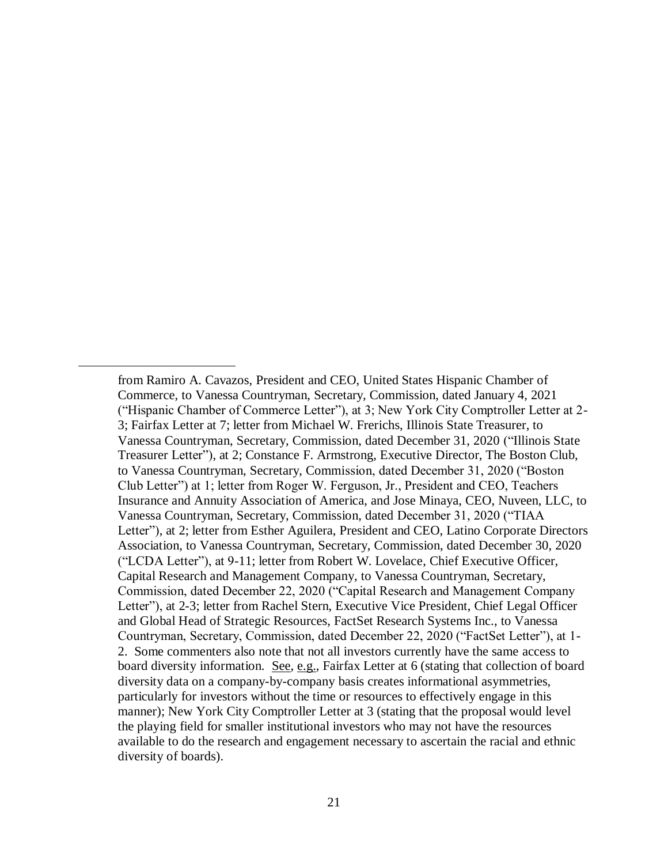from Ramiro A. Cavazos, President and CEO, United States Hispanic Chamber of Commerce, to Vanessa Countryman, Secretary, Commission, dated January 4, 2021 ("Hispanic Chamber of Commerce Letter"), at 3; New York City Comptroller Letter at 2- 3; Fairfax Letter at 7; letter from Michael W. Frerichs, Illinois State Treasurer, to Vanessa Countryman, Secretary, Commission, dated December 31, 2020 ("Illinois State Treasurer Letter"), at 2; Constance F. Armstrong, Executive Director, The Boston Club, to Vanessa Countryman, Secretary, Commission, dated December 31, 2020 ("Boston Club Letter") at 1; letter from Roger W. Ferguson, Jr., President and CEO, Teachers Insurance and Annuity Association of America, and Jose Minaya, CEO, Nuveen, LLC, to Vanessa Countryman, Secretary, Commission, dated December 31, 2020 ("TIAA Letter"), at 2; letter from Esther Aguilera, President and CEO, Latino Corporate Directors Association, to Vanessa Countryman, Secretary, Commission, dated December 30, 2020 ("LCDA Letter"), at 9-11; letter from Robert W. Lovelace, Chief Executive Officer, Capital Research and Management Company, to Vanessa Countryman, Secretary, Commission, dated December 22, 2020 ("Capital Research and Management Company Letter"), at 2-3; letter from Rachel Stern, Executive Vice President, Chief Legal Officer and Global Head of Strategic Resources, FactSet Research Systems Inc., to Vanessa Countryman, Secretary, Commission, dated December 22, 2020 ("FactSet Letter"), at 1- 2. Some commenters also note that not all investors currently have the same access to board diversity information. See, e.g., Fairfax Letter at 6 (stating that collection of board diversity data on a company-by-company basis creates informational asymmetries, particularly for investors without the time or resources to effectively engage in this manner); New York City Comptroller Letter at 3 (stating that the proposal would level the playing field for smaller institutional investors who may not have the resources available to do the research and engagement necessary to ascertain the racial and ethnic diversity of boards).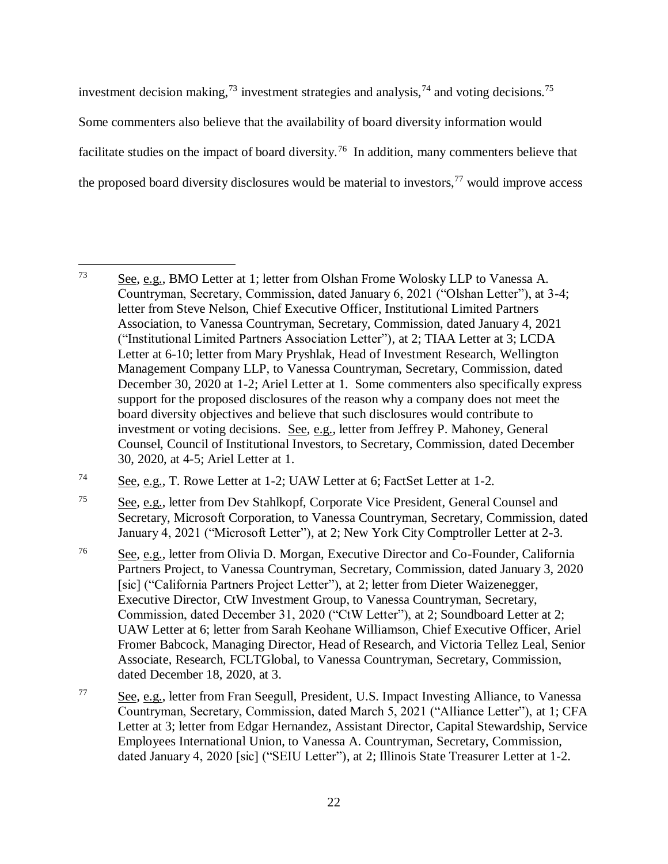investment decision making,<sup>73</sup> investment strategies and analysis,<sup>74</sup> and voting decisions.<sup>75</sup> Some commenters also believe that the availability of board diversity information would facilitate studies on the impact of board diversity.<sup>76</sup> In addition, many commenters believe that the proposed board diversity disclosures would be material to investors,  $77$  would improve access

 $\overline{a}$ <sup>73</sup> See, e.g., BMO Letter at 1; letter from Olshan Frome Wolosky LLP to Vanessa A. Countryman, Secretary, Commission, dated January 6, 2021 ("Olshan Letter"), at 3-4; letter from Steve Nelson, Chief Executive Officer, Institutional Limited Partners Association, to Vanessa Countryman, Secretary, Commission, dated January 4, 2021 ("Institutional Limited Partners Association Letter"), at 2; TIAA Letter at 3; LCDA Letter at 6-10; letter from Mary Pryshlak, Head of Investment Research, Wellington Management Company LLP, to Vanessa Countryman, Secretary, Commission, dated December 30, 2020 at 1-2; Ariel Letter at 1. Some commenters also specifically express support for the proposed disclosures of the reason why a company does not meet the board diversity objectives and believe that such disclosures would contribute to investment or voting decisions. See, e.g., letter from Jeffrey P. Mahoney, General Counsel, Council of Institutional Investors, to Secretary, Commission, dated December 30, 2020, at 4-5; Ariel Letter at 1.

<sup>74</sup> See, e.g., T. Rowe Letter at 1-2; UAW Letter at 6; FactSet Letter at 1-2.

<sup>75</sup> See, e.g., letter from Dev Stahlkopf, Corporate Vice President, General Counsel and Secretary, Microsoft Corporation, to Vanessa Countryman, Secretary, Commission, dated January 4, 2021 ("Microsoft Letter"), at 2; New York City Comptroller Letter at 2-3.

<sup>76</sup> See, e.g., letter from Olivia D. Morgan, Executive Director and Co-Founder, California Partners Project, to Vanessa Countryman, Secretary, Commission, dated January 3, 2020 [sic] ("California Partners Project Letter"), at 2; letter from Dieter Waizenegger, Executive Director, CtW Investment Group, to Vanessa Countryman, Secretary, Commission, dated December 31, 2020 ("CtW Letter"), at 2; Soundboard Letter at 2; UAW Letter at 6; letter from Sarah Keohane Williamson, Chief Executive Officer, Ariel Fromer Babcock, Managing Director, Head of Research, and Victoria Tellez Leal, Senior Associate, Research, FCLTGlobal, to Vanessa Countryman, Secretary, Commission, dated December 18, 2020, at 3.

<sup>&</sup>lt;sup>77</sup> See, e.g., letter from Fran Seegull, President, U.S. Impact Investing Alliance, to Vanessa Countryman, Secretary, Commission, dated March 5, 2021 ("Alliance Letter"), at 1; CFA Letter at 3; letter from Edgar Hernandez, Assistant Director, Capital Stewardship, Service Employees International Union, to Vanessa A. Countryman, Secretary, Commission, dated January 4, 2020 [sic] ("SEIU Letter"), at 2; Illinois State Treasurer Letter at 1-2.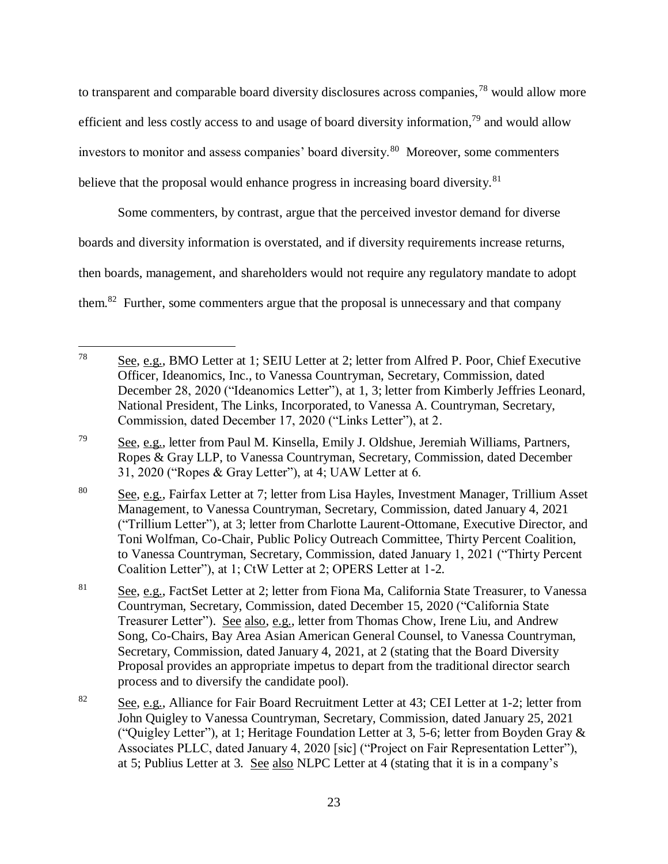to transparent and comparable board diversity disclosures across companies,<sup>78</sup> would allow more efficient and less costly access to and usage of board diversity information,<sup>79</sup> and would allow investors to monitor and assess companies' board diversity.<sup>80</sup> Moreover, some commenters believe that the proposal would enhance progress in increasing board diversity.<sup>81</sup>

Some commenters, by contrast, argue that the perceived investor demand for diverse boards and diversity information is overstated, and if diversity requirements increase returns, then boards, management, and shareholders would not require any regulatory mandate to adopt them.<sup>82</sup> Further, some commenters argue that the proposal is unnecessary and that company

<sup>78</sup> See, e.g., BMO Letter at 1; SEIU Letter at 2; letter from Alfred P. Poor, Chief Executive Officer, Ideanomics, Inc., to Vanessa Countryman, Secretary, Commission, dated December 28, 2020 ("Ideanomics Letter"), at 1, 3; letter from Kimberly Jeffries Leonard, National President, The Links, Incorporated, to Vanessa A. Countryman, Secretary, Commission, dated December 17, 2020 ("Links Letter"), at 2.

<sup>&</sup>lt;sup>79</sup> See, e.g., letter from Paul M. Kinsella, Emily J. Oldshue, Jeremiah Williams, Partners, Ropes & Gray LLP, to Vanessa Countryman, Secretary, Commission, dated December 31, 2020 ("Ropes & Gray Letter"), at 4; UAW Letter at 6.

<sup>80</sup> See, e.g., Fairfax Letter at 7; letter from Lisa Hayles, Investment Manager, Trillium Asset Management, to Vanessa Countryman, Secretary, Commission, dated January 4, 2021 ("Trillium Letter"), at 3; letter from Charlotte Laurent-Ottomane, Executive Director, and Toni Wolfman, Co-Chair, Public Policy Outreach Committee, Thirty Percent Coalition, to Vanessa Countryman, Secretary, Commission, dated January 1, 2021 ("Thirty Percent Coalition Letter"), at 1; CtW Letter at 2; OPERS Letter at 1-2.

<sup>81</sup> See, e.g., FactSet Letter at 2; letter from Fiona Ma, California State Treasurer, to Vanessa Countryman, Secretary, Commission, dated December 15, 2020 ("California State Treasurer Letter"). See also, e.g., letter from Thomas Chow, Irene Liu, and Andrew Song, Co-Chairs, Bay Area Asian American General Counsel, to Vanessa Countryman, Secretary, Commission, dated January 4, 2021, at 2 (stating that the Board Diversity Proposal provides an appropriate impetus to depart from the traditional director search process and to diversify the candidate pool).

<sup>&</sup>lt;sup>82</sup> See, e.g., Alliance for Fair Board Recruitment Letter at 43; CEI Letter at 1-2; letter from John Quigley to Vanessa Countryman, Secretary, Commission, dated January 25, 2021 ("Quigley Letter"), at 1; Heritage Foundation Letter at 3, 5-6; letter from Boyden Gray & Associates PLLC, dated January 4, 2020 [sic] ("Project on Fair Representation Letter"), at 5; Publius Letter at 3. See also NLPC Letter at 4 (stating that it is in a company's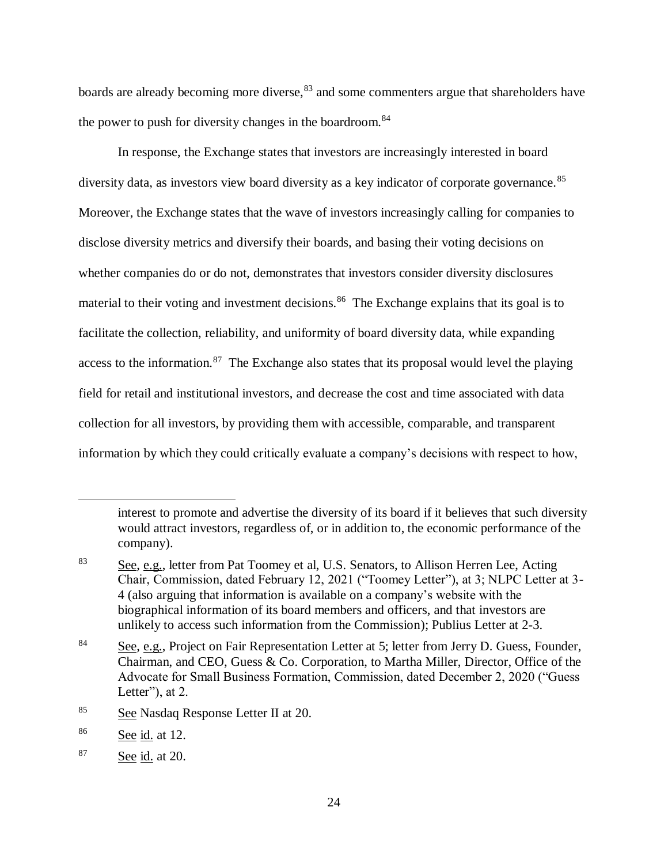boards are already becoming more diverse,<sup>83</sup> and some commenters argue that shareholders have the power to push for diversity changes in the boardroom.<sup>84</sup>

In response, the Exchange states that investors are increasingly interested in board diversity data, as investors view board diversity as a key indicator of corporate governance.<sup>85</sup> Moreover, the Exchange states that the wave of investors increasingly calling for companies to disclose diversity metrics and diversify their boards, and basing their voting decisions on whether companies do or do not, demonstrates that investors consider diversity disclosures material to their voting and investment decisions.<sup>86</sup> The Exchange explains that its goal is to facilitate the collection, reliability, and uniformity of board diversity data, while expanding access to the information.<sup>87</sup> The Exchange also states that its proposal would level the playing field for retail and institutional investors, and decrease the cost and time associated with data collection for all investors, by providing them with accessible, comparable, and transparent information by which they could critically evaluate a company's decisions with respect to how,

interest to promote and advertise the diversity of its board if it believes that such diversity would attract investors, regardless of, or in addition to, the economic performance of the company).

<sup>83</sup> See, e.g., letter from Pat Toomey et al, U.S. Senators, to Allison Herren Lee, Acting Chair, Commission, dated February 12, 2021 ("Toomey Letter"), at 3; NLPC Letter at 3- 4 (also arguing that information is available on a company's website with the biographical information of its board members and officers, and that investors are unlikely to access such information from the Commission); Publius Letter at 2-3.

<sup>&</sup>lt;sup>84</sup> See, e.g., Project on Fair Representation Letter at 5; letter from Jerry D. Guess, Founder, Chairman, and CEO, Guess & Co. Corporation, to Martha Miller, Director, Office of the Advocate for Small Business Formation, Commission, dated December 2, 2020 ("Guess Letter"), at 2.

<sup>85</sup> See Nasdaq Response Letter II at 20.

<sup>86</sup> See id. at 12.

<sup>87</sup> See id. at 20.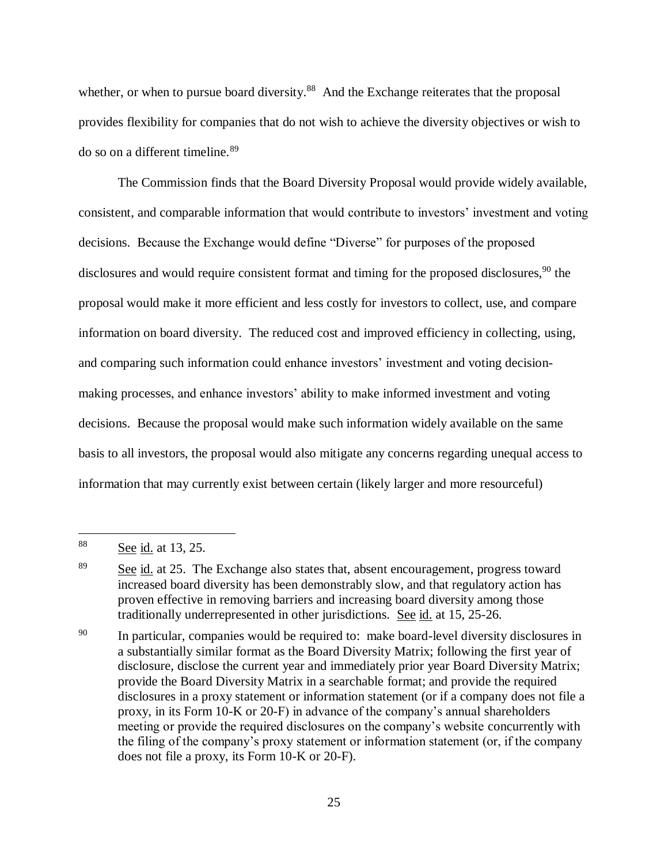whether, or when to pursue board diversity.<sup>88</sup> And the Exchange reiterates that the proposal provides flexibility for companies that do not wish to achieve the diversity objectives or wish to do so on a different timeline.<sup>89</sup>

The Commission finds that the Board Diversity Proposal would provide widely available, consistent, and comparable information that would contribute to investors' investment and voting decisions. Because the Exchange would define "Diverse" for purposes of the proposed disclosures and would require consistent format and timing for the proposed disclosures,  $90$  the proposal would make it more efficient and less costly for investors to collect, use, and compare information on board diversity. The reduced cost and improved efficiency in collecting, using, and comparing such information could enhance investors' investment and voting decisionmaking processes, and enhance investors' ability to make informed investment and voting decisions. Because the proposal would make such information widely available on the same basis to all investors, the proposal would also mitigate any concerns regarding unequal access to information that may currently exist between certain (likely larger and more resourceful)

 $\overline{a}$ 

<sup>90</sup> In particular, companies would be required to: make board-level diversity disclosures in a substantially similar format as the Board Diversity Matrix; following the first year of disclosure, disclose the current year and immediately prior year Board Diversity Matrix; provide the Board Diversity Matrix in a searchable format; and provide the required disclosures in a proxy statement or information statement (or if a company does not file a proxy, in its Form 10-K or 20-F) in advance of the company's annual shareholders meeting or provide the required disclosures on the company's website concurrently with the filing of the company's proxy statement or information statement (or, if the company does not file a proxy, its Form 10-K or 20-F).

<sup>88</sup> See id. at 13, 25.

 $89$  See id. at 25. The Exchange also states that, absent encouragement, progress toward increased board diversity has been demonstrably slow, and that regulatory action has proven effective in removing barriers and increasing board diversity among those traditionally underrepresented in other jurisdictions. See id. at 15, 25-26.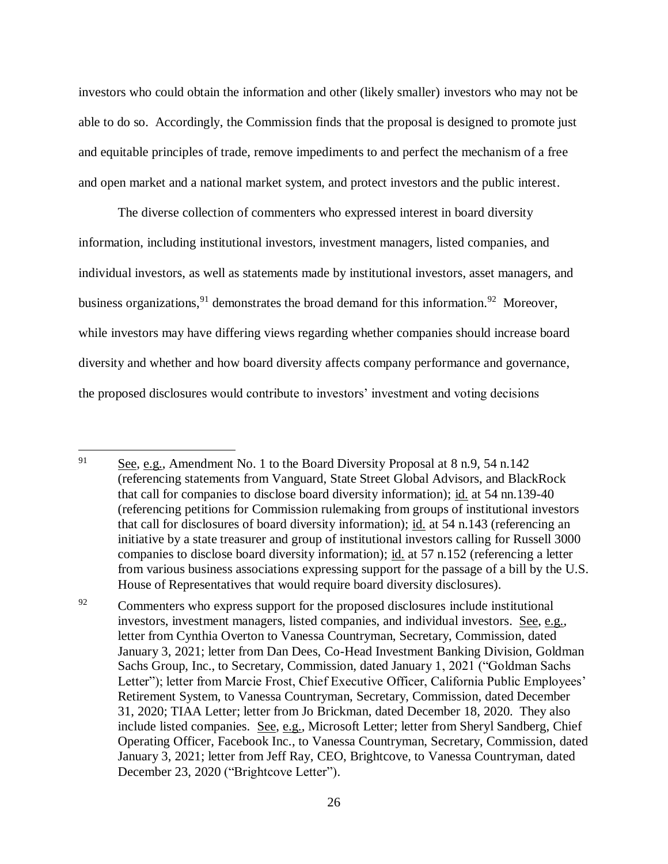investors who could obtain the information and other (likely smaller) investors who may not be able to do so. Accordingly, the Commission finds that the proposal is designed to promote just and equitable principles of trade, remove impediments to and perfect the mechanism of a free and open market and a national market system, and protect investors and the public interest.

The diverse collection of commenters who expressed interest in board diversity information, including institutional investors, investment managers, listed companies, and individual investors, as well as statements made by institutional investors, asset managers, and business organizations,<sup>91</sup> demonstrates the broad demand for this information.<sup>92</sup> Moreover, while investors may have differing views regarding whether companies should increase board diversity and whether and how board diversity affects company performance and governance, the proposed disclosures would contribute to investors' investment and voting decisions

<sup>91</sup> See, e.g., Amendment No. 1 to the Board Diversity Proposal at 8 n.9, 54 n.142 (referencing statements from Vanguard, State Street Global Advisors, and BlackRock that call for companies to disclose board diversity information); id. at 54 nn.139-40 (referencing petitions for Commission rulemaking from groups of institutional investors that call for disclosures of board diversity information); id. at 54 n.143 (referencing an initiative by a state treasurer and group of institutional investors calling for Russell 3000 companies to disclose board diversity information); id. at 57 n.152 (referencing a letter from various business associations expressing support for the passage of a bill by the U.S. House of Representatives that would require board diversity disclosures).

 $92$  Commenters who express support for the proposed disclosures include institutional investors, investment managers, listed companies, and individual investors. See, e.g., letter from Cynthia Overton to Vanessa Countryman, Secretary, Commission, dated January 3, 2021; letter from Dan Dees, Co-Head Investment Banking Division, Goldman Sachs Group, Inc., to Secretary, Commission, dated January 1, 2021 ("Goldman Sachs Letter"); letter from Marcie Frost, Chief Executive Officer, California Public Employees' Retirement System, to Vanessa Countryman, Secretary, Commission, dated December 31, 2020; TIAA Letter; letter from Jo Brickman, dated December 18, 2020. They also include listed companies. See, e.g., Microsoft Letter; letter from Sheryl Sandberg, Chief Operating Officer, Facebook Inc., to Vanessa Countryman, Secretary, Commission, dated January 3, 2021; letter from Jeff Ray, CEO, Brightcove, to Vanessa Countryman, dated December 23, 2020 ("Brightcove Letter").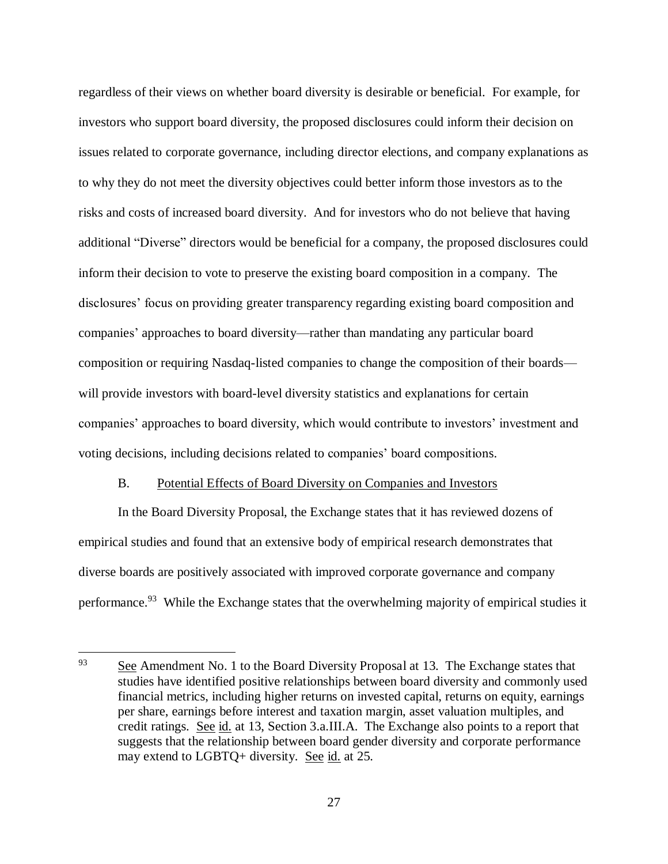regardless of their views on whether board diversity is desirable or beneficial. For example, for investors who support board diversity, the proposed disclosures could inform their decision on issues related to corporate governance, including director elections, and company explanations as to why they do not meet the diversity objectives could better inform those investors as to the risks and costs of increased board diversity. And for investors who do not believe that having additional "Diverse" directors would be beneficial for a company, the proposed disclosures could inform their decision to vote to preserve the existing board composition in a company. The disclosures' focus on providing greater transparency regarding existing board composition and companies' approaches to board diversity—rather than mandating any particular board composition or requiring Nasdaq-listed companies to change the composition of their boards will provide investors with board-level diversity statistics and explanations for certain companies' approaches to board diversity, which would contribute to investors' investment and voting decisions, including decisions related to companies' board compositions.

#### B. Potential Effects of Board Diversity on Companies and Investors

 $\overline{a}$ 

In the Board Diversity Proposal, the Exchange states that it has reviewed dozens of empirical studies and found that an extensive body of empirical research demonstrates that diverse boards are positively associated with improved corporate governance and company performance.<sup>93</sup> While the Exchange states that the overwhelming majority of empirical studies it

<sup>&</sup>lt;sup>93</sup> See Amendment No. 1 to the Board Diversity Proposal at 13. The Exchange states that studies have identified positive relationships between board diversity and commonly used financial metrics, including higher returns on invested capital, returns on equity, earnings per share, earnings before interest and taxation margin, asset valuation multiples, and credit ratings. See id. at 13, Section 3.a.III.A. The Exchange also points to a report that suggests that the relationship between board gender diversity and corporate performance may extend to LGBTQ+ diversity. See id. at 25.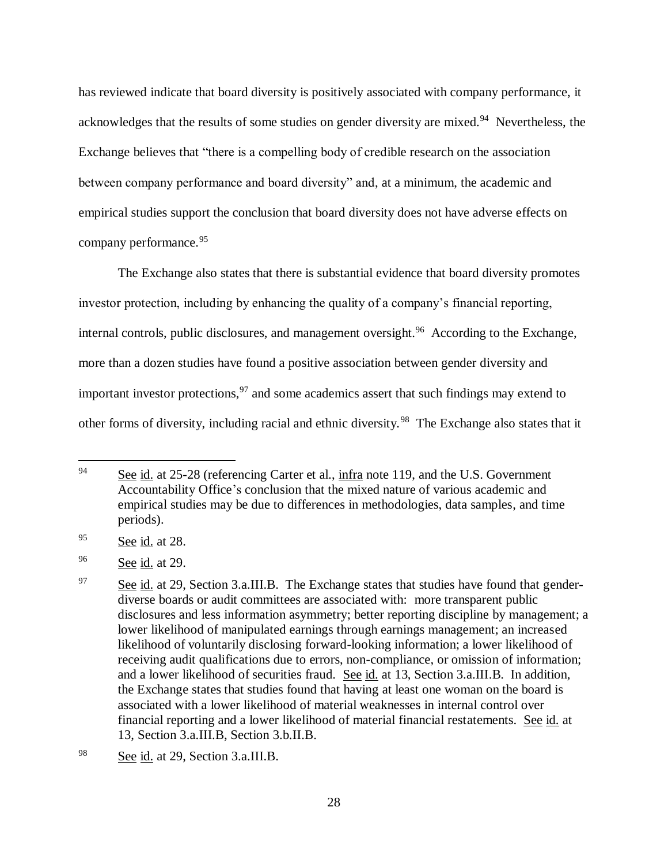has reviewed indicate that board diversity is positively associated with company performance, it acknowledges that the results of some studies on gender diversity are mixed.<sup>94</sup> Nevertheless, the Exchange believes that "there is a compelling body of credible research on the association between company performance and board diversity" and, at a minimum, the academic and empirical studies support the conclusion that board diversity does not have adverse effects on company performance.<sup>95</sup>

The Exchange also states that there is substantial evidence that board diversity promotes investor protection, including by enhancing the quality of a company's financial reporting, internal controls, public disclosures, and management oversight.<sup>96</sup> According to the Exchange, more than a dozen studies have found a positive association between gender diversity and important investor protections,  $97$  and some academics assert that such findings may extend to other forms of diversity, including racial and ethnic diversity.<sup>98</sup> The Exchange also states that it

<sup>94</sup> See id. at 25-28 (referencing Carter et al., infra note [119,](#page-31-0) and the U.S. Government Accountability Office's conclusion that the mixed nature of various academic and empirical studies may be due to differences in methodologies, data samples, and time periods).

<sup>95</sup> See id. at 28.

<sup>96</sup> See id. at 29.

 $97$  See id. at 29, Section 3.a.III.B. The Exchange states that studies have found that genderdiverse boards or audit committees are associated with: more transparent public disclosures and less information asymmetry; better reporting discipline by management; a lower likelihood of manipulated earnings through earnings management; an increased likelihood of voluntarily disclosing forward-looking information; a lower likelihood of receiving audit qualifications due to errors, non-compliance, or omission of information; and a lower likelihood of securities fraud. See id. at 13, Section 3.a.III.B. In addition, the Exchange states that studies found that having at least one woman on the board is associated with a lower likelihood of material weaknesses in internal control over financial reporting and a lower likelihood of material financial restatements. See id. at 13, Section 3.a.III.B, Section 3.b.II.B.

<sup>98</sup> See id. at 29, Section 3.a.III.B.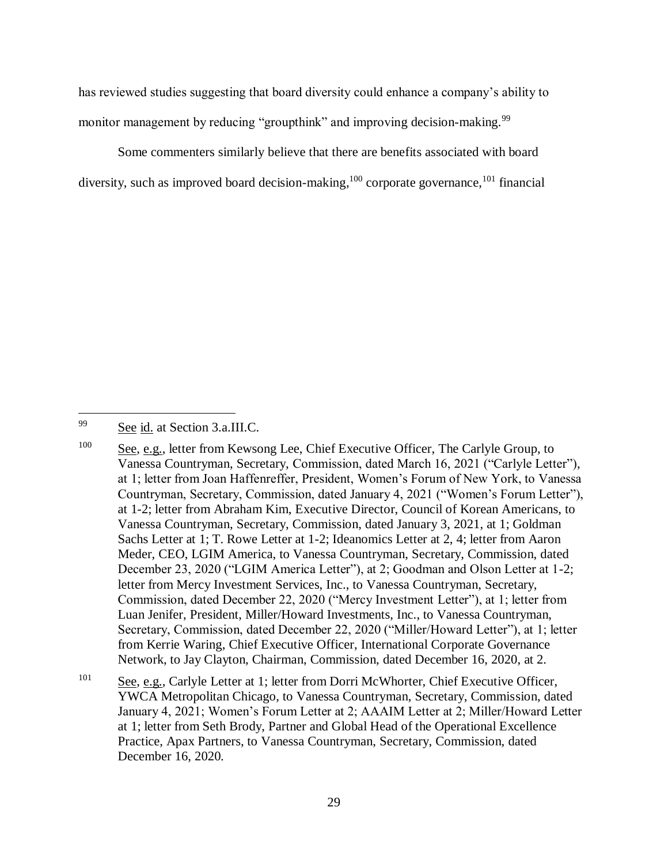has reviewed studies suggesting that board diversity could enhance a company's ability to monitor management by reducing "groupthink" and improving decision-making.<sup>99</sup>

Some commenters similarly believe that there are benefits associated with board diversity, such as improved board decision-making,<sup>100</sup> corporate governance,<sup>101</sup> financial

<sup>99</sup> See id. at Section 3.a.III.C.

 $\overline{a}$ 

<sup>101</sup> See, e.g., Carlyle Letter at 1; letter from Dorri McWhorter, Chief Executive Officer, YWCA Metropolitan Chicago, to Vanessa Countryman, Secretary, Commission, dated January 4, 2021; Women's Forum Letter at 2; AAAIM Letter at 2; Miller/Howard Letter at 1; letter from Seth Brody, Partner and Global Head of the Operational Excellence Practice, Apax Partners, to Vanessa Countryman, Secretary, Commission, dated December 16, 2020.

<sup>100</sup> See, e.g., letter from Kewsong Lee, Chief Executive Officer, The Carlyle Group, to Vanessa Countryman, Secretary, Commission, dated March 16, 2021 ("Carlyle Letter"), at 1; letter from Joan Haffenreffer, President, Women's Forum of New York, to Vanessa Countryman, Secretary, Commission, dated January 4, 2021 ("Women's Forum Letter"), at 1-2; letter from Abraham Kim, Executive Director, Council of Korean Americans, to Vanessa Countryman, Secretary, Commission, dated January 3, 2021, at 1; Goldman Sachs Letter at 1; T. Rowe Letter at 1-2; Ideanomics Letter at 2, 4; letter from Aaron Meder, CEO, LGIM America, to Vanessa Countryman, Secretary, Commission, dated December 23, 2020 ("LGIM America Letter"), at 2; Goodman and Olson Letter at 1-2; letter from Mercy Investment Services, Inc., to Vanessa Countryman, Secretary, Commission, dated December 22, 2020 ("Mercy Investment Letter"), at 1; letter from Luan Jenifer, President, Miller/Howard Investments, Inc., to Vanessa Countryman, Secretary, Commission, dated December 22, 2020 ("Miller/Howard Letter"), at 1; letter from Kerrie Waring, Chief Executive Officer, International Corporate Governance Network, to Jay Clayton, Chairman, Commission, dated December 16, 2020, at 2.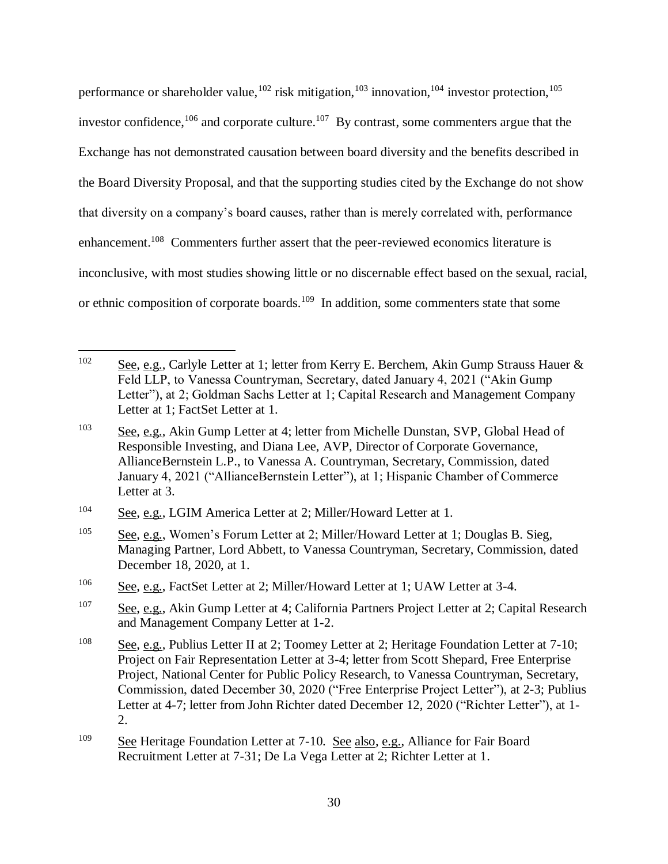performance or shareholder value,  $^{102}$  risk mitigation,  $^{103}$  innovation,  $^{104}$  investor protection,  $^{105}$ investor confidence,  $106$  and corporate culture.  $107$  By contrast, some commenters argue that the Exchange has not demonstrated causation between board diversity and the benefits described in the Board Diversity Proposal, and that the supporting studies cited by the Exchange do not show that diversity on a company's board causes, rather than is merely correlated with, performance enhancement.<sup>108</sup> Commenters further assert that the peer-reviewed economics literature is inconclusive, with most studies showing little or no discernable effect based on the sexual, racial, or ethnic composition of corporate boards.<sup>109</sup> In addition, some commenters state that some

<sup>102</sup> See, e.g., Carlyle Letter at 1; letter from Kerry E. Berchem, Akin Gump Strauss Hauer  $\&$ Feld LLP, to Vanessa Countryman, Secretary, dated January 4, 2021 ("Akin Gump Letter"), at 2; Goldman Sachs Letter at 1; Capital Research and Management Company Letter at 1; FactSet Letter at 1.

<sup>&</sup>lt;sup>103</sup> See, e.g., Akin Gump Letter at 4; letter from Michelle Dunstan, SVP, Global Head of Responsible Investing, and Diana Lee, AVP, Director of Corporate Governance, AllianceBernstein L.P., to Vanessa A. Countryman, Secretary, Commission, dated January 4, 2021 ("AllianceBernstein Letter"), at 1; Hispanic Chamber of Commerce Letter at 3.

<sup>104</sup> See, e.g., LGIM America Letter at 2; Miller/Howard Letter at 1.

<sup>105</sup> See, e.g., Women's Forum Letter at 2; Miller/Howard Letter at 1; Douglas B. Sieg, Managing Partner, Lord Abbett, to Vanessa Countryman, Secretary, Commission, dated December 18, 2020, at 1.

<sup>106</sup> See, e.g., FactSet Letter at 2; Miller/Howard Letter at 1; UAW Letter at 3-4.

<sup>107</sup> See, e.g., Akin Gump Letter at 4; California Partners Project Letter at 2; Capital Research and Management Company Letter at 1-2.

<sup>108</sup> See, e.g., Publius Letter II at 2; Toomey Letter at 2; Heritage Foundation Letter at 7-10; Project on Fair Representation Letter at 3-4; letter from Scott Shepard, Free Enterprise Project, National Center for Public Policy Research, to Vanessa Countryman, Secretary, Commission, dated December 30, 2020 ("Free Enterprise Project Letter"), at 2-3; Publius Letter at 4-7; letter from John Richter dated December 12, 2020 ("Richter Letter"), at 1- 2.

<sup>109</sup> See Heritage Foundation Letter at 7-10. See also, e.g., Alliance for Fair Board Recruitment Letter at 7-31; De La Vega Letter at 2; Richter Letter at 1.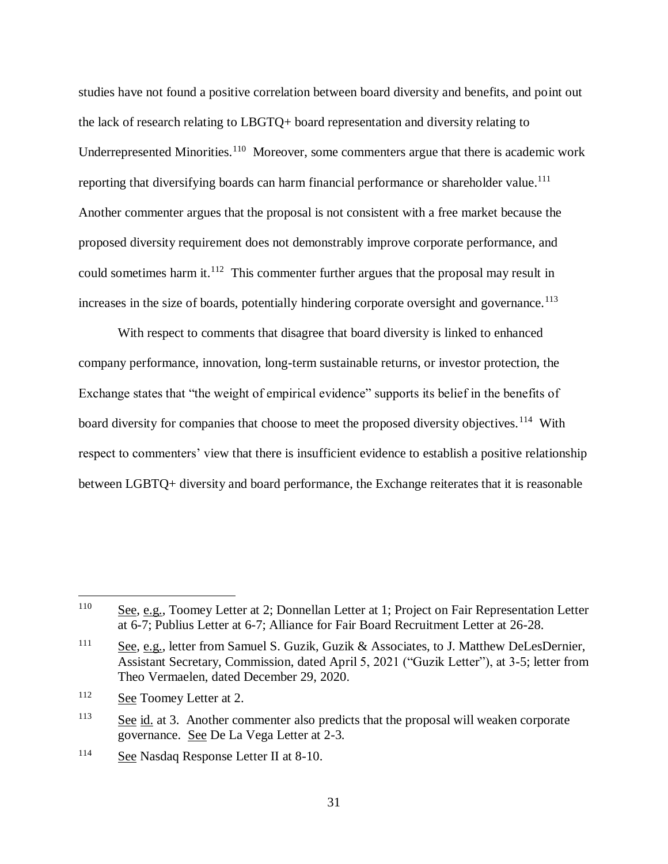studies have not found a positive correlation between board diversity and benefits, and point out the lack of research relating to LBGTQ+ board representation and diversity relating to Underrepresented Minorities.<sup>110</sup> Moreover, some commenters argue that there is academic work reporting that diversifying boards can harm financial performance or shareholder value.<sup>111</sup> Another commenter argues that the proposal is not consistent with a free market because the proposed diversity requirement does not demonstrably improve corporate performance, and could sometimes harm it. $112$  This commenter further argues that the proposal may result in increases in the size of boards, potentially hindering corporate oversight and governance.<sup>113</sup>

With respect to comments that disagree that board diversity is linked to enhanced company performance, innovation, long-term sustainable returns, or investor protection, the Exchange states that "the weight of empirical evidence" supports its belief in the benefits of board diversity for companies that choose to meet the proposed diversity objectives.<sup>114</sup> With respect to commenters' view that there is insufficient evidence to establish a positive relationship between LGBTQ+ diversity and board performance, the Exchange reiterates that it is reasonable

<sup>&</sup>lt;sup>110</sup> See, e.g., Toomey Letter at 2; Donnellan Letter at 1; Project on Fair Representation Letter at 6-7; Publius Letter at 6-7; Alliance for Fair Board Recruitment Letter at 26-28.

<sup>&</sup>lt;sup>111</sup> See, e.g., letter from Samuel S. Guzik, Guzik & Associates, to J. Matthew DeLesDernier, Assistant Secretary, Commission, dated April 5, 2021 ("Guzik Letter"), at 3-5; letter from Theo Vermaelen, dated December 29, 2020.

<sup>112</sup> See Toomey Letter at 2.

 $\frac{113}{113}$  See id. at 3. Another commenter also predicts that the proposal will weaken corporate governance. See De La Vega Letter at 2-3.

<sup>114</sup> See Nasdaq Response Letter II at 8-10.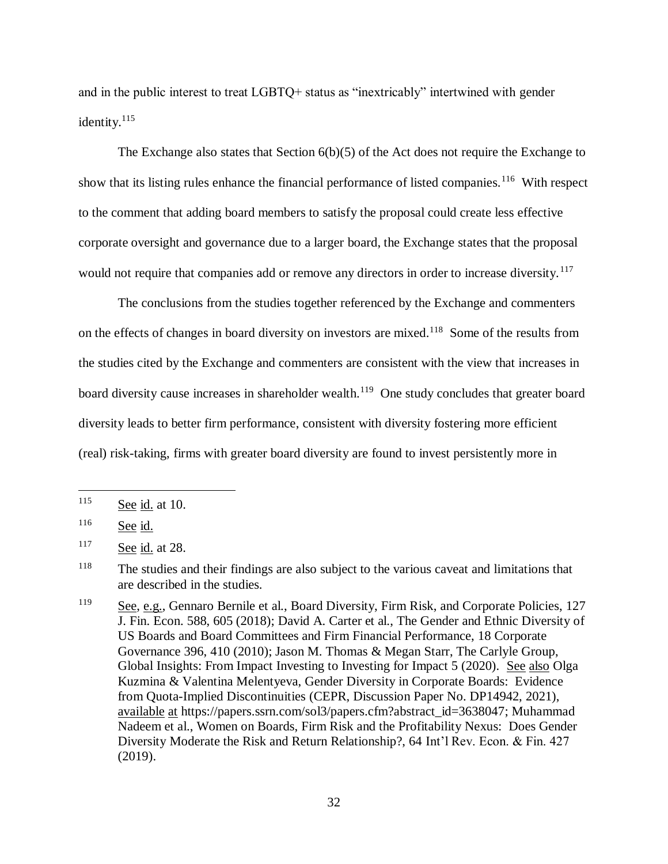and in the public interest to treat LGBTQ+ status as "inextricably" intertwined with gender identity.<sup>115</sup>

The Exchange also states that Section 6(b)(5) of the Act does not require the Exchange to show that its listing rules enhance the financial performance of listed companies.<sup>116</sup> With respect to the comment that adding board members to satisfy the proposal could create less effective corporate oversight and governance due to a larger board, the Exchange states that the proposal would not require that companies add or remove any directors in order to increase diversity.<sup>117</sup>

<span id="page-31-0"></span>The conclusions from the studies together referenced by the Exchange and commenters on the effects of changes in board diversity on investors are mixed.<sup>118</sup> Some of the results from the studies cited by the Exchange and commenters are consistent with the view that increases in board diversity cause increases in shareholder wealth.<sup>119</sup> One study concludes that greater board diversity leads to better firm performance, consistent with diversity fostering more efficient (real) risk-taking, firms with greater board diversity are found to invest persistently more in

 $\overline{a}$ 

<sup>118</sup> The studies and their findings are also subject to the various caveat and limitations that are described in the studies.

<sup>119</sup> See, e.g., Gennaro Bernile et al., Board Diversity, Firm Risk, and Corporate Policies, 127 J. Fin. Econ. 588, 605 (2018); David A. Carter et al., The Gender and Ethnic Diversity of US Boards and Board Committees and Firm Financial Performance, 18 Corporate Governance 396, 410 (2010); Jason M. Thomas & Megan Starr, The Carlyle Group, Global Insights: From Impact Investing to Investing for Impact 5 (2020). See also Olga Kuzmina & Valentina Melentyeva, Gender Diversity in Corporate Boards: Evidence from Quota-Implied Discontinuities (CEPR, Discussion Paper No. DP14942, 2021), available at https://papers.ssrn.com/sol3/papers.cfm?abstract\_id=3638047; Muhammad Nadeem et al., Women on Boards, Firm Risk and the Profitability Nexus: Does Gender Diversity Moderate the Risk and Return Relationship?, 64 Int'l Rev. Econ. & Fin. 427 (2019).

<sup>115</sup> See id. at 10.

 $116$  See id.

<sup>117</sup> See id. at 28.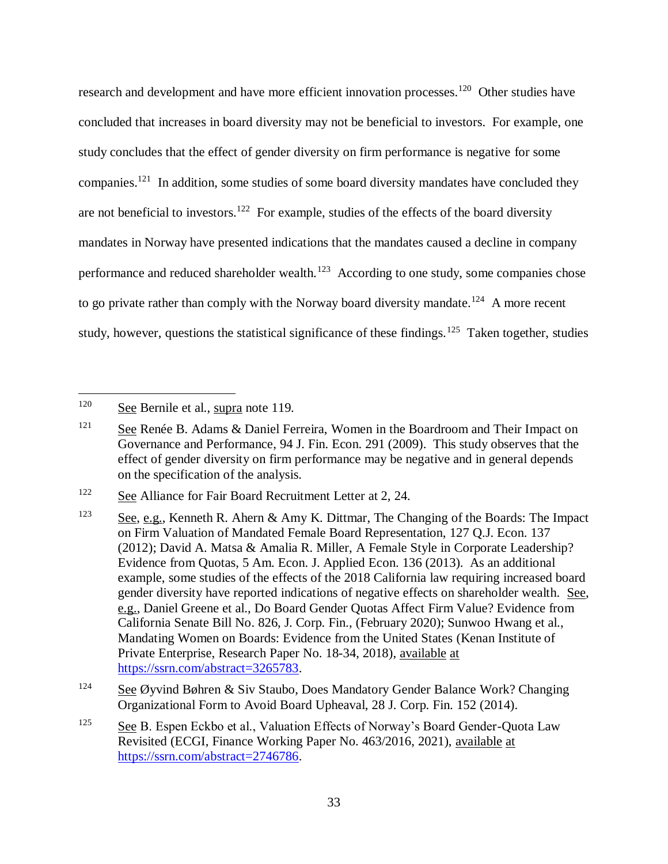research and development and have more efficient innovation processes.<sup>120</sup> Other studies have concluded that increases in board diversity may not be beneficial to investors. For example, one study concludes that the effect of gender diversity on firm performance is negative for some companies.<sup>121</sup> In addition, some studies of some board diversity mandates have concluded they are not beneficial to investors.<sup>122</sup> For example, studies of the effects of the board diversity mandates in Norway have presented indications that the mandates caused a decline in company performance and reduced shareholder wealth.<sup>123</sup> According to one study, some companies chose to go private rather than comply with the Norway board diversity mandate.<sup>124</sup> A more recent study, however, questions the statistical significance of these findings.<sup>125</sup> Taken together, studies

<sup>120</sup> See Bernile et al., supra note [119.](#page-31-0)

<sup>&</sup>lt;sup>121</sup> See Renée B. Adams & Daniel Ferreira, Women in the Boardroom and Their Impact on Governance and Performance, 94 J. Fin. Econ. 291 (2009). This study observes that the effect of gender diversity on firm performance may be negative and in general depends on the specification of the analysis.

<sup>&</sup>lt;sup>122</sup> See Alliance for Fair Board Recruitment Letter at 2, 24.

<sup>&</sup>lt;sup>123</sup> See, e.g., Kenneth R. Ahern & Amy K. Dittmar, The Changing of the Boards: The Impact on Firm Valuation of Mandated Female Board Representation, 127 Q.J. Econ. 137 (2012); David A. Matsa & Amalia R. Miller, A Female Style in Corporate Leadership? Evidence from Quotas, 5 Am. Econ. J. Applied Econ. 136 (2013). As an additional example, some studies of the effects of the 2018 California law requiring increased board gender diversity have reported indications of negative effects on shareholder wealth. See, e.g., Daniel Greene et al., Do Board Gender Quotas Affect Firm Value? Evidence from California Senate Bill No. 826, J. Corp. Fin., (February 2020); Sunwoo Hwang et al., Mandating Women on Boards: Evidence from the United States (Kenan Institute of Private Enterprise, Research Paper No. 18-34, 2018), available at [https://ssrn.com/abstract=3265783.](https://ssrn.com/abstract=3265783)

<sup>&</sup>lt;sup>124</sup> See Øyvind Bøhren & Siv Staubo, Does Mandatory Gender Balance Work? Changing Organizational Form to Avoid Board Upheaval, 28 J. Corp. Fin. 152 (2014).

<sup>&</sup>lt;sup>125</sup> See B. Espen Eckbo et al., Valuation Effects of Norway's Board Gender-Quota Law Revisited (ECGI, Finance Working Paper No. 463/2016, 2021), available at [https://ssrn.com/abstract=2746786.](https://ssrn.com/abstract=2746786)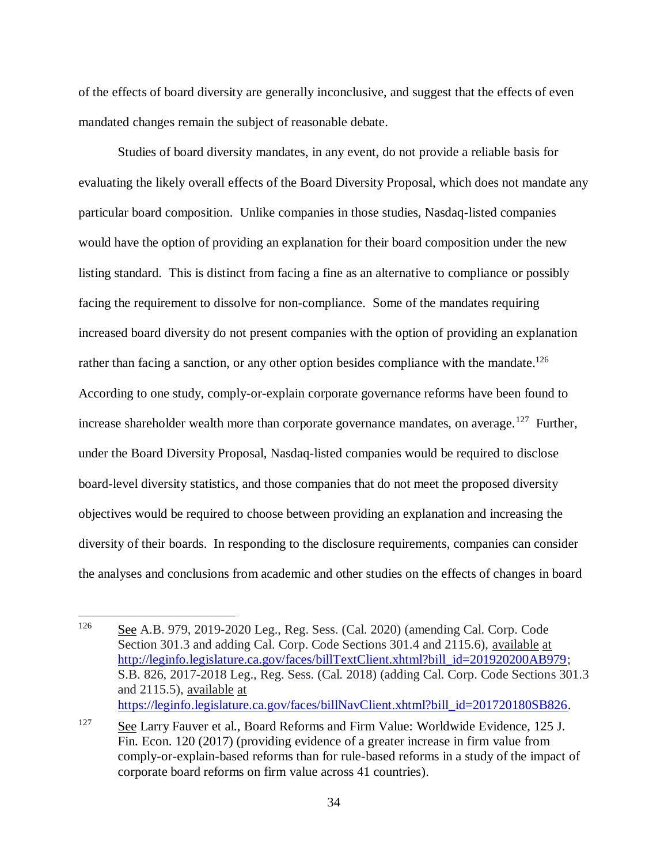of the effects of board diversity are generally inconclusive, and suggest that the effects of even mandated changes remain the subject of reasonable debate.

Studies of board diversity mandates, in any event, do not provide a reliable basis for evaluating the likely overall effects of the Board Diversity Proposal, which does not mandate any particular board composition. Unlike companies in those studies, Nasdaq-listed companies would have the option of providing an explanation for their board composition under the new listing standard. This is distinct from facing a fine as an alternative to compliance or possibly facing the requirement to dissolve for non-compliance. Some of the mandates requiring increased board diversity do not present companies with the option of providing an explanation rather than facing a sanction, or any other option besides compliance with the mandate.<sup>126</sup> According to one study, comply-or-explain corporate governance reforms have been found to increase shareholder wealth more than corporate governance mandates, on average.<sup>127</sup> Further, under the Board Diversity Proposal, Nasdaq-listed companies would be required to disclose board-level diversity statistics, and those companies that do not meet the proposed diversity objectives would be required to choose between providing an explanation and increasing the diversity of their boards. In responding to the disclosure requirements, companies can consider the analyses and conclusions from academic and other studies on the effects of changes in board

<sup>126</sup> See A.B. 979, 2019-2020 Leg., Reg. Sess. (Cal. 2020) (amending Cal. Corp. Code Section 301.3 and adding Cal. Corp. Code Sections 301.4 and 2115.6), available at [http://leginfo.legislature.ca.gov/faces/billTextClient.xhtml?bill\\_id=201920200AB979;](http://leginfo.legislature.ca.gov/faces/billTextClient.xhtml?bill_id=201920200AB979) S.B. 826, 2017-2018 Leg., Reg. Sess. (Cal. 2018) (adding Cal. Corp. Code Sections 301.3 and 2115.5), available at [https://leginfo.legislature.ca.gov/faces/billNavClient.xhtml?bill\\_id=201720180SB826.](https://leginfo.legislature.ca.gov/faces/billNavClient.xhtml?bill_id=201720180SB826)

<sup>&</sup>lt;sup>127</sup> See Larry Fauver et al., Board Reforms and Firm Value: Worldwide Evidence, 125 J. Fin. Econ. 120 (2017) (providing evidence of a greater increase in firm value from comply-or-explain-based reforms than for rule-based reforms in a study of the impact of corporate board reforms on firm value across 41 countries).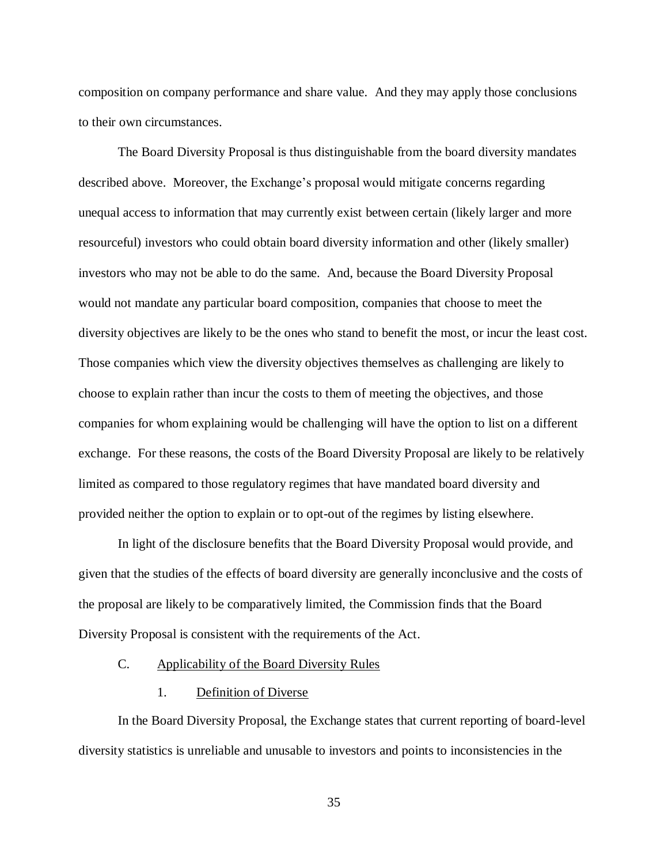composition on company performance and share value. And they may apply those conclusions to their own circumstances.

The Board Diversity Proposal is thus distinguishable from the board diversity mandates described above. Moreover, the Exchange's proposal would mitigate concerns regarding unequal access to information that may currently exist between certain (likely larger and more resourceful) investors who could obtain board diversity information and other (likely smaller) investors who may not be able to do the same. And, because the Board Diversity Proposal would not mandate any particular board composition, companies that choose to meet the diversity objectives are likely to be the ones who stand to benefit the most, or incur the least cost. Those companies which view the diversity objectives themselves as challenging are likely to choose to explain rather than incur the costs to them of meeting the objectives, and those companies for whom explaining would be challenging will have the option to list on a different exchange. For these reasons, the costs of the Board Diversity Proposal are likely to be relatively limited as compared to those regulatory regimes that have mandated board diversity and provided neither the option to explain or to opt-out of the regimes by listing elsewhere.

In light of the disclosure benefits that the Board Diversity Proposal would provide, and given that the studies of the effects of board diversity are generally inconclusive and the costs of the proposal are likely to be comparatively limited, the Commission finds that the Board Diversity Proposal is consistent with the requirements of the Act.

#### C. Applicability of the Board Diversity Rules

### 1. Definition of Diverse

In the Board Diversity Proposal, the Exchange states that current reporting of board-level diversity statistics is unreliable and unusable to investors and points to inconsistencies in the

35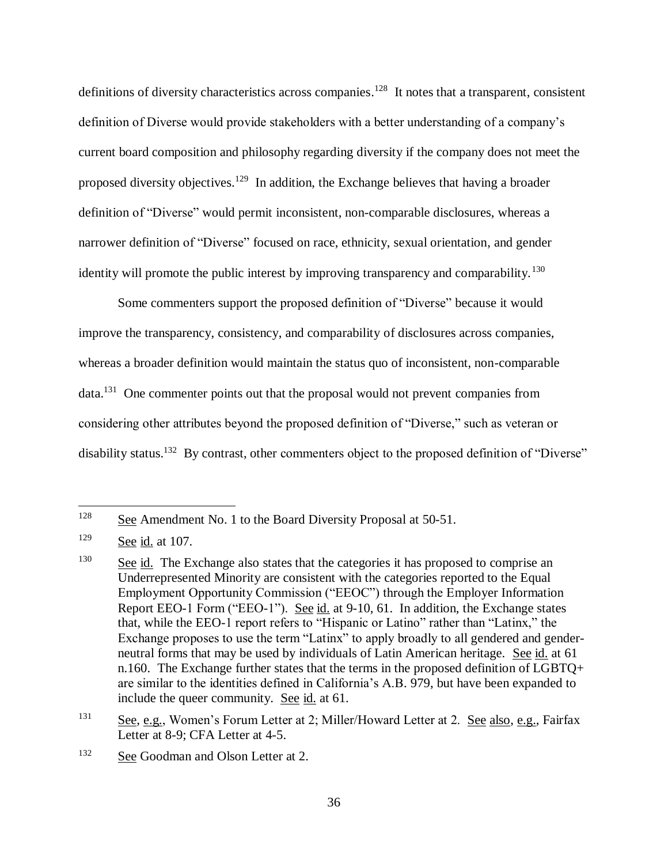definitions of diversity characteristics across companies.<sup>128</sup> It notes that a transparent, consistent definition of Diverse would provide stakeholders with a better understanding of a company's current board composition and philosophy regarding diversity if the company does not meet the proposed diversity objectives.<sup>129</sup> In addition, the Exchange believes that having a broader definition of "Diverse" would permit inconsistent, non-comparable disclosures, whereas a narrower definition of "Diverse" focused on race, ethnicity, sexual orientation, and gender identity will promote the public interest by improving transparency and comparability.<sup>130</sup>

Some commenters support the proposed definition of "Diverse" because it would improve the transparency, consistency, and comparability of disclosures across companies, whereas a broader definition would maintain the status quo of inconsistent, non-comparable data.<sup>131</sup> One commenter points out that the proposal would not prevent companies from considering other attributes beyond the proposed definition of "Diverse," such as veteran or disability status.<sup>132</sup> By contrast, other commenters object to the proposed definition of "Diverse"

<sup>128</sup> See Amendment No. 1 to the Board Diversity Proposal at 50-51.

<sup>129</sup> See id. at 107.

 $\frac{130}{2}$  See id. The Exchange also states that the categories it has proposed to comprise an Underrepresented Minority are consistent with the categories reported to the Equal Employment Opportunity Commission ("EEOC") through the Employer Information Report EEO-1 Form ("EEO-1"). See id. at 9-10, 61. In addition, the Exchange states that, while the EEO-1 report refers to "Hispanic or Latino" rather than "Latinx," the Exchange proposes to use the term "Latinx" to apply broadly to all gendered and genderneutral forms that may be used by individuals of Latin American heritage. See id. at 61 n.160. The Exchange further states that the terms in the proposed definition of LGBTQ+ are similar to the identities defined in California's A.B. 979, but have been expanded to include the queer community. See id. at 61.

<sup>&</sup>lt;sup>131</sup> See, e.g., Women's Forum Letter at 2; Miller/Howard Letter at 2. See also, e.g., Fairfax Letter at 8-9; CFA Letter at 4-5.

<sup>&</sup>lt;sup>132</sup> See Goodman and Olson Letter at 2.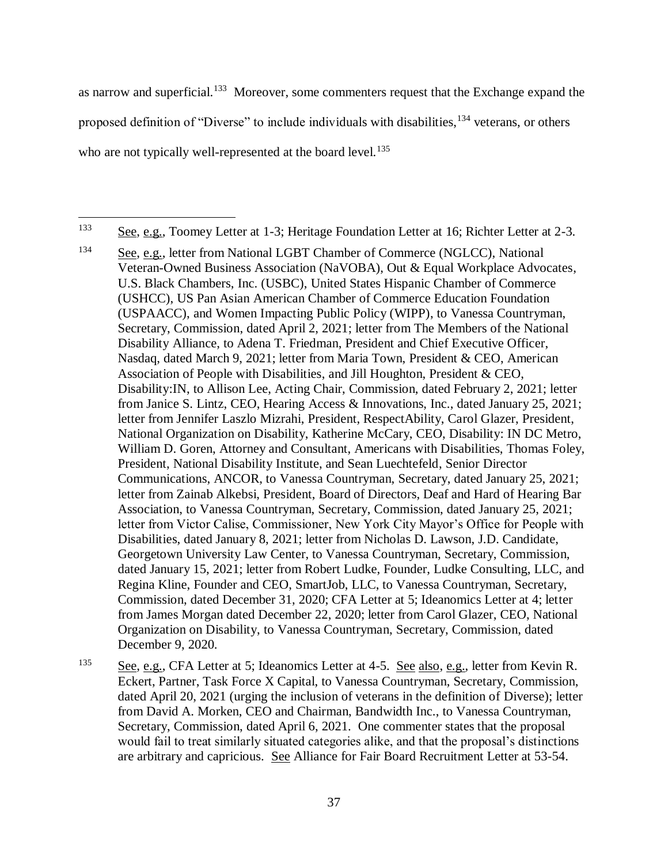as narrow and superficial.<sup>133</sup> Moreover, some commenters request that the Exchange expand the proposed definition of "Diverse" to include individuals with disabilities, <sup>134</sup> veterans, or others who are not typically well-represented at the board level.<sup>135</sup>

<sup>133</sup> See, e.g., Toomey Letter at 1-3; Heritage Foundation Letter at 16; Richter Letter at 2-3.

<sup>134</sup> See, e.g., letter from National LGBT Chamber of Commerce (NGLCC), National Veteran-Owned Business Association (NaVOBA), Out & Equal Workplace Advocates, U.S. Black Chambers, Inc. (USBC), United States Hispanic Chamber of Commerce (USHCC), US Pan Asian American Chamber of Commerce Education Foundation (USPAACC), and Women Impacting Public Policy (WIPP), to Vanessa Countryman, Secretary, Commission, dated April 2, 2021; letter from The Members of the National Disability Alliance, to Adena T. Friedman, President and Chief Executive Officer, Nasdaq, dated March 9, 2021; letter from Maria Town, President & CEO, American Association of People with Disabilities, and Jill Houghton, President & CEO, Disability:IN, to Allison Lee, Acting Chair, Commission, dated February 2, 2021; letter from Janice S. Lintz, CEO, Hearing Access & Innovations, Inc., dated January 25, 2021; letter from Jennifer Laszlo Mizrahi, President, RespectAbility, Carol Glazer, President, National Organization on Disability, Katherine McCary, CEO, Disability: IN DC Metro, William D. Goren, Attorney and Consultant, Americans with Disabilities, Thomas Foley, President, National Disability Institute, and Sean Luechtefeld, Senior Director Communications, ANCOR, to Vanessa Countryman, Secretary, dated January 25, 2021; letter from Zainab Alkebsi, President, Board of Directors, Deaf and Hard of Hearing Bar Association, to Vanessa Countryman, Secretary, Commission, dated January 25, 2021; letter from Victor Calise, Commissioner, New York City Mayor's Office for People with Disabilities, dated January 8, 2021; letter from Nicholas D. Lawson, J.D. Candidate, Georgetown University Law Center, to Vanessa Countryman, Secretary, Commission, dated January 15, 2021; letter from Robert Ludke, Founder, Ludke Consulting, LLC, and Regina Kline, Founder and CEO, SmartJob, LLC, to Vanessa Countryman, Secretary, Commission, dated December 31, 2020; CFA Letter at 5; Ideanomics Letter at 4; letter from James Morgan dated December 22, 2020; letter from Carol Glazer, CEO, National Organization on Disability, to Vanessa Countryman, Secretary, Commission, dated December 9, 2020.

<sup>135</sup> See, e.g., CFA Letter at 5; Ideanomics Letter at 4-5. See also, e.g., letter from Kevin R. Eckert, Partner, Task Force X Capital, to Vanessa Countryman, Secretary, Commission, dated April 20, 2021 (urging the inclusion of veterans in the definition of Diverse); letter from David A. Morken, CEO and Chairman, Bandwidth Inc., to Vanessa Countryman, Secretary, Commission, dated April 6, 2021. One commenter states that the proposal would fail to treat similarly situated categories alike, and that the proposal's distinctions are arbitrary and capricious. See Alliance for Fair Board Recruitment Letter at 53-54.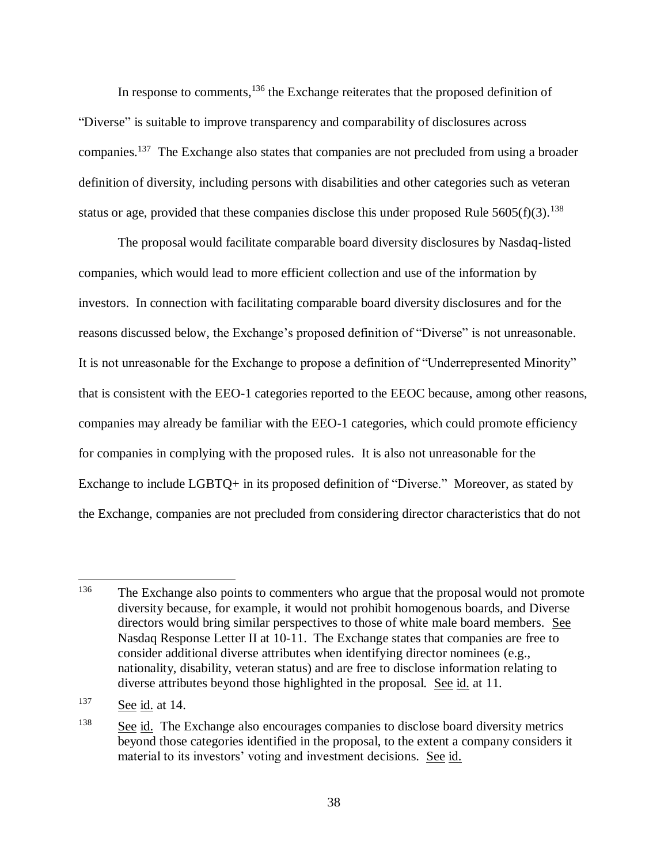In response to comments,  $136$  the Exchange reiterates that the proposed definition of "Diverse" is suitable to improve transparency and comparability of disclosures across companies.<sup>137</sup> The Exchange also states that companies are not precluded from using a broader definition of diversity, including persons with disabilities and other categories such as veteran status or age, provided that these companies disclose this under proposed Rule  $5605(f)(3)$ .<sup>138</sup>

The proposal would facilitate comparable board diversity disclosures by Nasdaq-listed companies, which would lead to more efficient collection and use of the information by investors. In connection with facilitating comparable board diversity disclosures and for the reasons discussed below, the Exchange's proposed definition of "Diverse" is not unreasonable. It is not unreasonable for the Exchange to propose a definition of "Underrepresented Minority" that is consistent with the EEO-1 categories reported to the EEOC because, among other reasons, companies may already be familiar with the EEO-1 categories, which could promote efficiency for companies in complying with the proposed rules. It is also not unreasonable for the Exchange to include LGBTQ+ in its proposed definition of "Diverse." Moreover, as stated by the Exchange, companies are not precluded from considering director characteristics that do not

<sup>&</sup>lt;sup>136</sup> The Exchange also points to commenters who argue that the proposal would not promote diversity because, for example, it would not prohibit homogenous boards, and Diverse directors would bring similar perspectives to those of white male board members. See Nasdaq Response Letter II at 10-11. The Exchange states that companies are free to consider additional diverse attributes when identifying director nominees (e.g., nationality, disability, veteran status) and are free to disclose information relating to diverse attributes beyond those highlighted in the proposal. See id. at 11.

<sup>137</sup> See id. at 14.

<sup>&</sup>lt;sup>138</sup> See id. The Exchange also encourages companies to disclose board diversity metrics beyond those categories identified in the proposal, to the extent a company considers it material to its investors' voting and investment decisions. See id.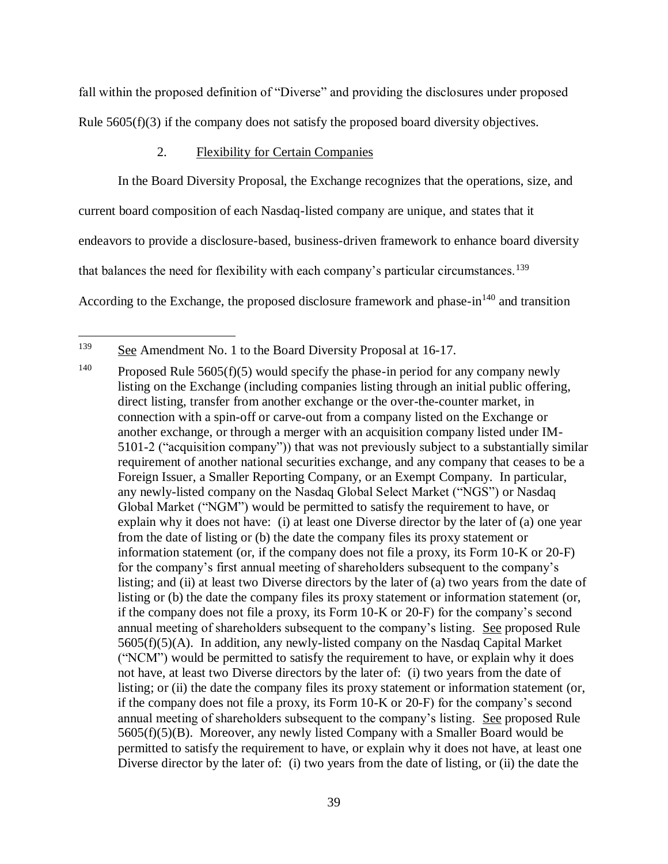fall within the proposed definition of "Diverse" and providing the disclosures under proposed Rule  $5605(f)(3)$  if the company does not satisfy the proposed board diversity objectives.

# 2. Flexibility for Certain Companies

In the Board Diversity Proposal, the Exchange recognizes that the operations, size, and current board composition of each Nasdaq-listed company are unique, and states that it endeavors to provide a disclosure-based, business-driven framework to enhance board diversity that balances the need for flexibility with each company's particular circumstances.<sup>139</sup> According to the Exchange, the proposed disclosure framework and phase- $\text{in}^{140}$  and transition

<sup>&</sup>lt;sup>139</sup> See Amendment No. 1 to the Board Diversity Proposal at 16-17.

<sup>&</sup>lt;sup>140</sup> Proposed Rule 5605(f)(5) would specify the phase-in period for any company newly listing on the Exchange (including companies listing through an initial public offering, direct listing, transfer from another exchange or the over-the-counter market, in connection with a spin-off or carve-out from a company listed on the Exchange or another exchange, or through a merger with an acquisition company listed under IM-5101-2 ("acquisition company")) that was not previously subject to a substantially similar requirement of another national securities exchange, and any company that ceases to be a Foreign Issuer, a Smaller Reporting Company, or an Exempt Company. In particular, any newly-listed company on the Nasdaq Global Select Market ("NGS") or Nasdaq Global Market ("NGM") would be permitted to satisfy the requirement to have, or explain why it does not have: (i) at least one Diverse director by the later of (a) one year from the date of listing or (b) the date the company files its proxy statement or information statement (or, if the company does not file a proxy, its Form 10-K or 20-F) for the company's first annual meeting of shareholders subsequent to the company's listing; and (ii) at least two Diverse directors by the later of (a) two years from the date of listing or (b) the date the company files its proxy statement or information statement (or, if the company does not file a proxy, its Form 10-K or 20-F) for the company's second annual meeting of shareholders subsequent to the company's listing. See proposed Rule 5605(f)(5)(A). In addition, any newly-listed company on the Nasdaq Capital Market ("NCM") would be permitted to satisfy the requirement to have, or explain why it does not have, at least two Diverse directors by the later of: (i) two years from the date of listing; or (ii) the date the company files its proxy statement or information statement (or, if the company does not file a proxy, its Form 10-K or 20-F) for the company's second annual meeting of shareholders subsequent to the company's listing. See proposed Rule 5605(f)(5)(B). Moreover, any newly listed Company with a Smaller Board would be permitted to satisfy the requirement to have, or explain why it does not have, at least one Diverse director by the later of: (i) two years from the date of listing, or (ii) the date the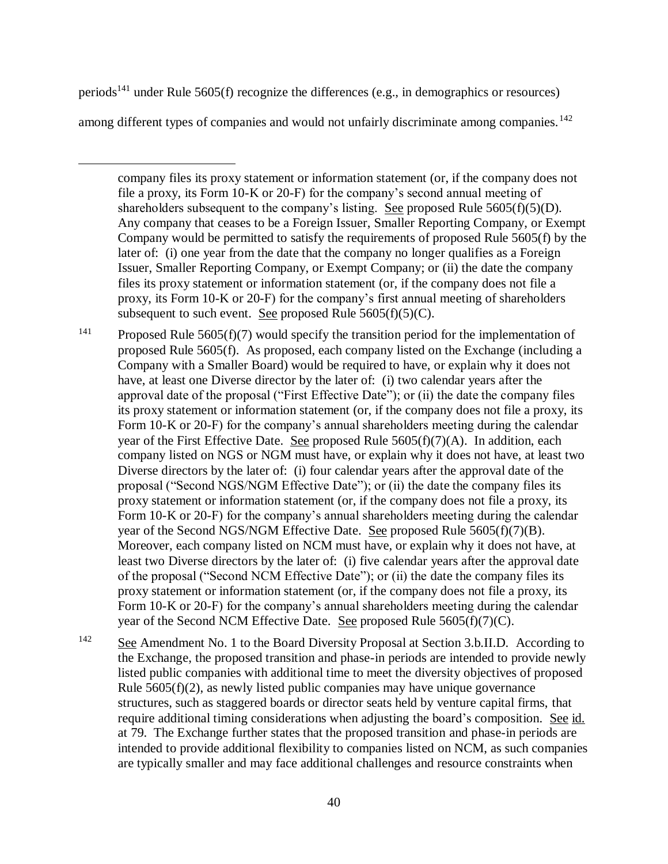periods<sup>141</sup> under Rule 5605(f) recognize the differences (e.g., in demographics or resources)

among different types of companies and would not unfairly discriminate among companies.<sup>142</sup>

 $\overline{a}$ 

company files its proxy statement or information statement (or, if the company does not file a proxy, its Form 10-K or 20-F) for the company's second annual meeting of shareholders subsequent to the company's listing. See proposed Rule  $5605(f)(5)(D)$ . Any company that ceases to be a Foreign Issuer, Smaller Reporting Company, or Exempt Company would be permitted to satisfy the requirements of proposed Rule 5605(f) by the later of: (i) one year from the date that the company no longer qualifies as a Foreign Issuer, Smaller Reporting Company, or Exempt Company; or (ii) the date the company files its proxy statement or information statement (or, if the company does not file a proxy, its Form 10-K or 20-F) for the company's first annual meeting of shareholders subsequent to such event. See proposed Rule  $5605(f)(5)(C)$ .

<sup>141</sup> Proposed Rule 5605(f)(7) would specify the transition period for the implementation of proposed Rule 5605(f). As proposed, each company listed on the Exchange (including a Company with a Smaller Board) would be required to have, or explain why it does not have, at least one Diverse director by the later of: (i) two calendar years after the approval date of the proposal ("First Effective Date"); or (ii) the date the company files its proxy statement or information statement (or, if the company does not file a proxy, its Form 10-K or 20-F) for the company's annual shareholders meeting during the calendar year of the First Effective Date. See proposed Rule 5605(f)(7)(A). In addition, each company listed on NGS or NGM must have, or explain why it does not have, at least two Diverse directors by the later of: (i) four calendar years after the approval date of the proposal ("Second NGS/NGM Effective Date"); or (ii) the date the company files its proxy statement or information statement (or, if the company does not file a proxy, its Form 10-K or 20-F) for the company's annual shareholders meeting during the calendar year of the Second NGS/NGM Effective Date. See proposed Rule 5605(f)(7)(B). Moreover, each company listed on NCM must have, or explain why it does not have, at least two Diverse directors by the later of: (i) five calendar years after the approval date of the proposal ("Second NCM Effective Date"); or (ii) the date the company files its proxy statement or information statement (or, if the company does not file a proxy, its Form 10-K or 20-F) for the company's annual shareholders meeting during the calendar year of the Second NCM Effective Date. See proposed Rule 5605(f)(7)(C).

<sup>142</sup> See Amendment No. 1 to the Board Diversity Proposal at Section 3.b.II.D. According to the Exchange, the proposed transition and phase-in periods are intended to provide newly listed public companies with additional time to meet the diversity objectives of proposed Rule 5605(f)(2), as newly listed public companies may have unique governance structures, such as staggered boards or director seats held by venture capital firms, that require additional timing considerations when adjusting the board's composition. See id. at 79. The Exchange further states that the proposed transition and phase-in periods are intended to provide additional flexibility to companies listed on NCM, as such companies are typically smaller and may face additional challenges and resource constraints when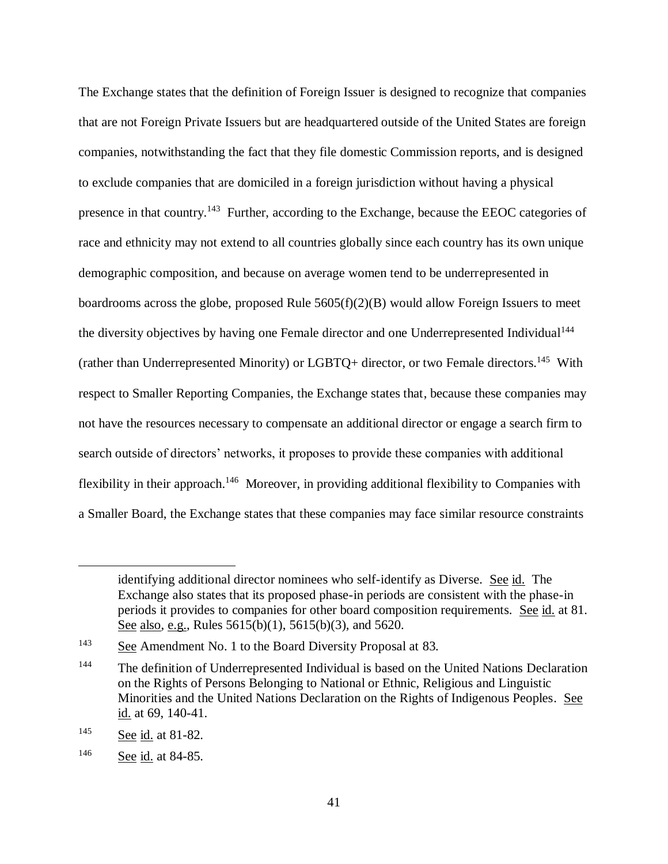The Exchange states that the definition of Foreign Issuer is designed to recognize that companies that are not Foreign Private Issuers but are headquartered outside of the United States are foreign companies, notwithstanding the fact that they file domestic Commission reports, and is designed to exclude companies that are domiciled in a foreign jurisdiction without having a physical presence in that country.<sup>143</sup> Further, according to the Exchange, because the EEOC categories of race and ethnicity may not extend to all countries globally since each country has its own unique demographic composition, and because on average women tend to be underrepresented in boardrooms across the globe, proposed Rule  $5605(f)(2)(B)$  would allow Foreign Issuers to meet the diversity objectives by having one Female director and one Underrepresented Individual<sup>144</sup> (rather than Underrepresented Minority) or LGBTQ+ director, or two Female directors.<sup>145</sup> With respect to Smaller Reporting Companies, the Exchange states that, because these companies may not have the resources necessary to compensate an additional director or engage a search firm to search outside of directors' networks, it proposes to provide these companies with additional flexibility in their approach.<sup>146</sup> Moreover, in providing additional flexibility to Companies with a Smaller Board, the Exchange states that these companies may face similar resource constraints

identifying additional director nominees who self-identify as Diverse. See id. The Exchange also states that its proposed phase-in periods are consistent with the phase-in periods it provides to companies for other board composition requirements. See id. at 81. See also, e.g., Rules 5615(b)(1), 5615(b)(3), and 5620.

<sup>&</sup>lt;sup>143</sup> See Amendment No. 1 to the Board Diversity Proposal at 83.

<sup>&</sup>lt;sup>144</sup> The definition of Underrepresented Individual is based on the United Nations Declaration on the Rights of Persons Belonging to National or Ethnic, Religious and Linguistic Minorities and the United Nations Declaration on the Rights of Indigenous Peoples. See id. at 69, 140-41.

<sup>145</sup> See id. at 81-82.

<sup>146</sup> See id. at 84-85.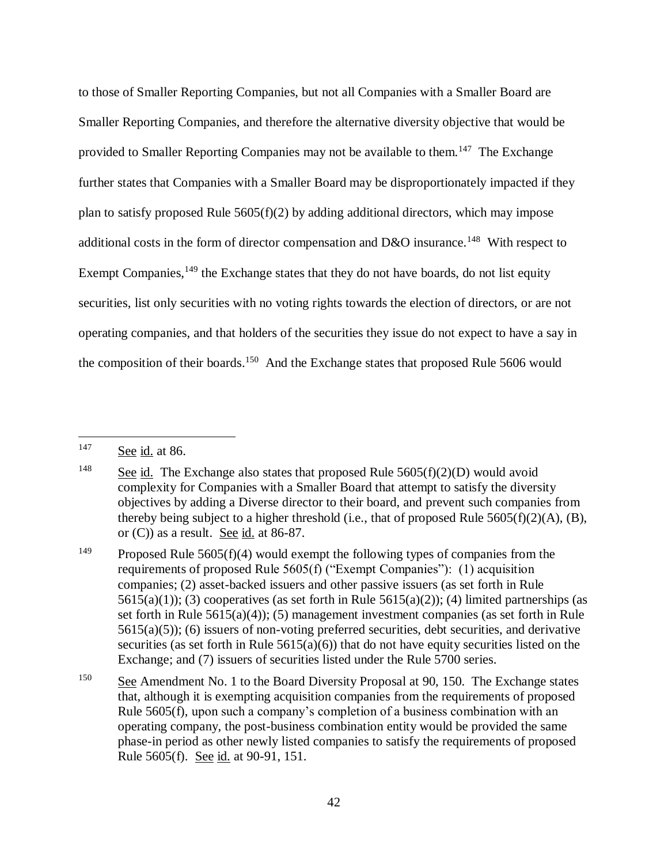to those of Smaller Reporting Companies, but not all Companies with a Smaller Board are Smaller Reporting Companies, and therefore the alternative diversity objective that would be provided to Smaller Reporting Companies may not be available to them.<sup>147</sup> The Exchange further states that Companies with a Smaller Board may be disproportionately impacted if they plan to satisfy proposed Rule  $5605(f)(2)$  by adding additional directors, which may impose additional costs in the form of director compensation and D&O insurance.<sup>148</sup> With respect to Exempt Companies,  $^{149}$  the Exchange states that they do not have boards, do not list equity securities, list only securities with no voting rights towards the election of directors, or are not operating companies, and that holders of the securities they issue do not expect to have a say in the composition of their boards.<sup>150</sup> And the Exchange states that proposed Rule 5606 would

<sup>147</sup> See id. at 86.

<sup>&</sup>lt;sup>148</sup> See id. The Exchange also states that proposed Rule  $5605(f)(2)(D)$  would avoid complexity for Companies with a Smaller Board that attempt to satisfy the diversity objectives by adding a Diverse director to their board, and prevent such companies from thereby being subject to a higher threshold (i.e., that of proposed Rule  $5605(f)(2)(A)$ , (B), or (C)) as a result. See id. at 86-87.

<sup>&</sup>lt;sup>149</sup> Proposed Rule 5605(f)(4) would exempt the following types of companies from the requirements of proposed Rule 5605(f) ("Exempt Companies"): (1) acquisition companies; (2) asset-backed issuers and other passive issuers (as set forth in Rule  $5615(a)(1)$ ; (3) cooperatives (as set forth in Rule  $5615(a)(2)$ ); (4) limited partnerships (as set forth in Rule 5615(a)(4)); (5) management investment companies (as set forth in Rule  $5615(a)(5)$ ; (6) issuers of non-voting preferred securities, debt securities, and derivative securities (as set forth in Rule  $5615(a)(6)$ ) that do not have equity securities listed on the Exchange; and (7) issuers of securities listed under the Rule 5700 series.

<sup>&</sup>lt;sup>150</sup> See Amendment No. 1 to the Board Diversity Proposal at 90, 150. The Exchange states that, although it is exempting acquisition companies from the requirements of proposed Rule 5605(f), upon such a company's completion of a business combination with an operating company, the post-business combination entity would be provided the same phase-in period as other newly listed companies to satisfy the requirements of proposed Rule 5605(f). See id. at 90-91, 151.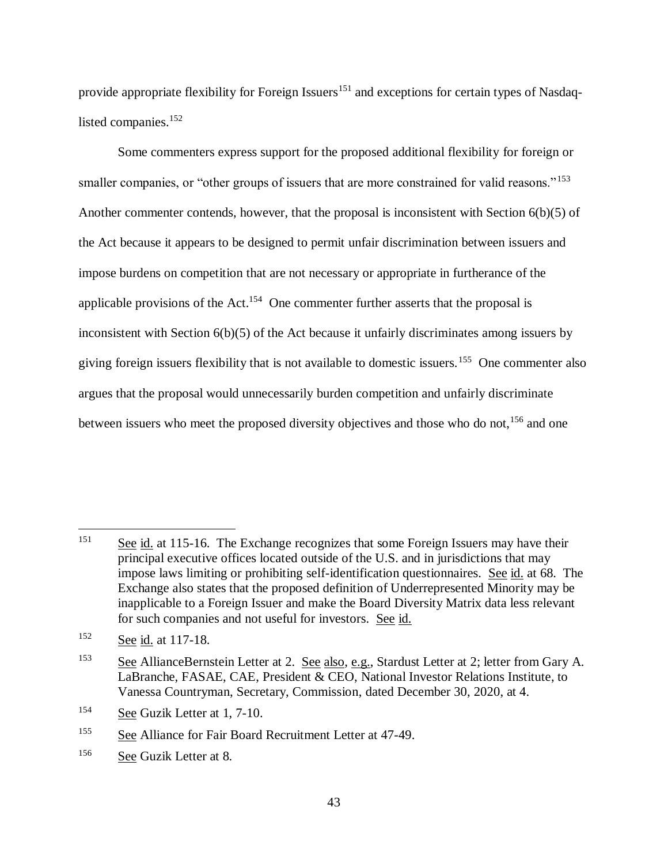provide appropriate flexibility for Foreign Issuers<sup>151</sup> and exceptions for certain types of Nasdaqlisted companies.<sup>152</sup>

Some commenters express support for the proposed additional flexibility for foreign or smaller companies, or "other groups of issuers that are more constrained for valid reasons."<sup>153</sup> Another commenter contends, however, that the proposal is inconsistent with Section 6(b)(5) of the Act because it appears to be designed to permit unfair discrimination between issuers and impose burdens on competition that are not necessary or appropriate in furtherance of the applicable provisions of the Act.<sup>154</sup> One commenter further asserts that the proposal is inconsistent with Section 6(b)(5) of the Act because it unfairly discriminates among issuers by giving foreign issuers flexibility that is not available to domestic issuers.<sup>155</sup> One commenter also argues that the proposal would unnecessarily burden competition and unfairly discriminate between issuers who meet the proposed diversity objectives and those who do not,<sup>156</sup> and one

<sup>151</sup> See id. at 115-16. The Exchange recognizes that some Foreign Issuers may have their principal executive offices located outside of the U.S. and in jurisdictions that may impose laws limiting or prohibiting self-identification questionnaires. See id. at 68. The Exchange also states that the proposed definition of Underrepresented Minority may be inapplicable to a Foreign Issuer and make the Board Diversity Matrix data less relevant for such companies and not useful for investors. See id.

<sup>152</sup> See id. at 117-18.

<sup>&</sup>lt;sup>153</sup> See AllianceBernstein Letter at 2. See also, e.g., Stardust Letter at 2; letter from Gary A. LaBranche, FASAE, CAE, President & CEO, National Investor Relations Institute, to Vanessa Countryman, Secretary, Commission, dated December 30, 2020, at 4.

<sup>154</sup> See Guzik Letter at 1, 7-10.

<sup>155</sup> See Alliance for Fair Board Recruitment Letter at 47-49.

<sup>156</sup> See Guzik Letter at 8.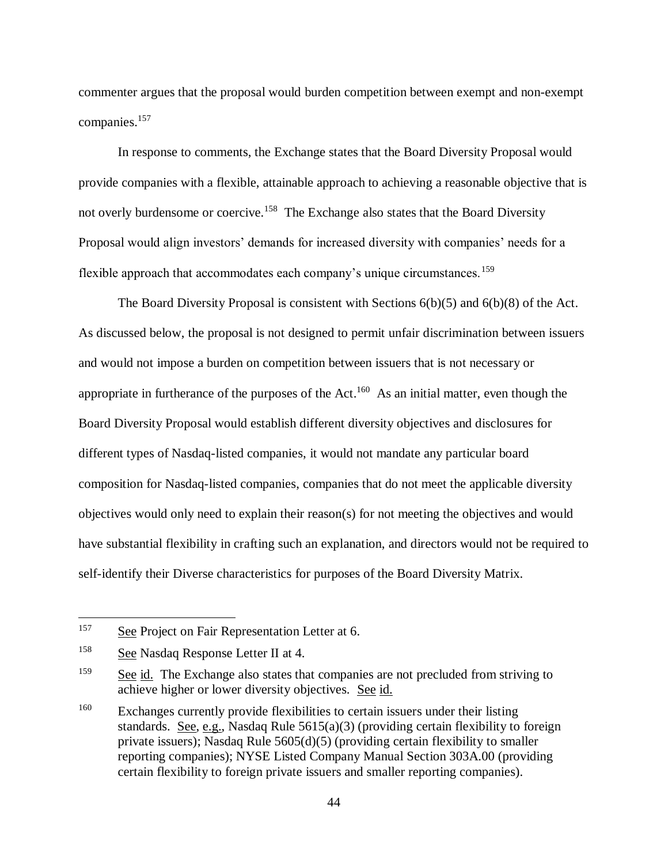commenter argues that the proposal would burden competition between exempt and non-exempt companies. 157

In response to comments, the Exchange states that the Board Diversity Proposal would provide companies with a flexible, attainable approach to achieving a reasonable objective that is not overly burdensome or coercive.<sup>158</sup> The Exchange also states that the Board Diversity Proposal would align investors' demands for increased diversity with companies' needs for a flexible approach that accommodates each company's unique circumstances.<sup>159</sup>

The Board Diversity Proposal is consistent with Sections 6(b)(5) and 6(b)(8) of the Act. As discussed below, the proposal is not designed to permit unfair discrimination between issuers and would not impose a burden on competition between issuers that is not necessary or appropriate in furtherance of the purposes of the Act.<sup>160</sup> As an initial matter, even though the Board Diversity Proposal would establish different diversity objectives and disclosures for different types of Nasdaq-listed companies, it would not mandate any particular board composition for Nasdaq-listed companies, companies that do not meet the applicable diversity objectives would only need to explain their reason(s) for not meeting the objectives and would have substantial flexibility in crafting such an explanation, and directors would not be required to self-identify their Diverse characteristics for purposes of the Board Diversity Matrix.

<sup>&</sup>lt;sup>157</sup> See Project on Fair Representation Letter at 6.

<sup>158</sup> See Nasdaq Response Letter II at 4.

<sup>&</sup>lt;sup>159</sup> See id. The Exchange also states that companies are not precluded from striving to achieve higher or lower diversity objectives. See id.

<sup>&</sup>lt;sup>160</sup> Exchanges currently provide flexibilities to certain issuers under their listing standards. See, e.g., Nasdaq Rule  $5615(a)(3)$  (providing certain flexibility to foreign private issuers); Nasdaq Rule 5605(d)(5) (providing certain flexibility to smaller reporting companies); NYSE Listed Company Manual Section 303A.00 (providing certain flexibility to foreign private issuers and smaller reporting companies).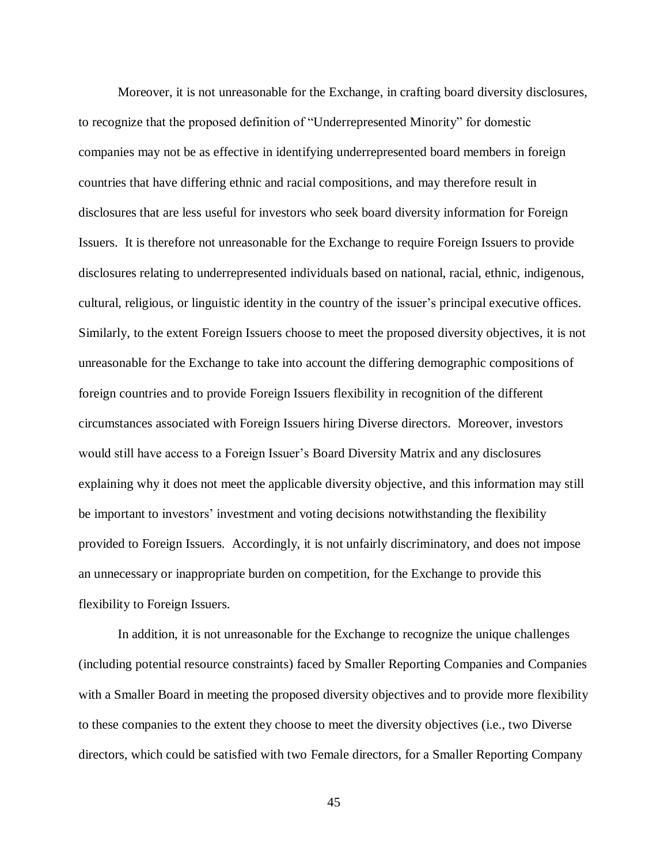Moreover, it is not unreasonable for the Exchange, in crafting board diversity disclosures, to recognize that the proposed definition of "Underrepresented Minority" for domestic companies may not be as effective in identifying underrepresented board members in foreign countries that have differing ethnic and racial compositions, and may therefore result in disclosures that are less useful for investors who seek board diversity information for Foreign Issuers. It is therefore not unreasonable for the Exchange to require Foreign Issuers to provide disclosures relating to underrepresented individuals based on national, racial, ethnic, indigenous, cultural, religious, or linguistic identity in the country of the issuer's principal executive offices. Similarly, to the extent Foreign Issuers choose to meet the proposed diversity objectives, it is not unreasonable for the Exchange to take into account the differing demographic compositions of foreign countries and to provide Foreign Issuers flexibility in recognition of the different circumstances associated with Foreign Issuers hiring Diverse directors. Moreover, investors would still have access to a Foreign Issuer's Board Diversity Matrix and any disclosures explaining why it does not meet the applicable diversity objective, and this information may still be important to investors' investment and voting decisions notwithstanding the flexibility provided to Foreign Issuers. Accordingly, it is not unfairly discriminatory, and does not impose an unnecessary or inappropriate burden on competition, for the Exchange to provide this flexibility to Foreign Issuers.

In addition, it is not unreasonable for the Exchange to recognize the unique challenges (including potential resource constraints) faced by Smaller Reporting Companies and Companies with a Smaller Board in meeting the proposed diversity objectives and to provide more flexibility to these companies to the extent they choose to meet the diversity objectives (i.e., two Diverse directors, which could be satisfied with two Female directors, for a Smaller Reporting Company

45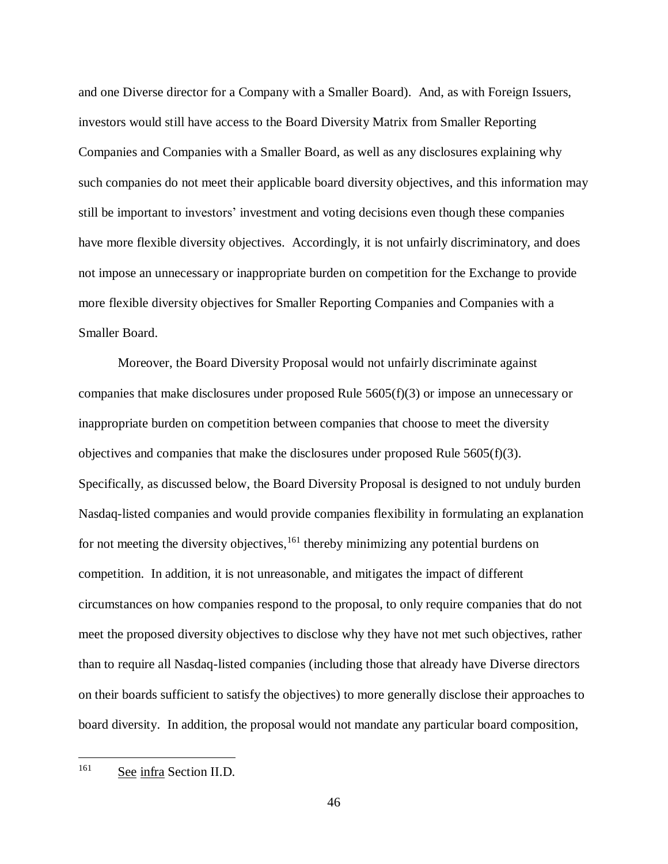and one Diverse director for a Company with a Smaller Board). And, as with Foreign Issuers, investors would still have access to the Board Diversity Matrix from Smaller Reporting Companies and Companies with a Smaller Board, as well as any disclosures explaining why such companies do not meet their applicable board diversity objectives, and this information may still be important to investors' investment and voting decisions even though these companies have more flexible diversity objectives. Accordingly, it is not unfairly discriminatory, and does not impose an unnecessary or inappropriate burden on competition for the Exchange to provide more flexible diversity objectives for Smaller Reporting Companies and Companies with a Smaller Board.

Moreover, the Board Diversity Proposal would not unfairly discriminate against companies that make disclosures under proposed Rule 5605(f)(3) or impose an unnecessary or inappropriate burden on competition between companies that choose to meet the diversity objectives and companies that make the disclosures under proposed Rule  $5605(f)(3)$ . Specifically, as discussed below, the Board Diversity Proposal is designed to not unduly burden Nasdaq-listed companies and would provide companies flexibility in formulating an explanation for not meeting the diversity objectives, <sup>161</sup> thereby minimizing any potential burdens on competition. In addition, it is not unreasonable, and mitigates the impact of different circumstances on how companies respond to the proposal, to only require companies that do not meet the proposed diversity objectives to disclose why they have not met such objectives, rather than to require all Nasdaq-listed companies (including those that already have Diverse directors on their boards sufficient to satisfy the objectives) to more generally disclose their approaches to board diversity. In addition, the proposal would not mandate any particular board composition,

<sup>161</sup> See infra Section II.D.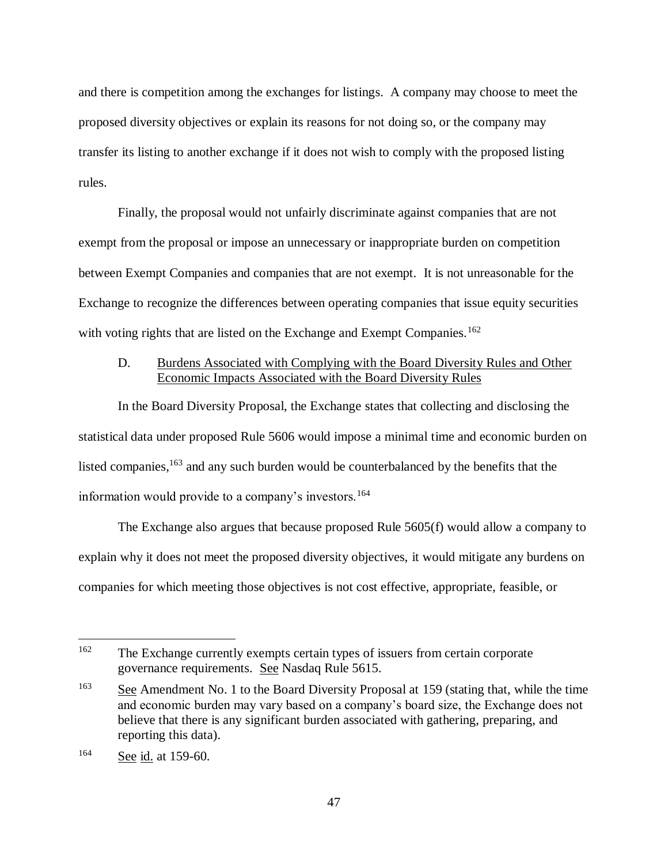and there is competition among the exchanges for listings. A company may choose to meet the proposed diversity objectives or explain its reasons for not doing so, or the company may transfer its listing to another exchange if it does not wish to comply with the proposed listing rules.

Finally, the proposal would not unfairly discriminate against companies that are not exempt from the proposal or impose an unnecessary or inappropriate burden on competition between Exempt Companies and companies that are not exempt. It is not unreasonable for the Exchange to recognize the differences between operating companies that issue equity securities with voting rights that are listed on the Exchange and Exempt Companies.<sup>162</sup>

# D. Burdens Associated with Complying with the Board Diversity Rules and Other Economic Impacts Associated with the Board Diversity Rules

In the Board Diversity Proposal, the Exchange states that collecting and disclosing the statistical data under proposed Rule 5606 would impose a minimal time and economic burden on listed companies, <sup>163</sup> and any such burden would be counterbalanced by the benefits that the information would provide to a company's investors.<sup>164</sup>

The Exchange also argues that because proposed Rule 5605(f) would allow a company to explain why it does not meet the proposed diversity objectives, it would mitigate any burdens on companies for which meeting those objectives is not cost effective, appropriate, feasible, or

<sup>162</sup> The Exchange currently exempts certain types of issuers from certain corporate governance requirements. See Nasdaq Rule 5615.

 $\frac{163}{163}$  See Amendment No. 1 to the Board Diversity Proposal at 159 (stating that, while the time and economic burden may vary based on a company's board size, the Exchange does not believe that there is any significant burden associated with gathering, preparing, and reporting this data).

<sup>164</sup> See id. at 159-60.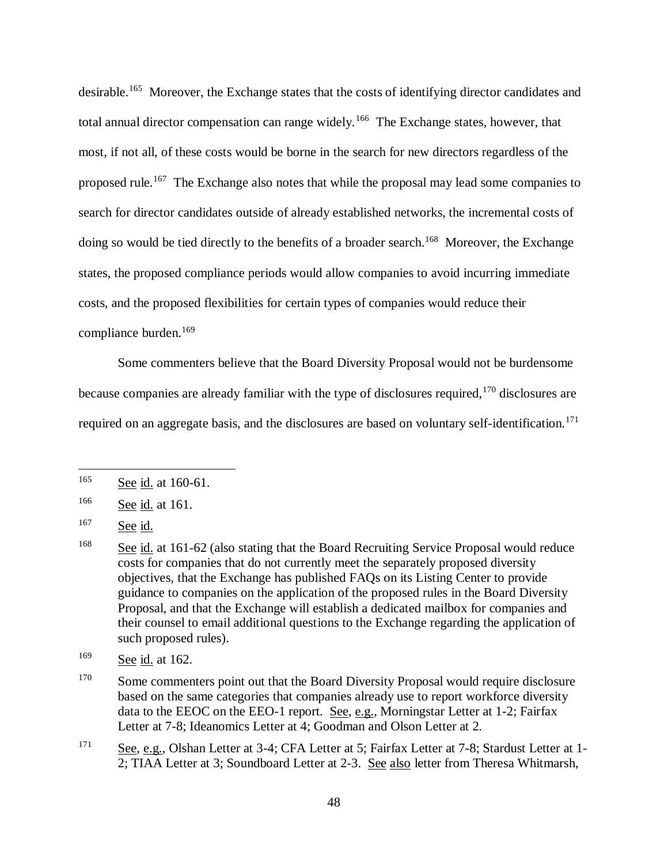desirable.<sup>165</sup> Moreover, the Exchange states that the costs of identifying director candidates and total annual director compensation can range widely.<sup>166</sup> The Exchange states, however, that most, if not all, of these costs would be borne in the search for new directors regardless of the proposed rule.<sup>167</sup> The Exchange also notes that while the proposal may lead some companies to search for director candidates outside of already established networks, the incremental costs of doing so would be tied directly to the benefits of a broader search.<sup>168</sup> Moreover, the Exchange states, the proposed compliance periods would allow companies to avoid incurring immediate costs, and the proposed flexibilities for certain types of companies would reduce their compliance burden.<sup>169</sup>

Some commenters believe that the Board Diversity Proposal would not be burdensome because companies are already familiar with the type of disclosures required, <sup>170</sup> disclosures are required on an aggregate basis, and the disclosures are based on voluntary self-identification.<sup>171</sup>

<sup>165</sup> See id. at 160-61.

<sup>166</sup> See id. at 161.

 $167$  See id.

<sup>&</sup>lt;sup>168</sup> See id. at 161-62 (also stating that the Board Recruiting Service Proposal would reduce costs for companies that do not currently meet the separately proposed diversity objectives, that the Exchange has published FAQs on its Listing Center to provide guidance to companies on the application of the proposed rules in the Board Diversity Proposal, and that the Exchange will establish a dedicated mailbox for companies and their counsel to email additional questions to the Exchange regarding the application of such proposed rules).

<sup>169</sup> See id. at 162.

<sup>&</sup>lt;sup>170</sup> Some commenters point out that the Board Diversity Proposal would require disclosure based on the same categories that companies already use to report workforce diversity data to the EEOC on the EEO-1 report. See, e.g., Morningstar Letter at 1-2; Fairfax Letter at 7-8; Ideanomics Letter at 4; Goodman and Olson Letter at 2.

<sup>171</sup> See, e.g., Olshan Letter at 3-4; CFA Letter at 5; Fairfax Letter at 7-8; Stardust Letter at 1-2; TIAA Letter at 3; Soundboard Letter at 2-3. See also letter from Theresa Whitmarsh,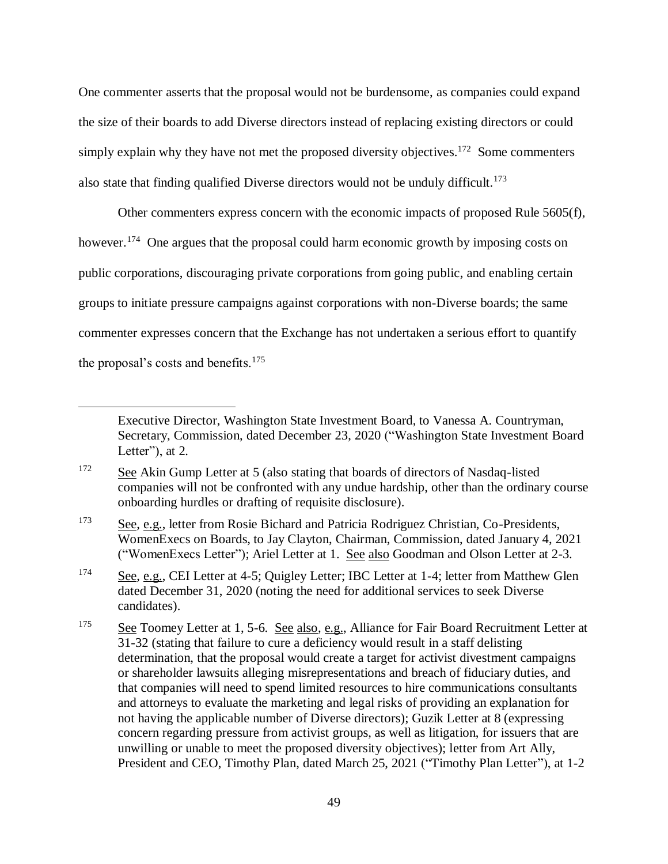One commenter asserts that the proposal would not be burdensome, as companies could expand the size of their boards to add Diverse directors instead of replacing existing directors or could simply explain why they have not met the proposed diversity objectives.<sup>172</sup> Some commenters also state that finding qualified Diverse directors would not be unduly difficult.<sup>173</sup>

Other commenters express concern with the economic impacts of proposed Rule 5605(f), however.<sup>174</sup> One argues that the proposal could harm economic growth by imposing costs on public corporations, discouraging private corporations from going public, and enabling certain groups to initiate pressure campaigns against corporations with non-Diverse boards; the same commenter expresses concern that the Exchange has not undertaken a serious effort to quantify the proposal's costs and benefits.<sup>175</sup>

Executive Director, Washington State Investment Board, to Vanessa A. Countryman, Secretary, Commission, dated December 23, 2020 ("Washington State Investment Board Letter", at 2.

<sup>&</sup>lt;sup>172</sup> See Akin Gump Letter at 5 (also stating that boards of directors of Nasdaq-listed companies will not be confronted with any undue hardship, other than the ordinary course onboarding hurdles or drafting of requisite disclosure).

<sup>&</sup>lt;sup>173</sup> See, e.g., letter from Rosie Bichard and Patricia Rodriguez Christian, Co-Presidents, WomenExecs on Boards, to Jay Clayton, Chairman, Commission, dated January 4, 2021 ("WomenExecs Letter"); Ariel Letter at 1. See also Goodman and Olson Letter at 2-3.

<sup>&</sup>lt;sup>174</sup> See, e.g., CEI Letter at 4-5; Quigley Letter; IBC Letter at 1-4; letter from Matthew Glen dated December 31, 2020 (noting the need for additional services to seek Diverse candidates).

<sup>&</sup>lt;sup>175</sup> See Toomey Letter at 1, 5-6. See also, e.g., Alliance for Fair Board Recruitment Letter at 31-32 (stating that failure to cure a deficiency would result in a staff delisting determination, that the proposal would create a target for activist divestment campaigns or shareholder lawsuits alleging misrepresentations and breach of fiduciary duties, and that companies will need to spend limited resources to hire communications consultants and attorneys to evaluate the marketing and legal risks of providing an explanation for not having the applicable number of Diverse directors); Guzik Letter at 8 (expressing concern regarding pressure from activist groups, as well as litigation, for issuers that are unwilling or unable to meet the proposed diversity objectives); letter from Art Ally, President and CEO, Timothy Plan, dated March 25, 2021 ("Timothy Plan Letter"), at 1-2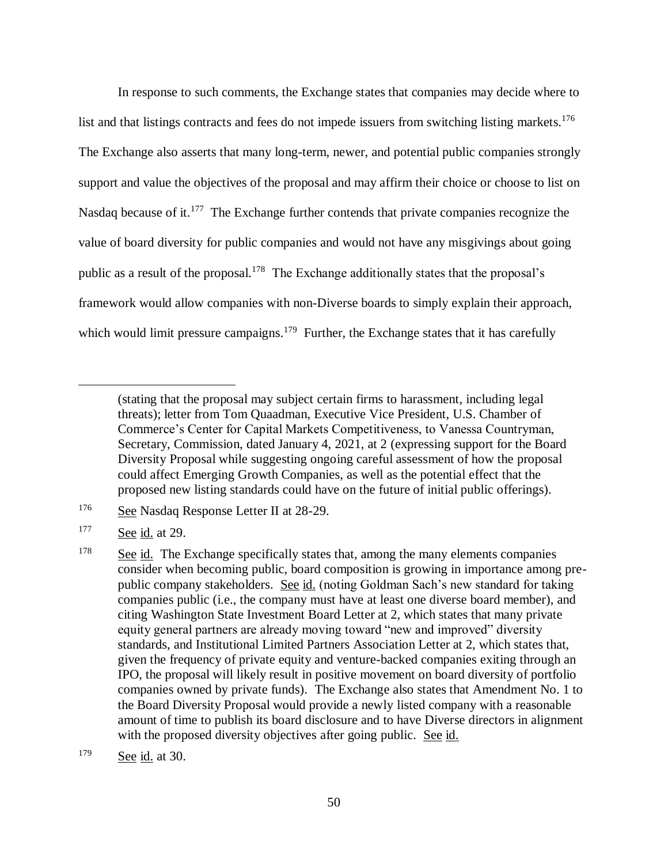In response to such comments, the Exchange states that companies may decide where to list and that listings contracts and fees do not impede issuers from switching listing markets.<sup>176</sup> The Exchange also asserts that many long-term, newer, and potential public companies strongly support and value the objectives of the proposal and may affirm their choice or choose to list on Nasdaq because of it.<sup>177</sup> The Exchange further contends that private companies recognize the value of board diversity for public companies and would not have any misgivings about going public as a result of the proposal.<sup>178</sup> The Exchange additionally states that the proposal's framework would allow companies with non-Diverse boards to simply explain their approach, which would limit pressure campaigns.<sup>179</sup> Further, the Exchange states that it has carefully

<sup>(</sup>stating that the proposal may subject certain firms to harassment, including legal threats); letter from Tom Quaadman, Executive Vice President, U.S. Chamber of Commerce's Center for Capital Markets Competitiveness, to Vanessa Countryman, Secretary, Commission, dated January 4, 2021, at 2 (expressing support for the Board Diversity Proposal while suggesting ongoing careful assessment of how the proposal could affect Emerging Growth Companies, as well as the potential effect that the proposed new listing standards could have on the future of initial public offerings).

<sup>176</sup> See Nasdaq Response Letter II at 28-29.

 $177$  See id. at 29.

<sup>&</sup>lt;sup>178</sup> See id. The Exchange specifically states that, among the many elements companies consider when becoming public, board composition is growing in importance among prepublic company stakeholders. See id. (noting Goldman Sach's new standard for taking companies public (i.e., the company must have at least one diverse board member), and citing Washington State Investment Board Letter at 2, which states that many private equity general partners are already moving toward "new and improved" diversity standards, and Institutional Limited Partners Association Letter at 2, which states that, given the frequency of private equity and venture-backed companies exiting through an IPO, the proposal will likely result in positive movement on board diversity of portfolio companies owned by private funds). The Exchange also states that Amendment No. 1 to the Board Diversity Proposal would provide a newly listed company with a reasonable amount of time to publish its board disclosure and to have Diverse directors in alignment with the proposed diversity objectives after going public. See id.

<sup>179</sup> See id. at 30.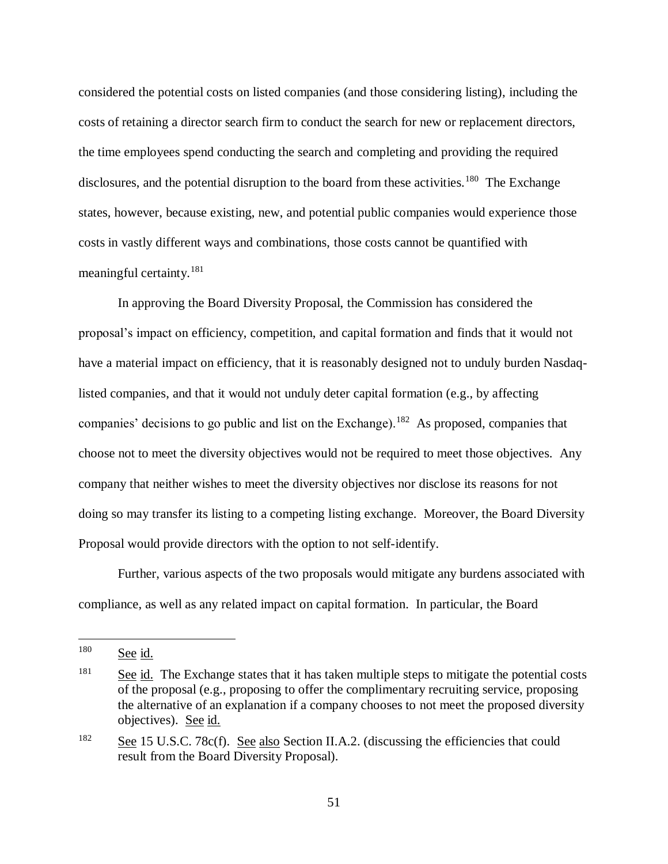considered the potential costs on listed companies (and those considering listing), including the costs of retaining a director search firm to conduct the search for new or replacement directors, the time employees spend conducting the search and completing and providing the required disclosures, and the potential disruption to the board from these activities.<sup>180</sup> The Exchange states, however, because existing, new, and potential public companies would experience those costs in vastly different ways and combinations, those costs cannot be quantified with meaningful certainty.<sup>181</sup>

In approving the Board Diversity Proposal, the Commission has considered the proposal's impact on efficiency, competition, and capital formation and finds that it would not have a material impact on efficiency, that it is reasonably designed not to unduly burden Nasdaqlisted companies, and that it would not unduly deter capital formation (e.g., by affecting companies' decisions to go public and list on the Exchange).<sup>182</sup> As proposed, companies that choose not to meet the diversity objectives would not be required to meet those objectives. Any company that neither wishes to meet the diversity objectives nor disclose its reasons for not doing so may transfer its listing to a competing listing exchange. Moreover, the Board Diversity Proposal would provide directors with the option to not self-identify.

Further, various aspects of the two proposals would mitigate any burdens associated with compliance, as well as any related impact on capital formation. In particular, the Board

<sup>180</sup> See id.

<sup>&</sup>lt;sup>181</sup> See id. The Exchange states that it has taken multiple steps to mitigate the potential costs of the proposal (e.g., proposing to offer the complimentary recruiting service, proposing the alternative of an explanation if a company chooses to not meet the proposed diversity objectives). See id.

<sup>&</sup>lt;sup>182</sup> See 15 U.S.C. 78c(f). See also Section II.A.2. (discussing the efficiencies that could result from the Board Diversity Proposal).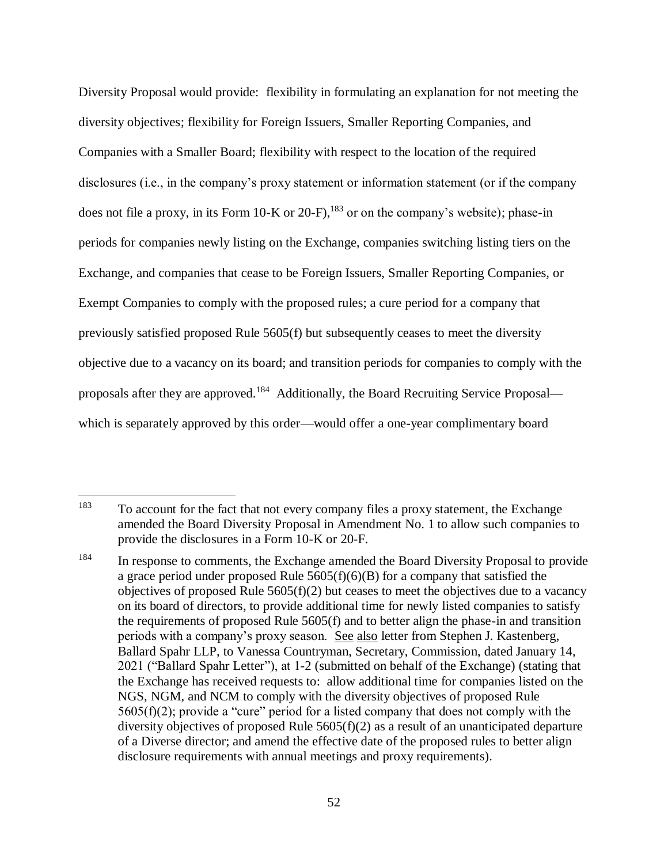Diversity Proposal would provide: flexibility in formulating an explanation for not meeting the diversity objectives; flexibility for Foreign Issuers, Smaller Reporting Companies, and Companies with a Smaller Board; flexibility with respect to the location of the required disclosures (i.e., in the company's proxy statement or information statement (or if the company does not file a proxy, in its Form 10-K or 20-F),  $^{183}$  or on the company's website); phase-in periods for companies newly listing on the Exchange, companies switching listing tiers on the Exchange, and companies that cease to be Foreign Issuers, Smaller Reporting Companies, or Exempt Companies to comply with the proposed rules; a cure period for a company that previously satisfied proposed Rule 5605(f) but subsequently ceases to meet the diversity objective due to a vacancy on its board; and transition periods for companies to comply with the proposals after they are approved.<sup>184</sup> Additionally, the Board Recruiting Service Proposal which is separately approved by this order—would offer a one-year complimentary board

<sup>183</sup> To account for the fact that not every company files a proxy statement, the Exchange amended the Board Diversity Proposal in Amendment No. 1 to allow such companies to provide the disclosures in a Form 10-K or 20-F.

<sup>&</sup>lt;sup>184</sup> In response to comments, the Exchange amended the Board Diversity Proposal to provide a grace period under proposed Rule 5605(f)(6)(B) for a company that satisfied the objectives of proposed Rule  $5605(f)(2)$  but ceases to meet the objectives due to a vacancy on its board of directors, to provide additional time for newly listed companies to satisfy the requirements of proposed Rule 5605(f) and to better align the phase-in and transition periods with a company's proxy season. See also letter from Stephen J. Kastenberg, Ballard Spahr LLP, to Vanessa Countryman, Secretary, Commission, dated January 14, 2021 ("Ballard Spahr Letter"), at 1-2 (submitted on behalf of the Exchange) (stating that the Exchange has received requests to: allow additional time for companies listed on the NGS, NGM, and NCM to comply with the diversity objectives of proposed Rule  $5605(f)(2)$ ; provide a "cure" period for a listed company that does not comply with the diversity objectives of proposed Rule 5605(f)(2) as a result of an unanticipated departure of a Diverse director; and amend the effective date of the proposed rules to better align disclosure requirements with annual meetings and proxy requirements).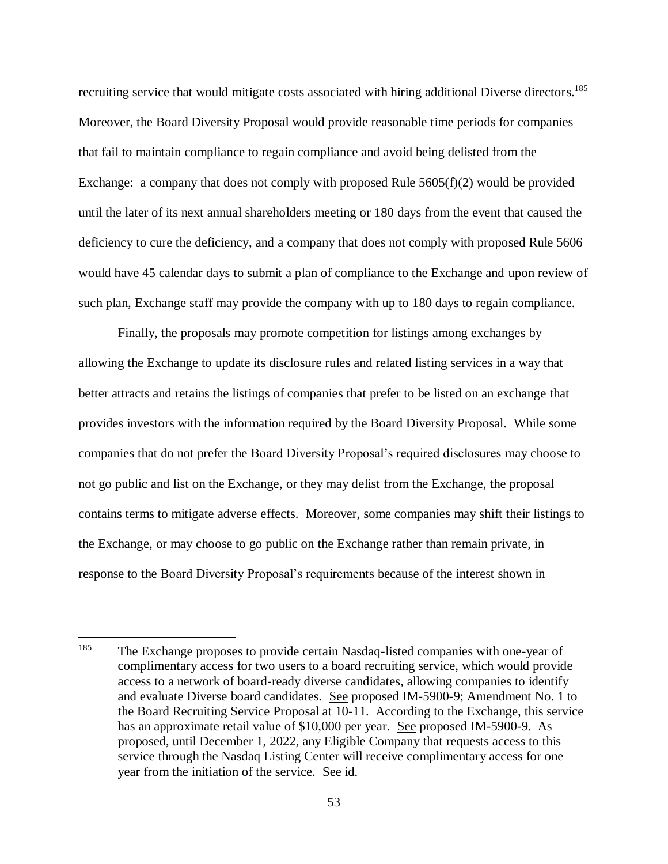recruiting service that would mitigate costs associated with hiring additional Diverse directors.<sup>185</sup> Moreover, the Board Diversity Proposal would provide reasonable time periods for companies that fail to maintain compliance to regain compliance and avoid being delisted from the Exchange: a company that does not comply with proposed Rule  $5605(f)(2)$  would be provided until the later of its next annual shareholders meeting or 180 days from the event that caused the deficiency to cure the deficiency, and a company that does not comply with proposed Rule 5606 would have 45 calendar days to submit a plan of compliance to the Exchange and upon review of such plan, Exchange staff may provide the company with up to 180 days to regain compliance.

Finally, the proposals may promote competition for listings among exchanges by allowing the Exchange to update its disclosure rules and related listing services in a way that better attracts and retains the listings of companies that prefer to be listed on an exchange that provides investors with the information required by the Board Diversity Proposal. While some companies that do not prefer the Board Diversity Proposal's required disclosures may choose to not go public and list on the Exchange, or they may delist from the Exchange, the proposal contains terms to mitigate adverse effects. Moreover, some companies may shift their listings to the Exchange, or may choose to go public on the Exchange rather than remain private, in response to the Board Diversity Proposal's requirements because of the interest shown in

<sup>185</sup> The Exchange proposes to provide certain Nasdaq-listed companies with one-year of complimentary access for two users to a board recruiting service, which would provide access to a network of board-ready diverse candidates, allowing companies to identify and evaluate Diverse board candidates. See proposed IM-5900-9; Amendment No. 1 to the Board Recruiting Service Proposal at 10-11. According to the Exchange, this service has an approximate retail value of \$10,000 per year. See proposed IM-5900-9. As proposed, until December 1, 2022, any Eligible Company that requests access to this service through the Nasdaq Listing Center will receive complimentary access for one year from the initiation of the service. See id.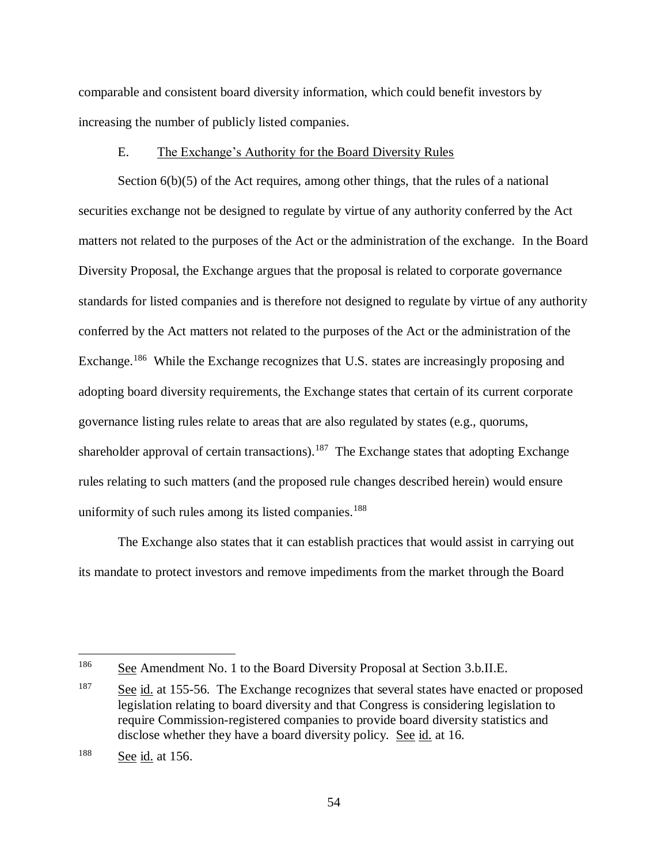comparable and consistent board diversity information, which could benefit investors by increasing the number of publicly listed companies.

## E. The Exchange's Authority for the Board Diversity Rules

Section 6(b)(5) of the Act requires, among other things, that the rules of a national securities exchange not be designed to regulate by virtue of any authority conferred by the Act matters not related to the purposes of the Act or the administration of the exchange. In the Board Diversity Proposal, the Exchange argues that the proposal is related to corporate governance standards for listed companies and is therefore not designed to regulate by virtue of any authority conferred by the Act matters not related to the purposes of the Act or the administration of the Exchange.<sup>186</sup> While the Exchange recognizes that U.S. states are increasingly proposing and adopting board diversity requirements, the Exchange states that certain of its current corporate governance listing rules relate to areas that are also regulated by states (e.g., quorums, shareholder approval of certain transactions).<sup>187</sup> The Exchange states that adopting Exchange rules relating to such matters (and the proposed rule changes described herein) would ensure uniformity of such rules among its listed companies.<sup>188</sup>

The Exchange also states that it can establish practices that would assist in carrying out its mandate to protect investors and remove impediments from the market through the Board

<sup>186</sup> See Amendment No. 1 to the Board Diversity Proposal at Section 3.b.II.E.

 $\frac{187}{2}$  See id. at 155-56. The Exchange recognizes that several states have enacted or proposed legislation relating to board diversity and that Congress is considering legislation to require Commission-registered companies to provide board diversity statistics and disclose whether they have a board diversity policy. See id. at 16.

<sup>188</sup> See id. at 156.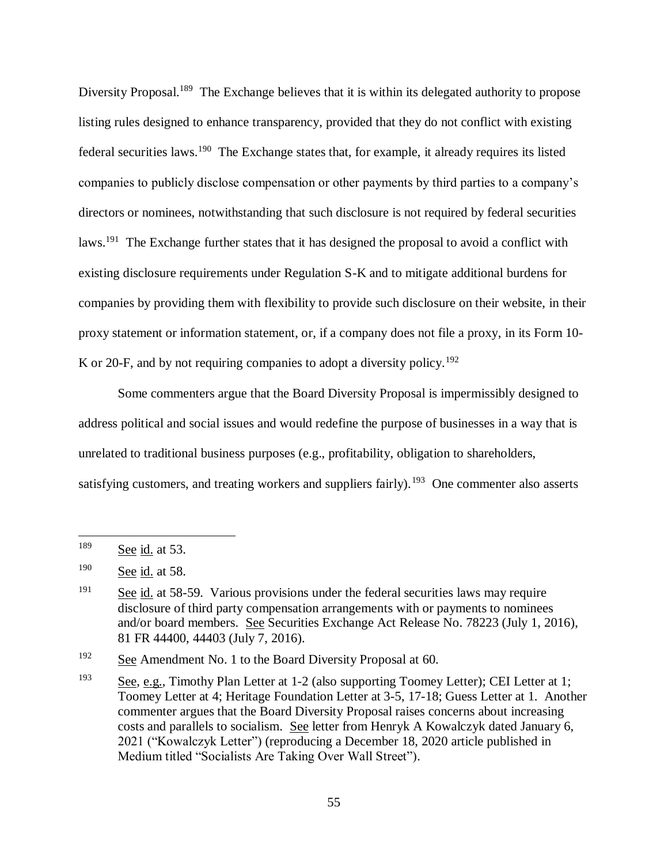Diversity Proposal.<sup>189</sup> The Exchange believes that it is within its delegated authority to propose listing rules designed to enhance transparency, provided that they do not conflict with existing federal securities laws.<sup>190</sup> The Exchange states that, for example, it already requires its listed companies to publicly disclose compensation or other payments by third parties to a company's directors or nominees, notwithstanding that such disclosure is not required by federal securities laws.<sup>191</sup> The Exchange further states that it has designed the proposal to avoid a conflict with existing disclosure requirements under Regulation S-K and to mitigate additional burdens for companies by providing them with flexibility to provide such disclosure on their website, in their proxy statement or information statement, or, if a company does not file a proxy, in its Form 10- K or 20-F, and by not requiring companies to adopt a diversity policy.<sup>192</sup>

Some commenters argue that the Board Diversity Proposal is impermissibly designed to address political and social issues and would redefine the purpose of businesses in a way that is unrelated to traditional business purposes (e.g., profitability, obligation to shareholders, satisfying customers, and treating workers and suppliers fairly).<sup>193</sup> One commenter also asserts

<sup>189</sup> See id. at 53.

<sup>190</sup> See id. at 58.

 $\frac{191}{2}$  See id. at 58-59. Various provisions under the federal securities laws may require disclosure of third party compensation arrangements with or payments to nominees and/or board members. See Securities Exchange Act Release No. 78223 (July 1, 2016), 81 FR 44400, 44403 (July 7, 2016).

<sup>&</sup>lt;sup>192</sup> See Amendment No. 1 to the Board Diversity Proposal at 60.

<sup>193</sup> See, e.g., Timothy Plan Letter at 1-2 (also supporting Toomey Letter); CEI Letter at 1; Toomey Letter at 4; Heritage Foundation Letter at 3-5, 17-18; Guess Letter at 1. Another commenter argues that the Board Diversity Proposal raises concerns about increasing costs and parallels to socialism. See letter from Henryk A Kowalczyk dated January 6, 2021 ("Kowalczyk Letter") (reproducing a December 18, 2020 article published in Medium titled "Socialists Are Taking Over Wall Street").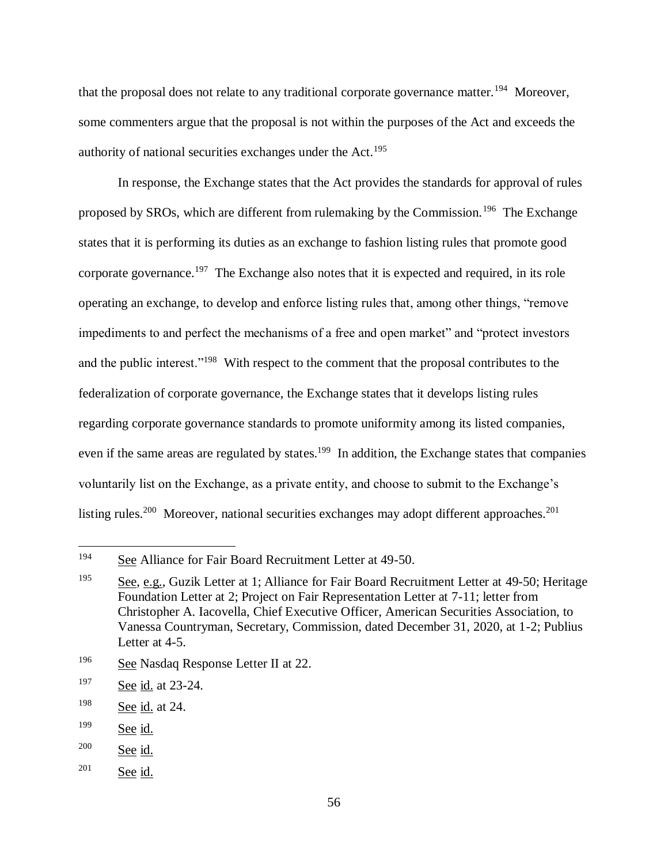that the proposal does not relate to any traditional corporate governance matter.<sup>194</sup> Moreover, some commenters argue that the proposal is not within the purposes of the Act and exceeds the authority of national securities exchanges under the Act.<sup>195</sup>

In response, the Exchange states that the Act provides the standards for approval of rules proposed by SROs, which are different from rulemaking by the Commission.<sup>196</sup> The Exchange states that it is performing its duties as an exchange to fashion listing rules that promote good corporate governance.<sup>197</sup> The Exchange also notes that it is expected and required, in its role operating an exchange, to develop and enforce listing rules that, among other things, "remove impediments to and perfect the mechanisms of a free and open market" and "protect investors and the public interest."<sup>198</sup> With respect to the comment that the proposal contributes to the federalization of corporate governance, the Exchange states that it develops listing rules regarding corporate governance standards to promote uniformity among its listed companies, even if the same areas are regulated by states.<sup>199</sup> In addition, the Exchange states that companies voluntarily list on the Exchange, as a private entity, and choose to submit to the Exchange's listing rules.<sup>200</sup> Moreover, national securities exchanges may adopt different approaches.<sup>201</sup>

<sup>201</sup> See id.

<sup>194</sup> See Alliance for Fair Board Recruitment Letter at 49-50.

<sup>195</sup> See, e.g., Guzik Letter at 1; Alliance for Fair Board Recruitment Letter at 49-50; Heritage Foundation Letter at 2; Project on Fair Representation Letter at 7-11; letter from Christopher A. Iacovella, Chief Executive Officer, American Securities Association, to Vanessa Countryman, Secretary, Commission, dated December 31, 2020, at 1-2; Publius Letter at 4-5.

<sup>196</sup> See Nasdaq Response Letter II at 22.

<sup>197</sup> See id. at 23-24.

 $198$  See id. at 24.

<sup>199</sup> See id.

<sup>200</sup> See id.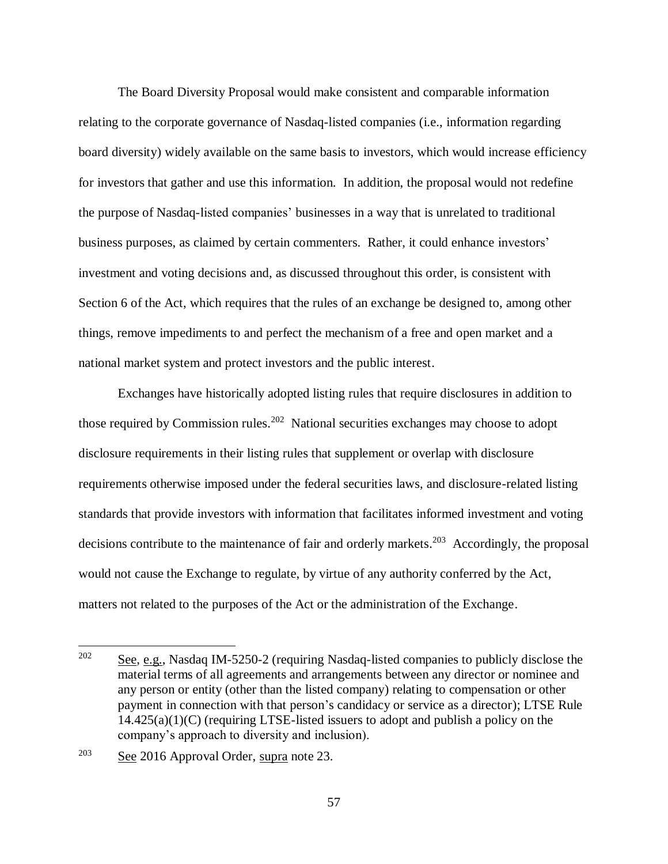The Board Diversity Proposal would make consistent and comparable information relating to the corporate governance of Nasdaq-listed companies (i.e., information regarding board diversity) widely available on the same basis to investors, which would increase efficiency for investors that gather and use this information. In addition, the proposal would not redefine the purpose of Nasdaq-listed companies' businesses in a way that is unrelated to traditional business purposes, as claimed by certain commenters. Rather, it could enhance investors' investment and voting decisions and, as discussed throughout this order, is consistent with Section 6 of the Act, which requires that the rules of an exchange be designed to, among other things, remove impediments to and perfect the mechanism of a free and open market and a national market system and protect investors and the public interest.

Exchanges have historically adopted listing rules that require disclosures in addition to those required by Commission rules.<sup>202</sup> National securities exchanges may choose to adopt disclosure requirements in their listing rules that supplement or overlap with disclosure requirements otherwise imposed under the federal securities laws, and disclosure-related listing standards that provide investors with information that facilitates informed investment and voting decisions contribute to the maintenance of fair and orderly markets.<sup>203</sup> Accordingly, the proposal would not cause the Exchange to regulate, by virtue of any authority conferred by the Act, matters not related to the purposes of the Act or the administration of the Exchange.

<sup>202</sup> See, e.g., Nasdaq IM-5250-2 (requiring Nasdaq-listed companies to publicly disclose the material terms of all agreements and arrangements between any director or nominee and any person or entity (other than the listed company) relating to compensation or other payment in connection with that person's candidacy or service as a director); LTSE Rule  $14.425(a)(1)(C)$  (requiring LTSE-listed issuers to adopt and publish a policy on the company's approach to diversity and inclusion).

<sup>203</sup> See 2016 Approval Order, supra note [23.](#page-6-0)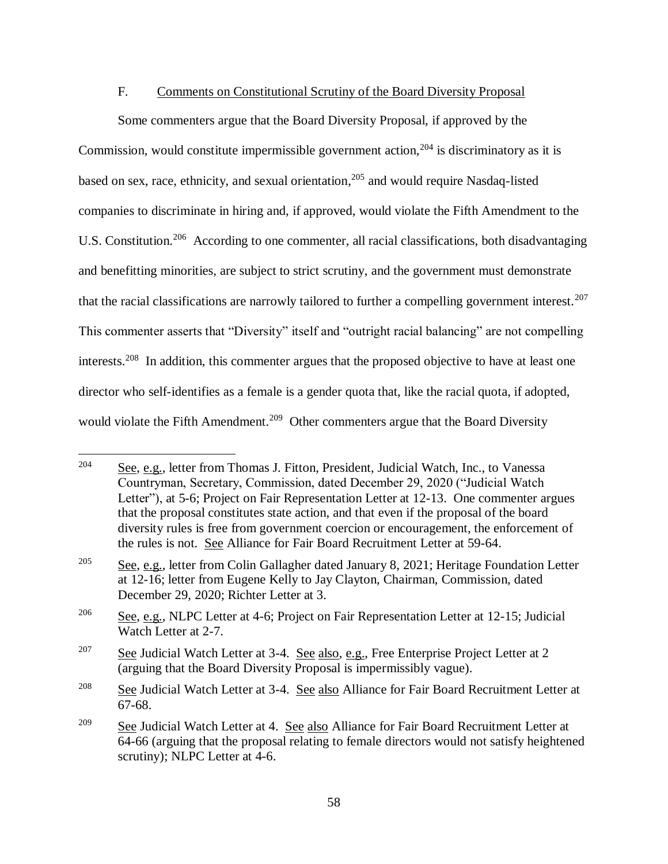## F. Comments on Constitutional Scrutiny of the Board Diversity Proposal

Some commenters argue that the Board Diversity Proposal, if approved by the Commission, would constitute impermissible government action,<sup>204</sup> is discriminatory as it is based on sex, race, ethnicity, and sexual orientation, <sup>205</sup> and would require Nasdaq-listed companies to discriminate in hiring and, if approved, would violate the Fifth Amendment to the U.S. Constitution.<sup>206</sup> According to one commenter, all racial classifications, both disadvantaging and benefitting minorities, are subject to strict scrutiny, and the government must demonstrate that the racial classifications are narrowly tailored to further a compelling government interest.<sup>207</sup> This commenter asserts that "Diversity" itself and "outright racial balancing" are not compelling interests.<sup>208</sup> In addition, this commenter argues that the proposed objective to have at least one director who self-identifies as a female is a gender quota that, like the racial quota, if adopted, would violate the Fifth Amendment.<sup>209</sup> Other commenters argue that the Board Diversity

<sup>204</sup> See, e.g., letter from Thomas J. Fitton, President, Judicial Watch, Inc., to Vanessa Countryman, Secretary, Commission, dated December 29, 2020 ("Judicial Watch Letter"), at 5-6; Project on Fair Representation Letter at 12-13. One commenter argues that the proposal constitutes state action, and that even if the proposal of the board diversity rules is free from government coercion or encouragement, the enforcement of the rules is not. See Alliance for Fair Board Recruitment Letter at 59-64.

<sup>&</sup>lt;sup>205</sup> See, e.g., letter from Colin Gallagher dated January 8, 2021; Heritage Foundation Letter at 12-16; letter from Eugene Kelly to Jay Clayton, Chairman, Commission, dated December 29, 2020; Richter Letter at 3.

<sup>&</sup>lt;sup>206</sup> See, e.g., NLPC Letter at 4-6; Project on Fair Representation Letter at 12-15; Judicial Watch Letter at 2-7.

<sup>&</sup>lt;sup>207</sup> See Judicial Watch Letter at 3-4. See also, e.g., Free Enterprise Project Letter at 2 (arguing that the Board Diversity Proposal is impermissibly vague).

<sup>&</sup>lt;sup>208</sup> See Judicial Watch Letter at 3-4. See also Alliance for Fair Board Recruitment Letter at 67-68.

<sup>&</sup>lt;sup>209</sup> See Judicial Watch Letter at 4. See also Alliance for Fair Board Recruitment Letter at 64-66 (arguing that the proposal relating to female directors would not satisfy heightened scrutiny); NLPC Letter at 4-6.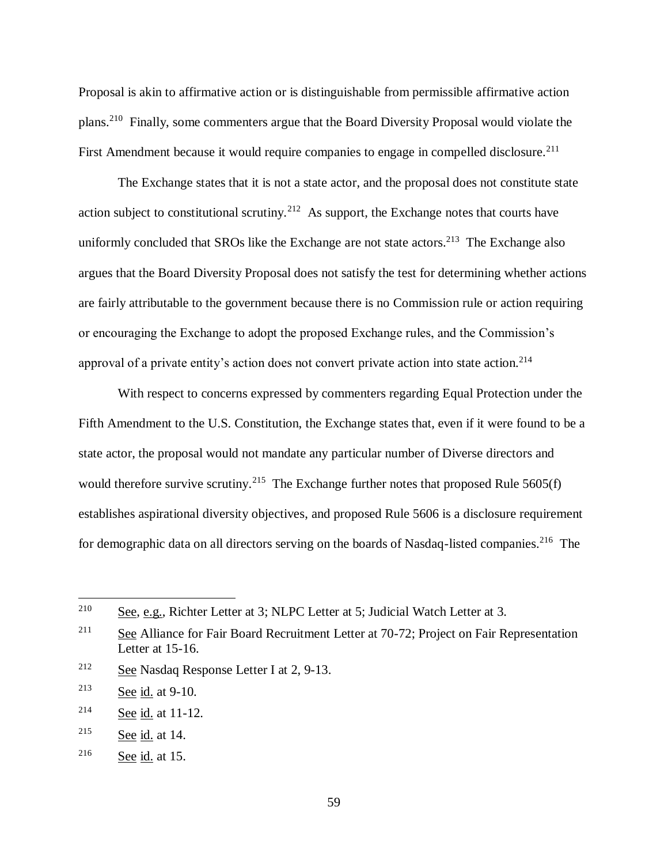Proposal is akin to affirmative action or is distinguishable from permissible affirmative action plans.<sup>210</sup> Finally, some commenters argue that the Board Diversity Proposal would violate the First Amendment because it would require companies to engage in compelled disclosure.<sup>211</sup>

The Exchange states that it is not a state actor, and the proposal does not constitute state action subject to constitutional scrutiny.<sup>212</sup> As support, the Exchange notes that courts have uniformly concluded that SROs like the Exchange are not state actors.<sup>213</sup> The Exchange also argues that the Board Diversity Proposal does not satisfy the test for determining whether actions are fairly attributable to the government because there is no Commission rule or action requiring or encouraging the Exchange to adopt the proposed Exchange rules, and the Commission's approval of a private entity's action does not convert private action into state action.<sup>214</sup>

With respect to concerns expressed by commenters regarding Equal Protection under the Fifth Amendment to the U.S. Constitution, the Exchange states that, even if it were found to be a state actor, the proposal would not mandate any particular number of Diverse directors and would therefore survive scrutiny.<sup>215</sup> The Exchange further notes that proposed Rule  $5605(f)$ establishes aspirational diversity objectives, and proposed Rule 5606 is a disclosure requirement for demographic data on all directors serving on the boards of Nasdaq-listed companies.<sup>216</sup> The

<sup>&</sup>lt;sup>210</sup> See, e.g., Richter Letter at 3; NLPC Letter at 5; Judicial Watch Letter at 3.

<sup>&</sup>lt;sup>211</sup> See Alliance for Fair Board Recruitment Letter at 70-72; Project on Fair Representation Letter at 15-16.

<sup>212</sup> See Nasdaq Response Letter I at 2, 9-13.

<sup>213</sup> See id. at 9-10.

 $214$  See id. at 11-12.

<sup>215</sup> See id. at 14.

<sup>216</sup> See id. at 15.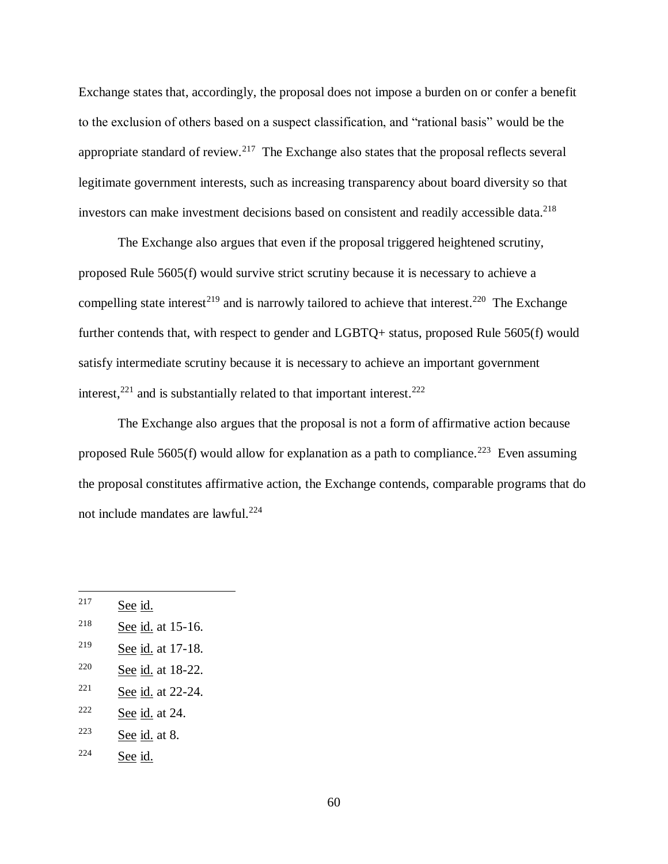Exchange states that, accordingly, the proposal does not impose a burden on or confer a benefit to the exclusion of others based on a suspect classification, and "rational basis" would be the appropriate standard of review.<sup>217</sup> The Exchange also states that the proposal reflects several legitimate government interests, such as increasing transparency about board diversity so that investors can make investment decisions based on consistent and readily accessible data.<sup>218</sup>

The Exchange also argues that even if the proposal triggered heightened scrutiny, proposed Rule 5605(f) would survive strict scrutiny because it is necessary to achieve a compelling state interest<sup>219</sup> and is narrowly tailored to achieve that interest.<sup>220</sup> The Exchange further contends that, with respect to gender and LGBTQ+ status, proposed Rule 5605(f) would satisfy intermediate scrutiny because it is necessary to achieve an important government interest,  $221$  and is substantially related to that important interest.  $222$ 

The Exchange also argues that the proposal is not a form of affirmative action because proposed Rule 5605(f) would allow for explanation as a path to compliance.<sup>223</sup> Even assuming the proposal constitutes affirmative action, the Exchange contends, comparable programs that do not include mandates are lawful. 224

 $217$  See id.

<sup>218</sup> See id. at 15-16.

<sup>219</sup> See id. at 17-18.

 $220$  See id. at 18-22.

 $221$  See id. at 22-24.

 $222$  See id. at 24.

 $223$  See id. at 8.

 $224$  See id.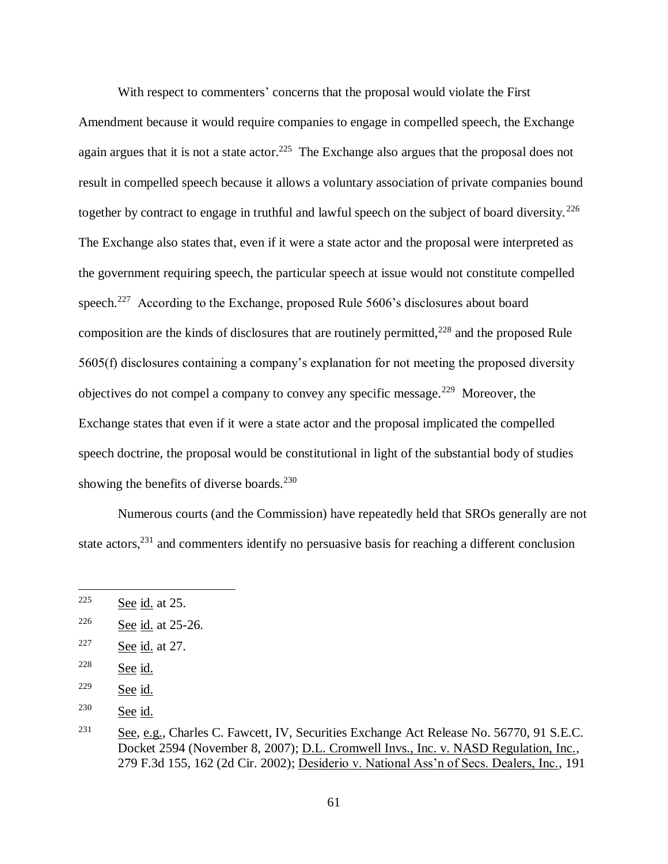With respect to commenters' concerns that the proposal would violate the First Amendment because it would require companies to engage in compelled speech, the Exchange again argues that it is not a state actor.<sup>225</sup> The Exchange also argues that the proposal does not result in compelled speech because it allows a voluntary association of private companies bound together by contract to engage in truthful and lawful speech on the subject of board diversity.<sup>226</sup> The Exchange also states that, even if it were a state actor and the proposal were interpreted as the government requiring speech, the particular speech at issue would not constitute compelled speech.<sup>227</sup> According to the Exchange, proposed Rule 5606's disclosures about board composition are the kinds of disclosures that are routinely permitted, $^{228}$  and the proposed Rule 5605(f) disclosures containing a company's explanation for not meeting the proposed diversity objectives do not compel a company to convey any specific message.<sup>229</sup> Moreover, the Exchange states that even if it were a state actor and the proposal implicated the compelled speech doctrine, the proposal would be constitutional in light of the substantial body of studies showing the benefits of diverse boards.<sup>230</sup>

Numerous courts (and the Commission) have repeatedly held that SROs generally are not state actors,<sup>231</sup> and commenters identify no persuasive basis for reaching a different conclusion

<sup>&</sup>lt;sup>225</sup> See id. at 25.

<sup>226</sup> See id. at 25-26.

<sup>227</sup> See id. at 27.

 $228$  See id.

 $229$  See id.

<sup>230</sup> See id.

<sup>231</sup> See, e.g., Charles C. Fawcett, IV, Securities Exchange Act Release No. 56770, 91 S.E.C. Docket 2594 (November 8, 2007); D.L. Cromwell Invs., Inc. v. NASD Regulation, Inc., 279 F.3d 155, 162 (2d Cir. 2002); Desiderio v. National Ass'n of Secs. Dealers, Inc., 191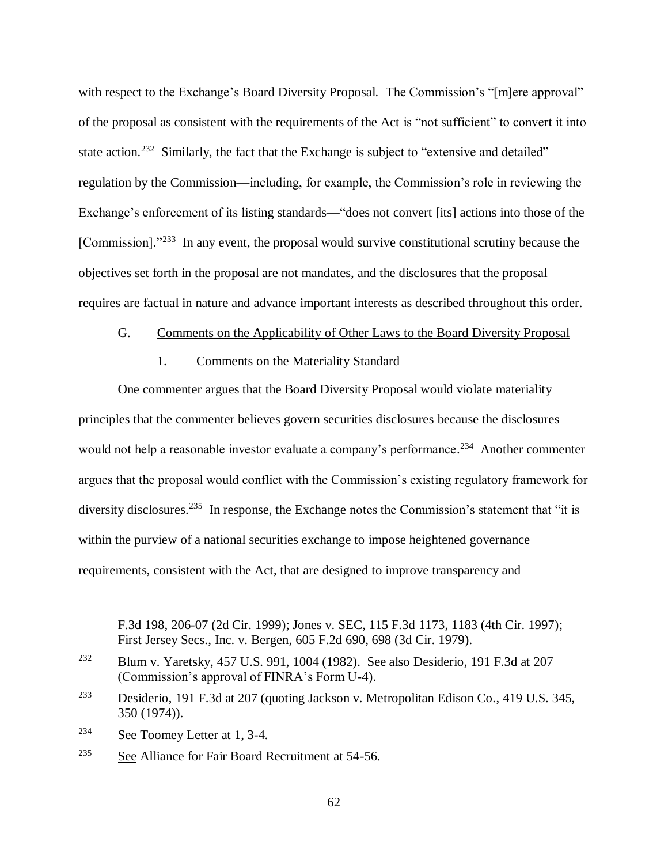with respect to the Exchange's Board Diversity Proposal. The Commission's "[m]ere approval" of the proposal as consistent with the requirements of the Act is "not sufficient" to convert it into state action.<sup>232</sup> Similarly, the fact that the Exchange is subject to "extensive and detailed" regulation by the Commission—including, for example, the Commission's role in reviewing the Exchange's enforcement of its listing standards—"does not convert [its] actions into those of the [Commission]."<sup>233</sup> In any event, the proposal would survive constitutional scrutiny because the objectives set forth in the proposal are not mandates, and the disclosures that the proposal requires are factual in nature and advance important interests as described throughout this order.

## G. Comments on the Applicability of Other Laws to the Board Diversity Proposal

#### 1. Comments on the Materiality Standard

One commenter argues that the Board Diversity Proposal would violate materiality principles that the commenter believes govern securities disclosures because the disclosures would not help a reasonable investor evaluate a company's performance.<sup>234</sup> Another commenter argues that the proposal would conflict with the Commission's existing regulatory framework for diversity disclosures.<sup>235</sup> In response, the Exchange notes the Commission's statement that "it is within the purview of a national securities exchange to impose heightened governance requirements, consistent with the Act, that are designed to improve transparency and

<sup>234</sup> See Toomey Letter at 1, 3-4.

 $\overline{a}$ 

<sup>235</sup> See Alliance for Fair Board Recruitment at 54-56.

F.3d 198, 206-07 (2d Cir. 1999); Jones v. SEC, 115 F.3d 1173, 1183 (4th Cir. 1997); First Jersey Secs., Inc. v. Bergen, 605 F.2d 690, 698 (3d Cir. 1979).

<sup>232</sup> Blum v. Yaretsky, 457 U.S. 991, 1004 (1982). See also Desiderio, 191 F.3d at 207 (Commission's approval of FINRA's Form U-4).

<sup>233</sup> Desiderio, 191 F.3d at 207 (quoting Jackson v. Metropolitan Edison Co., 419 U.S. 345, 350 (1974)).

<sup>62</sup>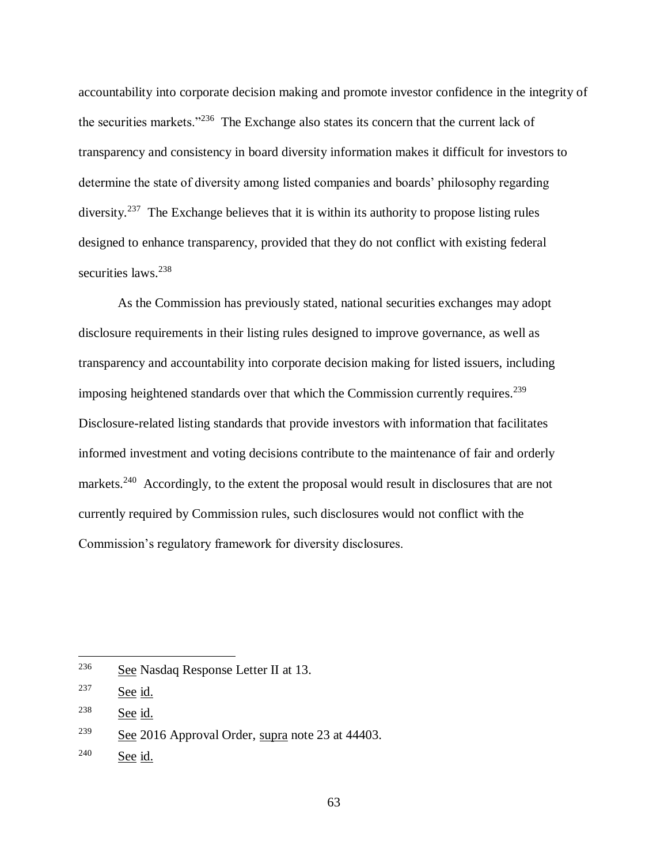accountability into corporate decision making and promote investor confidence in the integrity of the securities markets."<sup>236</sup> The Exchange also states its concern that the current lack of transparency and consistency in board diversity information makes it difficult for investors to determine the state of diversity among listed companies and boards' philosophy regarding diversity.<sup>237</sup> The Exchange believes that it is within its authority to propose listing rules designed to enhance transparency, provided that they do not conflict with existing federal securities laws.<sup>238</sup>

As the Commission has previously stated, national securities exchanges may adopt disclosure requirements in their listing rules designed to improve governance, as well as transparency and accountability into corporate decision making for listed issuers, including imposing heightened standards over that which the Commission currently requires.<sup>239</sup> Disclosure-related listing standards that provide investors with information that facilitates informed investment and voting decisions contribute to the maintenance of fair and orderly markets.<sup>240</sup> Accordingly, to the extent the proposal would result in disclosures that are not currently required by Commission rules, such disclosures would not conflict with the Commission's regulatory framework for diversity disclosures.

 $236$  See Nasdaq Response Letter II at 13.

 $237$  See id.

 $238$  See id.

 $2^{39}$  See 2016 Approval Order, supra note 23 at 44403.

<sup>240</sup> See id.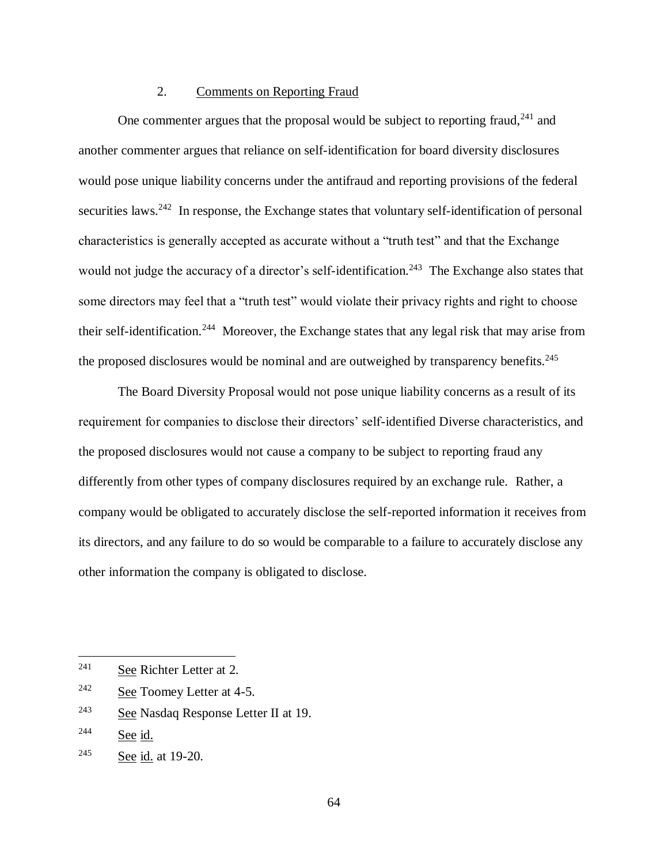### 2. Comments on Reporting Fraud

One commenter argues that the proposal would be subject to reporting fraud,  $241$  and another commenter argues that reliance on self-identification for board diversity disclosures would pose unique liability concerns under the antifraud and reporting provisions of the federal securities laws.<sup>242</sup> In response, the Exchange states that voluntary self-identification of personal characteristics is generally accepted as accurate without a "truth test" and that the Exchange would not judge the accuracy of a director's self-identification.<sup>243</sup> The Exchange also states that some directors may feel that a "truth test" would violate their privacy rights and right to choose their self-identification.<sup>244</sup> Moreover, the Exchange states that any legal risk that may arise from the proposed disclosures would be nominal and are outweighed by transparency benefits.<sup>245</sup>

The Board Diversity Proposal would not pose unique liability concerns as a result of its requirement for companies to disclose their directors' self-identified Diverse characteristics, and the proposed disclosures would not cause a company to be subject to reporting fraud any differently from other types of company disclosures required by an exchange rule. Rather, a company would be obligated to accurately disclose the self-reported information it receives from its directors, and any failure to do so would be comparable to a failure to accurately disclose any other information the company is obligated to disclose.

<sup>241</sup> See Richter Letter at 2.

<sup>242</sup> See Toomey Letter at 4-5.

<sup>243</sup> See Nasdaq Response Letter II at 19.

<sup>244</sup> See id.

<sup>245</sup> See id. at 19-20.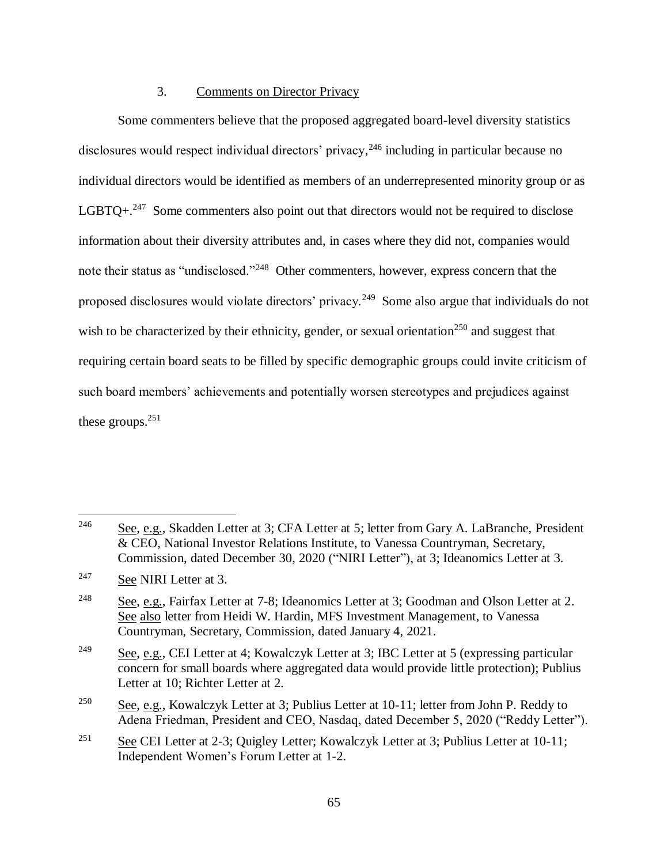# 3. Comments on Director Privacy

Some commenters believe that the proposed aggregated board-level diversity statistics disclosures would respect individual directors' privacy, <sup>246</sup> including in particular because no individual directors would be identified as members of an underrepresented minority group or as LGBTQ $+$ <sup>247</sup>. Some commenters also point out that directors would not be required to disclose information about their diversity attributes and, in cases where they did not, companies would note their status as "undisclosed."<sup>248</sup> Other commenters, however, express concern that the proposed disclosures would violate directors' privacy.<sup>249</sup> Some also argue that individuals do not wish to be characterized by their ethnicity, gender, or sexual orientation<sup>250</sup> and suggest that requiring certain board seats to be filled by specific demographic groups could invite criticism of such board members' achievements and potentially worsen stereotypes and prejudices against these groups. $251$ 

<sup>&</sup>lt;sup>246</sup> See, e.g., Skadden Letter at 3; CFA Letter at 5; letter from Gary A. LaBranche, President & CEO, National Investor Relations Institute, to Vanessa Countryman, Secretary, Commission, dated December 30, 2020 ("NIRI Letter"), at 3; Ideanomics Letter at 3.

<sup>&</sup>lt;sup>247</sup> See NIRI Letter at 3.

<sup>&</sup>lt;sup>248</sup> See, e.g., Fairfax Letter at 7-8; Ideanomics Letter at 3; Goodman and Olson Letter at 2. See also letter from Heidi W. Hardin, MFS Investment Management, to Vanessa Countryman, Secretary, Commission, dated January 4, 2021.

<sup>&</sup>lt;sup>249</sup> See, e.g., CEI Letter at 4; Kowalczyk Letter at 3; IBC Letter at 5 (expressing particular concern for small boards where aggregated data would provide little protection); Publius Letter at 10; Richter Letter at 2.

<sup>&</sup>lt;sup>250</sup> See, e.g., Kowalczyk Letter at 3; Publius Letter at 10-11; letter from John P. Reddy to Adena Friedman, President and CEO, Nasdaq, dated December 5, 2020 ("Reddy Letter").

<sup>&</sup>lt;sup>251</sup> See CEI Letter at 2-3; Quigley Letter; Kowalczyk Letter at 3; Publius Letter at 10-11; Independent Women's Forum Letter at 1-2.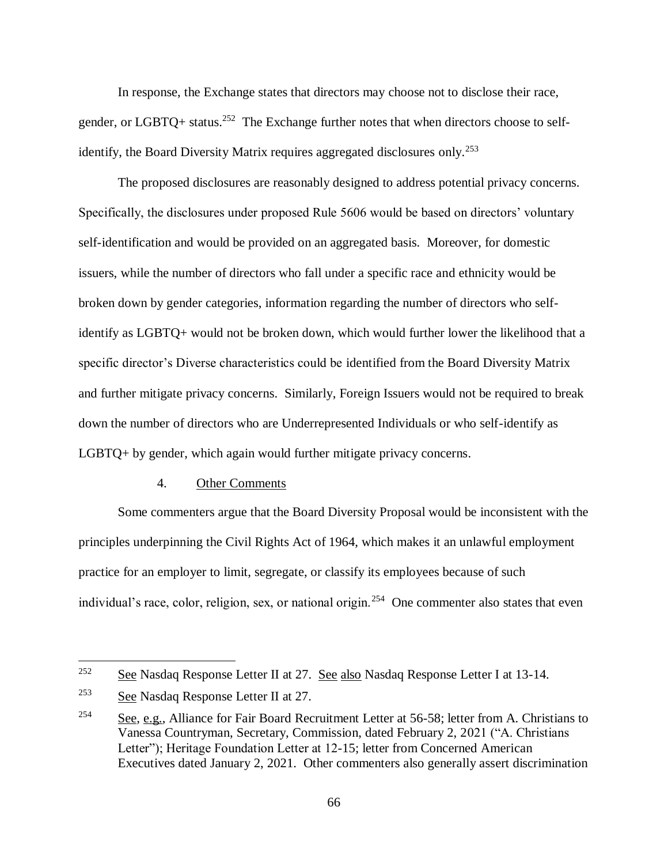In response, the Exchange states that directors may choose not to disclose their race, gender, or LGBTQ+ status.<sup>252</sup> The Exchange further notes that when directors choose to selfidentify, the Board Diversity Matrix requires aggregated disclosures only.<sup>253</sup>

The proposed disclosures are reasonably designed to address potential privacy concerns. Specifically, the disclosures under proposed Rule 5606 would be based on directors' voluntary self-identification and would be provided on an aggregated basis. Moreover, for domestic issuers, while the number of directors who fall under a specific race and ethnicity would be broken down by gender categories, information regarding the number of directors who selfidentify as LGBTQ+ would not be broken down, which would further lower the likelihood that a specific director's Diverse characteristics could be identified from the Board Diversity Matrix and further mitigate privacy concerns. Similarly, Foreign Issuers would not be required to break down the number of directors who are Underrepresented Individuals or who self-identify as LGBTQ+ by gender, which again would further mitigate privacy concerns.

#### 4. Other Comments

Some commenters argue that the Board Diversity Proposal would be inconsistent with the principles underpinning the Civil Rights Act of 1964, which makes it an unlawful employment practice for an employer to limit, segregate, or classify its employees because of such individual's race, color, religion, sex, or national origin.<sup>254</sup> One commenter also states that even

 $252$  See Nasdaq Response Letter II at 27. See also Nasdaq Response Letter I at 13-14.

 $253$  See Nasdaq Response Letter II at 27.

<sup>&</sup>lt;sup>254</sup> See, e.g., Alliance for Fair Board Recruitment Letter at 56-58; letter from A. Christians to Vanessa Countryman, Secretary, Commission, dated February 2, 2021 ("A. Christians Letter"); Heritage Foundation Letter at 12-15; letter from Concerned American Executives dated January 2, 2021. Other commenters also generally assert discrimination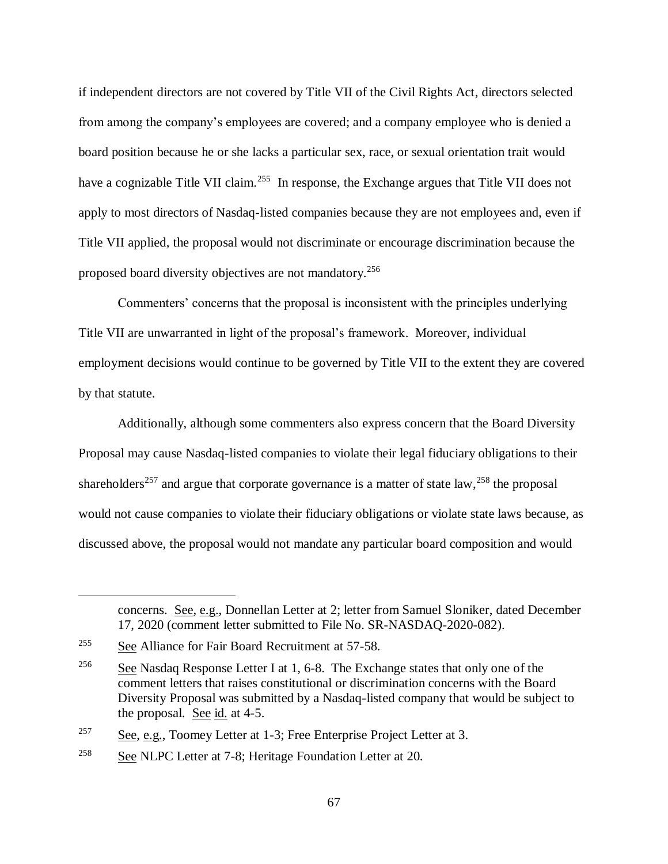if independent directors are not covered by Title VII of the Civil Rights Act, directors selected from among the company's employees are covered; and a company employee who is denied a board position because he or she lacks a particular sex, race, or sexual orientation trait would have a cognizable Title VII claim.<sup>255</sup> In response, the Exchange argues that Title VII does not apply to most directors of Nasdaq-listed companies because they are not employees and, even if Title VII applied, the proposal would not discriminate or encourage discrimination because the proposed board diversity objectives are not mandatory.<sup>256</sup>

Commenters' concerns that the proposal is inconsistent with the principles underlying Title VII are unwarranted in light of the proposal's framework. Moreover, individual employment decisions would continue to be governed by Title VII to the extent they are covered by that statute.

Additionally, although some commenters also express concern that the Board Diversity Proposal may cause Nasdaq-listed companies to violate their legal fiduciary obligations to their shareholders<sup>257</sup> and argue that corporate governance is a matter of state law,  $^{258}$  the proposal would not cause companies to violate their fiduciary obligations or violate state laws because, as discussed above, the proposal would not mandate any particular board composition and would

concerns. See, e.g., Donnellan Letter at 2; letter from Samuel Sloniker, dated December 17, 2020 (comment letter submitted to File No. SR-NASDAQ-2020-082).

<sup>255</sup> See Alliance for Fair Board Recruitment at 57-58.

<sup>&</sup>lt;sup>256</sup> See Nasdaq Response Letter I at 1, 6-8. The Exchange states that only one of the comment letters that raises constitutional or discrimination concerns with the Board Diversity Proposal was submitted by a Nasdaq-listed company that would be subject to the proposal. See  $id$ . at 4-5.

 $\frac{\text{257}}{\text{257}}$  See, e.g., Toomey Letter at 1-3; Free Enterprise Project Letter at 3.

 $258$  See NLPC Letter at 7-8; Heritage Foundation Letter at 20.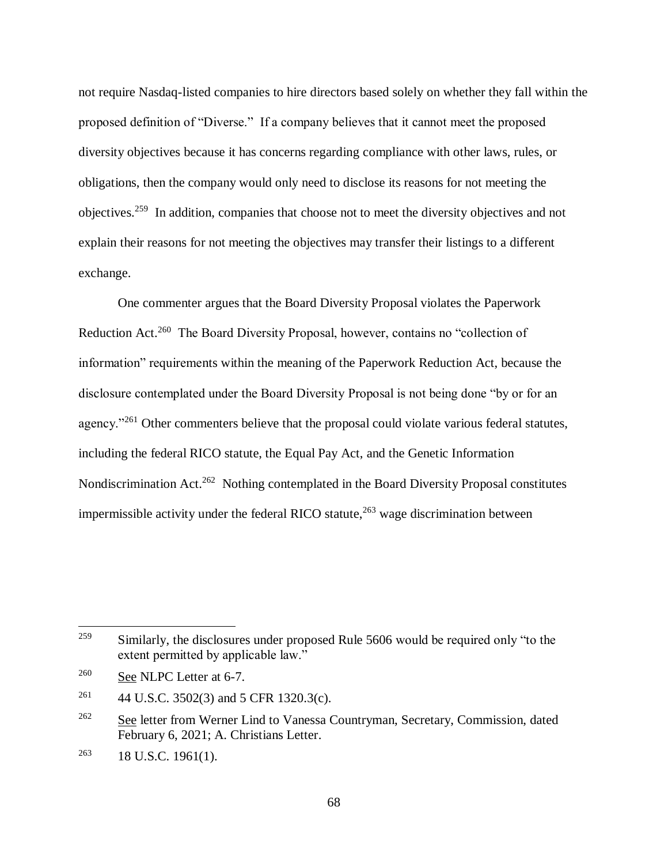not require Nasdaq-listed companies to hire directors based solely on whether they fall within the proposed definition of "Diverse." If a company believes that it cannot meet the proposed diversity objectives because it has concerns regarding compliance with other laws, rules, or obligations, then the company would only need to disclose its reasons for not meeting the objectives.<sup>259</sup> In addition, companies that choose not to meet the diversity objectives and not explain their reasons for not meeting the objectives may transfer their listings to a different exchange.

One commenter argues that the Board Diversity Proposal violates the Paperwork Reduction Act.<sup>260</sup> The Board Diversity Proposal, however, contains no "collection of information" requirements within the meaning of the Paperwork Reduction Act, because the disclosure contemplated under the Board Diversity Proposal is not being done "by or for an agency."<sup>261</sup> Other commenters believe that the proposal could violate various federal statutes, including the federal RICO statute, the Equal Pay Act, and the Genetic Information Nondiscrimination Act.<sup>262</sup> Nothing contemplated in the Board Diversity Proposal constitutes impermissible activity under the federal RICO statute, $^{263}$  wage discrimination between

<sup>&</sup>lt;sup>259</sup> Similarly, the disclosures under proposed Rule 5606 would be required only "to the extent permitted by applicable law."

<sup>260</sup> See NLPC Letter at 6-7.

<sup>&</sup>lt;sup>261</sup> 44 U.S.C. 3502(3) and 5 CFR 1320.3(c).

<sup>&</sup>lt;sup>262</sup> See letter from Werner Lind to Vanessa Countryman, Secretary, Commission, dated February 6, 2021; A. Christians Letter.

 $^{263}$  18 U.S.C. 1961(1).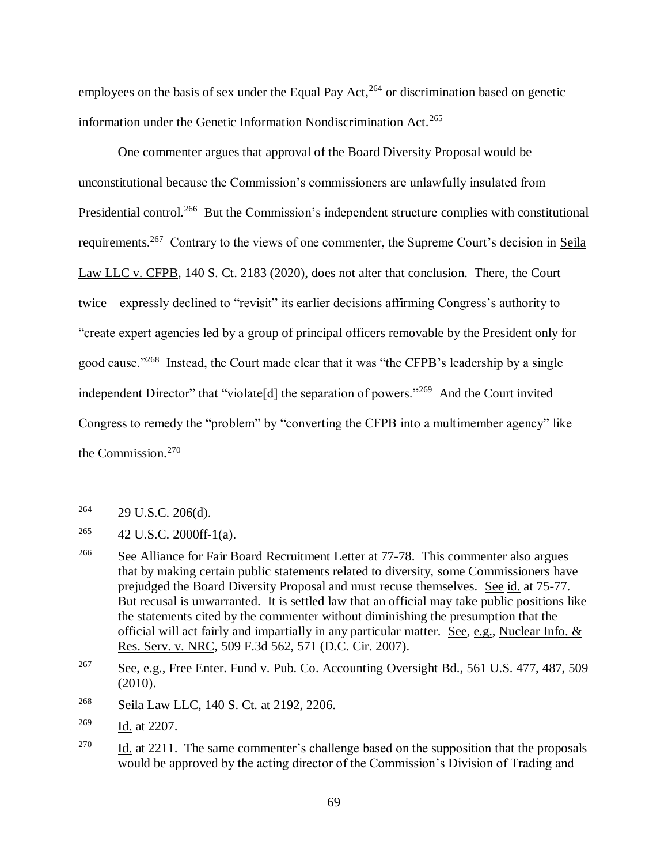employees on the basis of sex under the Equal Pay Act,<sup>264</sup> or discrimination based on genetic information under the Genetic Information Nondiscrimination Act.<sup>265</sup>

One commenter argues that approval of the Board Diversity Proposal would be unconstitutional because the Commission's commissioners are unlawfully insulated from Presidential control.<sup>266</sup> But the Commission's independent structure complies with constitutional requirements.<sup>267</sup> Contrary to the views of one commenter, the Supreme Court's decision in Seila Law LLC v. CFPB, 140 S. Ct. 2183 (2020), does not alter that conclusion. There, the Court twice—expressly declined to "revisit" its earlier decisions affirming Congress's authority to "create expert agencies led by a group of principal officers removable by the President only for good cause."<sup>268</sup> Instead, the Court made clear that it was "the CFPB's leadership by a single independent Director" that "violate<sup>[d]</sup> the separation of powers."<sup>269</sup> And the Court invited Congress to remedy the "problem" by "converting the CFPB into a multimember agency" like the Commission. 270

 $\overline{a}$ 

<sup>268</sup> Seila Law LLC, 140 S. Ct. at 2192, 2206.

 $264$  29 U.S.C. 206(d).

<sup>&</sup>lt;sup>265</sup> 42 U.S.C. 2000ff-1(a).

 $266$  See Alliance for Fair Board Recruitment Letter at 77-78. This commenter also argues that by making certain public statements related to diversity, some Commissioners have prejudged the Board Diversity Proposal and must recuse themselves. See id. at 75-77. But recusal is unwarranted. It is settled law that an official may take public positions like the statements cited by the commenter without diminishing the presumption that the official will act fairly and impartially in any particular matter. See, e.g., Nuclear Info. & Res. Serv. v. NRC, 509 F.3d 562, 571 (D.C. Cir. 2007).

<sup>&</sup>lt;sup>267</sup> See, e.g., Free Enter. Fund v. Pub. Co. Accounting Oversight Bd., 561 U.S. 477, 487, 509 (2010).

<sup>269</sup> Id. at 2207.

<sup>&</sup>lt;sup>270</sup> Id. at 2211. The same commenter's challenge based on the supposition that the proposals would be approved by the acting director of the Commission's Division of Trading and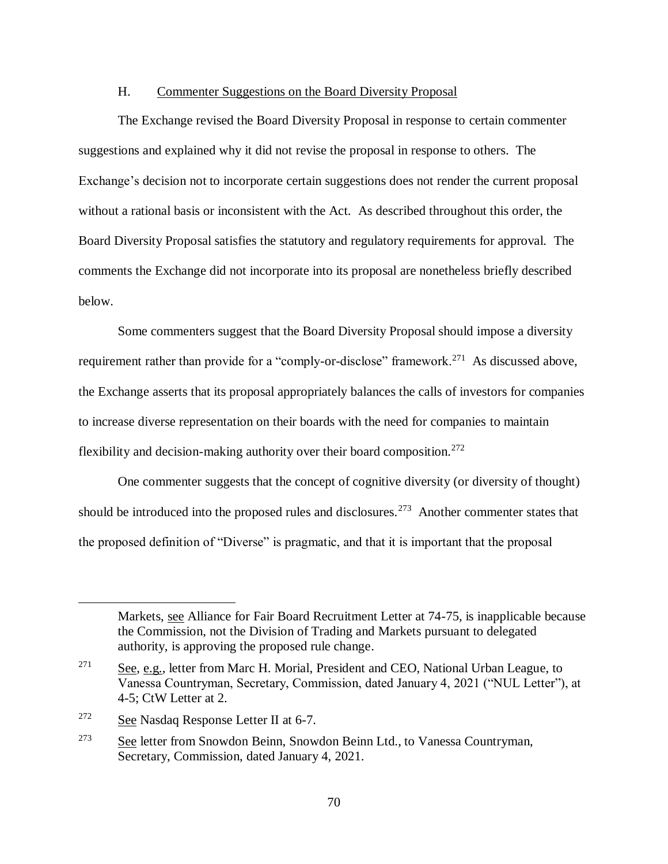## H. Commenter Suggestions on the Board Diversity Proposal

The Exchange revised the Board Diversity Proposal in response to certain commenter suggestions and explained why it did not revise the proposal in response to others. The Exchange's decision not to incorporate certain suggestions does not render the current proposal without a rational basis or inconsistent with the Act. As described throughout this order, the Board Diversity Proposal satisfies the statutory and regulatory requirements for approval. The comments the Exchange did not incorporate into its proposal are nonetheless briefly described below.

Some commenters suggest that the Board Diversity Proposal should impose a diversity requirement rather than provide for a "comply-or-disclose" framework.<sup>271</sup> As discussed above, the Exchange asserts that its proposal appropriately balances the calls of investors for companies to increase diverse representation on their boards with the need for companies to maintain flexibility and decision-making authority over their board composition.<sup>272</sup>

One commenter suggests that the concept of cognitive diversity (or diversity of thought) should be introduced into the proposed rules and disclosures.<sup>273</sup> Another commenter states that the proposed definition of "Diverse" is pragmatic, and that it is important that the proposal

Markets, see Alliance for Fair Board Recruitment Letter at 74-75, is inapplicable because the Commission, not the Division of Trading and Markets pursuant to delegated authority, is approving the proposed rule change.

<sup>&</sup>lt;sup>271</sup> See, e.g., letter from Marc H. Morial, President and CEO, National Urban League, to Vanessa Countryman, Secretary, Commission, dated January 4, 2021 ("NUL Letter"), at 4-5; CtW Letter at 2.

 $272$  See Nasdaq Response Letter II at 6-7.

<sup>&</sup>lt;sup>273</sup> See letter from Snowdon Beinn, Snowdon Beinn Ltd., to Vanessa Countryman, Secretary, Commission, dated January 4, 2021.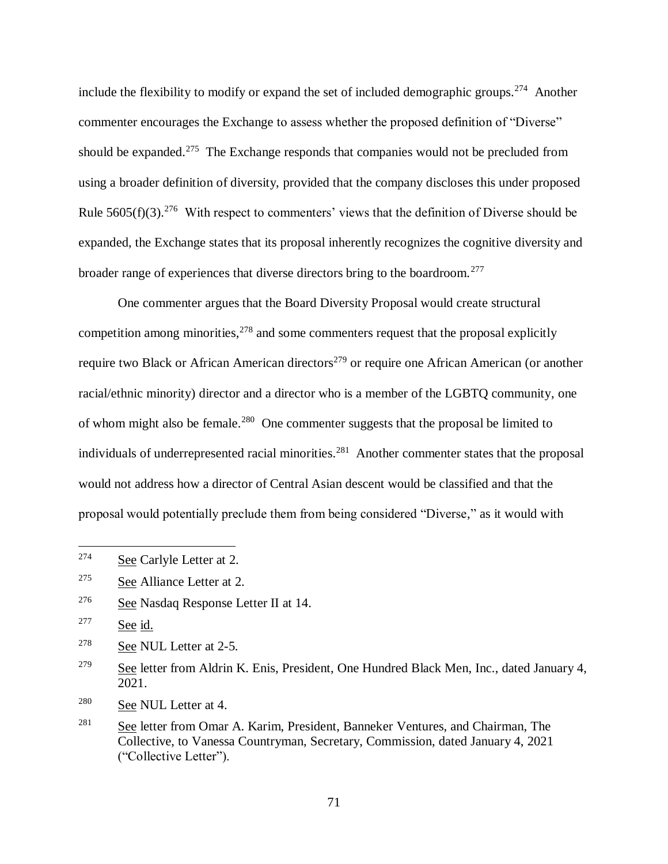include the flexibility to modify or expand the set of included demographic groups.<sup>274</sup> Another commenter encourages the Exchange to assess whether the proposed definition of "Diverse" should be expanded.<sup>275</sup> The Exchange responds that companies would not be precluded from using a broader definition of diversity, provided that the company discloses this under proposed Rule  $5605(f)(3)$ .<sup>276</sup> With respect to commenters' views that the definition of Diverse should be expanded, the Exchange states that its proposal inherently recognizes the cognitive diversity and broader range of experiences that diverse directors bring to the boardroom.<sup>277</sup>

One commenter argues that the Board Diversity Proposal would create structural competition among minorities,  $278$  and some commenters request that the proposal explicitly require two Black or African American directors<sup>279</sup> or require one African American (or another racial/ethnic minority) director and a director who is a member of the LGBTQ community, one of whom might also be female.<sup>280</sup> One commenter suggests that the proposal be limited to individuals of underrepresented racial minorities.<sup>281</sup> Another commenter states that the proposal would not address how a director of Central Asian descent would be classified and that the proposal would potentially preclude them from being considered "Diverse," as it would with

<sup>274</sup> See Carlyle Letter at 2.

<sup>275</sup> See Alliance Letter at 2.

<sup>276</sup> See Nasdaq Response Letter II at 14.

<sup>277</sup> See id.

<sup>278</sup> See NUL Letter at 2-5.

<sup>&</sup>lt;sup>279</sup> See letter from Aldrin K. Enis, President, One Hundred Black Men, Inc., dated January 4, 2021.

<sup>280</sup> See NUL Letter at 4.

 $281$  See letter from Omar A. Karim, President, Banneker Ventures, and Chairman, The Collective, to Vanessa Countryman, Secretary, Commission, dated January 4, 2021 ("Collective Letter").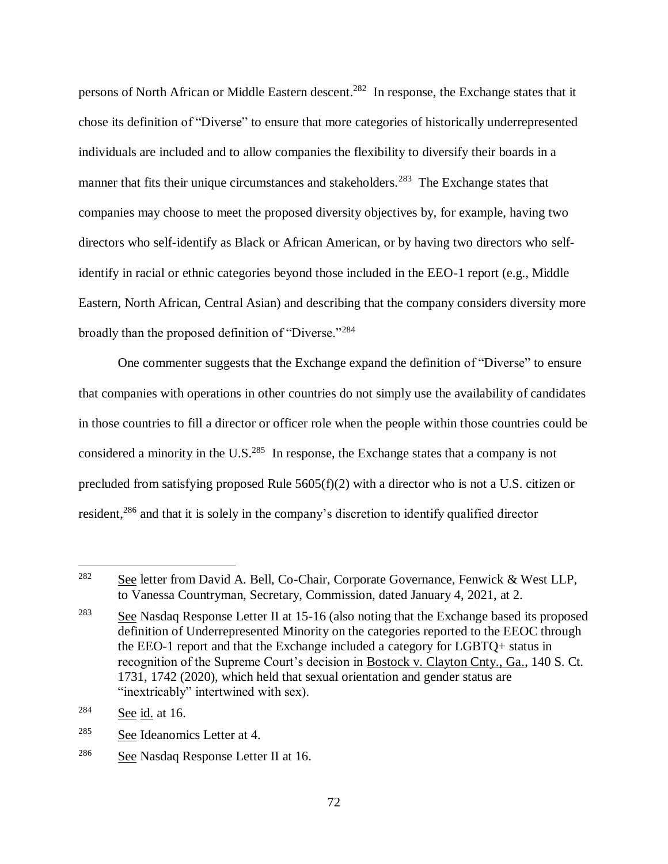persons of North African or Middle Eastern descent.<sup>282</sup> In response, the Exchange states that it chose its definition of "Diverse" to ensure that more categories of historically underrepresented individuals are included and to allow companies the flexibility to diversify their boards in a manner that fits their unique circumstances and stakeholders.<sup>283</sup> The Exchange states that companies may choose to meet the proposed diversity objectives by, for example, having two directors who self-identify as Black or African American, or by having two directors who selfidentify in racial or ethnic categories beyond those included in the EEO-1 report (e.g., Middle Eastern, North African, Central Asian) and describing that the company considers diversity more broadly than the proposed definition of "Diverse."<sup>284</sup>

One commenter suggests that the Exchange expand the definition of "Diverse" to ensure that companies with operations in other countries do not simply use the availability of candidates in those countries to fill a director or officer role when the people within those countries could be considered a minority in the U.S.<sup>285</sup> In response, the Exchange states that a company is not precluded from satisfying proposed Rule 5605(f)(2) with a director who is not a U.S. citizen or resident,<sup>286</sup> and that it is solely in the company's discretion to identify qualified director

<sup>282</sup> See letter from David A. Bell, Co-Chair, Corporate Governance, Fenwick & West LLP, to Vanessa Countryman, Secretary, Commission, dated January 4, 2021, at 2.

<sup>&</sup>lt;sup>283</sup> See Nasdaq Response Letter II at 15-16 (also noting that the Exchange based its proposed definition of Underrepresented Minority on the categories reported to the EEOC through the EEO-1 report and that the Exchange included a category for LGBTQ+ status in recognition of the Supreme Court's decision in Bostock v. Clayton Cnty., Ga., 140 S. Ct. 1731, 1742 (2020), which held that sexual orientation and gender status are "inextricably" intertwined with sex).

 $284$  See id. at 16.

<sup>285</sup> See Ideanomics Letter at 4.

<sup>286</sup> See Nasdaq Response Letter II at 16.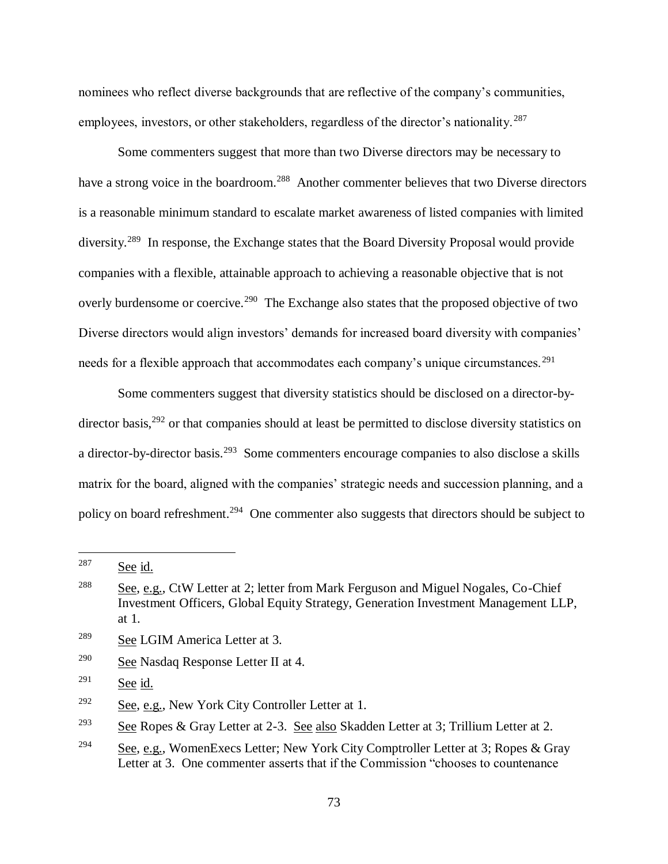nominees who reflect diverse backgrounds that are reflective of the company's communities, employees, investors, or other stakeholders, regardless of the director's nationality.<sup>287</sup>

Some commenters suggest that more than two Diverse directors may be necessary to have a strong voice in the boardroom.<sup>288</sup> Another commenter believes that two Diverse directors is a reasonable minimum standard to escalate market awareness of listed companies with limited diversity.<sup>289</sup> In response, the Exchange states that the Board Diversity Proposal would provide companies with a flexible, attainable approach to achieving a reasonable objective that is not overly burdensome or coercive.<sup>290</sup> The Exchange also states that the proposed objective of two Diverse directors would align investors' demands for increased board diversity with companies' needs for a flexible approach that accommodates each company's unique circumstances.<sup>291</sup>

Some commenters suggest that diversity statistics should be disclosed on a director-bydirector basis,<sup>292</sup> or that companies should at least be permitted to disclose diversity statistics on a director-by-director basis.<sup>293</sup> Some commenters encourage companies to also disclose a skills matrix for the board, aligned with the companies' strategic needs and succession planning, and a policy on board refreshment.<sup>294</sup> One commenter also suggests that directors should be subject to

 $291$  See id.

<sup>287</sup> See id.

<sup>288</sup> See, e.g., CtW Letter at 2; letter from Mark Ferguson and Miguel Nogales, Co-Chief Investment Officers, Global Equity Strategy, Generation Investment Management LLP, at 1.

<sup>289</sup> See LGIM America Letter at 3.

<sup>290</sup> See Nasdaq Response Letter II at 4.

 $292$  See, e.g., New York City Controller Letter at 1.

<sup>&</sup>lt;sup>293</sup> See Ropes & Gray Letter at 2-3. See also Skadden Letter at 3; Trillium Letter at 2.

<sup>&</sup>lt;sup>294</sup> See, e.g., WomenExecs Letter; New York City Comptroller Letter at 3; Ropes & Gray Letter at 3. One commenter asserts that if the Commission "chooses to countenance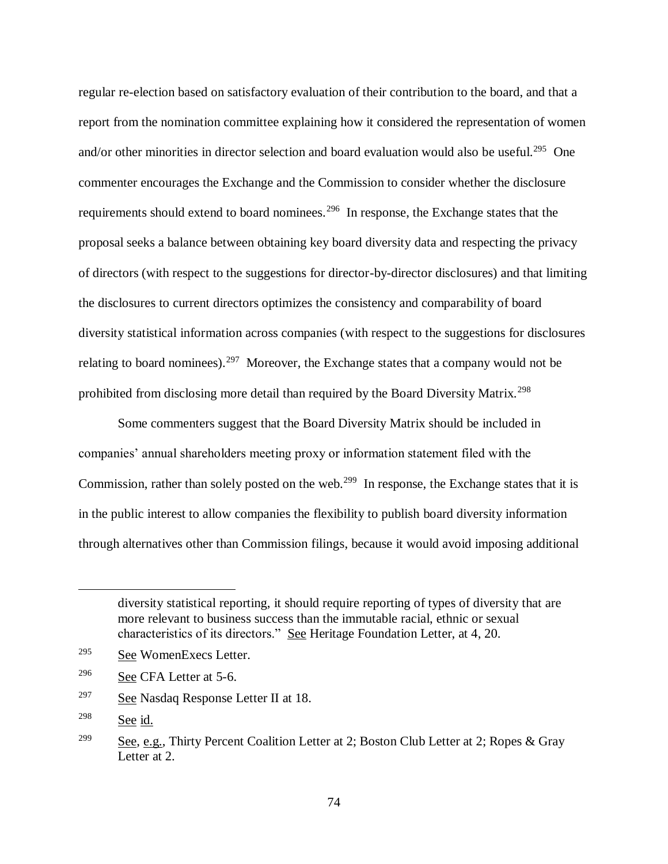regular re-election based on satisfactory evaluation of their contribution to the board, and that a report from the nomination committee explaining how it considered the representation of women and/or other minorities in director selection and board evaluation would also be useful.<sup>295</sup> One commenter encourages the Exchange and the Commission to consider whether the disclosure requirements should extend to board nominees.<sup>296</sup> In response, the Exchange states that the proposal seeks a balance between obtaining key board diversity data and respecting the privacy of directors (with respect to the suggestions for director-by-director disclosures) and that limiting the disclosures to current directors optimizes the consistency and comparability of board diversity statistical information across companies (with respect to the suggestions for disclosures relating to board nominees).<sup>297</sup> Moreover, the Exchange states that a company would not be prohibited from disclosing more detail than required by the Board Diversity Matrix.<sup>298</sup>

Some commenters suggest that the Board Diversity Matrix should be included in companies' annual shareholders meeting proxy or information statement filed with the Commission, rather than solely posted on the web.<sup>299</sup> In response, the Exchange states that it is in the public interest to allow companies the flexibility to publish board diversity information through alternatives other than Commission filings, because it would avoid imposing additional

diversity statistical reporting, it should require reporting of types of diversity that are more relevant to business success than the immutable racial, ethnic or sexual characteristics of its directors." See Heritage Foundation Letter, at 4, 20.

<sup>295</sup> See WomenExecs Letter.

<sup>296</sup> See CFA Letter at 5-6.

<sup>297</sup> See Nasdaq Response Letter II at 18.

 $298$  See id.

<sup>&</sup>lt;sup>299</sup> See, e.g., Thirty Percent Coalition Letter at 2; Boston Club Letter at 2; Ropes & Gray Letter at 2.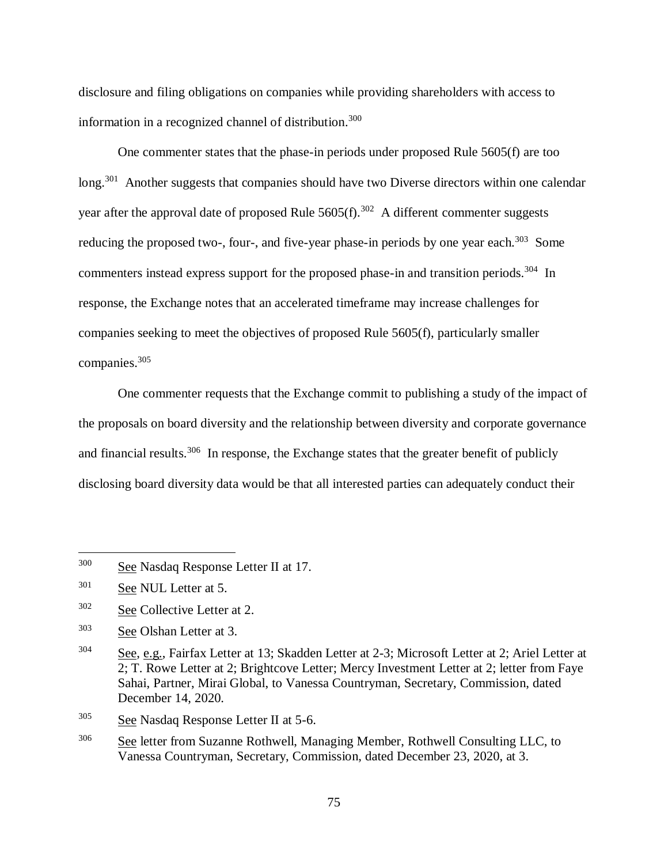disclosure and filing obligations on companies while providing shareholders with access to information in a recognized channel of distribution.<sup>300</sup>

One commenter states that the phase-in periods under proposed Rule 5605(f) are too long.<sup>301</sup> Another suggests that companies should have two Diverse directors within one calendar year after the approval date of proposed Rule  $5605(f)$ .<sup>302</sup> A different commenter suggests reducing the proposed two-, four-, and five-year phase-in periods by one year each.<sup>303</sup> Some commenters instead express support for the proposed phase-in and transition periods.<sup>304</sup> In response, the Exchange notes that an accelerated timeframe may increase challenges for companies seeking to meet the objectives of proposed Rule 5605(f), particularly smaller companies. 305

One commenter requests that the Exchange commit to publishing a study of the impact of the proposals on board diversity and the relationship between diversity and corporate governance and financial results.<sup>306</sup> In response, the Exchange states that the greater benefit of publicly disclosing board diversity data would be that all interested parties can adequately conduct their

<sup>300</sup> See Nasdaq Response Letter II at 17.

<sup>301</sup> See NUL Letter at 5.

<sup>302</sup> See Collective Letter at 2.

<sup>303</sup> See Olshan Letter at 3.

<sup>304</sup> See, e.g., Fairfax Letter at 13; Skadden Letter at 2-3; Microsoft Letter at 2; Ariel Letter at 2; T. Rowe Letter at 2; Brightcove Letter; Mercy Investment Letter at 2; letter from Faye Sahai, Partner, Mirai Global, to Vanessa Countryman, Secretary, Commission, dated December 14, 2020.

<sup>305</sup> See Nasdaq Response Letter II at 5-6.

<sup>&</sup>lt;sup>306</sup> See letter from Suzanne Rothwell, Managing Member, Rothwell Consulting LLC, to Vanessa Countryman, Secretary, Commission, dated December 23, 2020, at 3.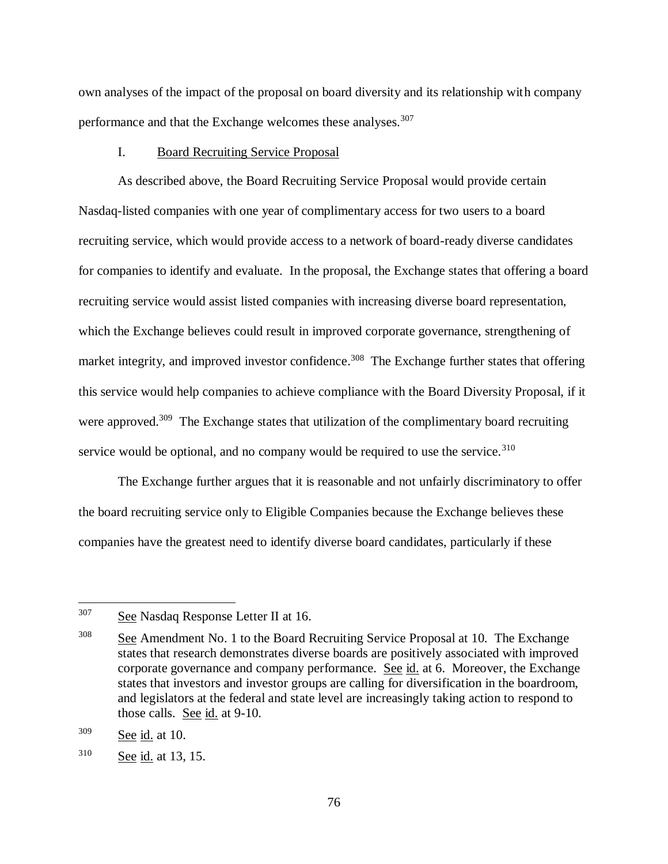own analyses of the impact of the proposal on board diversity and its relationship with company performance and that the Exchange welcomes these analyses.<sup>307</sup>

## I. Board Recruiting Service Proposal

As described above, the Board Recruiting Service Proposal would provide certain Nasdaq-listed companies with one year of complimentary access for two users to a board recruiting service, which would provide access to a network of board-ready diverse candidates for companies to identify and evaluate. In the proposal, the Exchange states that offering a board recruiting service would assist listed companies with increasing diverse board representation, which the Exchange believes could result in improved corporate governance, strengthening of market integrity, and improved investor confidence.<sup>308</sup> The Exchange further states that offering this service would help companies to achieve compliance with the Board Diversity Proposal, if it were approved.<sup>309</sup> The Exchange states that utilization of the complimentary board recruiting service would be optional, and no company would be required to use the service.<sup>310</sup>

<span id="page-75-0"></span>The Exchange further argues that it is reasonable and not unfairly discriminatory to offer the board recruiting service only to Eligible Companies because the Exchange believes these companies have the greatest need to identify diverse board candidates, particularly if these

<sup>&</sup>lt;sup>307</sup> See Nasdaq Response Letter II at 16.

 $308$  See Amendment No. 1 to the Board Recruiting Service Proposal at 10. The Exchange states that research demonstrates diverse boards are positively associated with improved corporate governance and company performance. See id. at 6. Moreover, the Exchange states that investors and investor groups are calling for diversification in the boardroom, and legislators at the federal and state level are increasingly taking action to respond to those calls. See id. at 9-10.

<sup>309</sup> See id. at 10.

<sup>310</sup> See id. at 13, 15.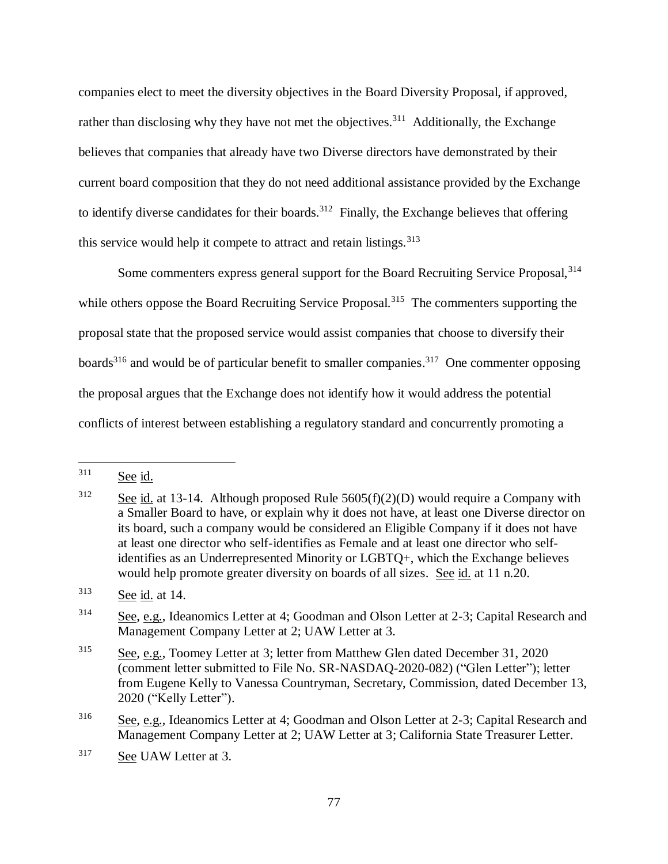companies elect to meet the diversity objectives in the Board Diversity Proposal, if approved, rather than disclosing why they have not met the objectives.<sup>311</sup> Additionally, the Exchange believes that companies that already have two Diverse directors have demonstrated by their current board composition that they do not need additional assistance provided by the Exchange to identify diverse candidates for their boards.<sup>312</sup> Finally, the Exchange believes that offering this service would help it compete to attract and retain listings.  $313$ 

Some commenters express general support for the Board Recruiting Service Proposal, <sup>314</sup> while others oppose the Board Recruiting Service Proposal.<sup>315</sup> The commenters supporting the proposal state that the proposed service would assist companies that choose to diversify their boards<sup>316</sup> and would be of particular benefit to smaller companies.<sup>317</sup> One commenter opposing the proposal argues that the Exchange does not identify how it would address the potential conflicts of interest between establishing a regulatory standard and concurrently promoting a

<sup>311</sup> See id.

<sup>&</sup>lt;sup>312</sup> See id. at 13-14. Although proposed Rule  $5605(f)(2)(D)$  would require a Company with a Smaller Board to have, or explain why it does not have, at least one Diverse director on its board, such a company would be considered an Eligible Company if it does not have at least one director who self-identifies as Female and at least one director who selfidentifies as an Underrepresented Minority or LGBTQ+, which the Exchange believes would help promote greater diversity on boards of all sizes. See id. at 11 n.20.

<sup>313</sup> See id. at 14.

 $314$  See, e.g., Ideanomics Letter at 4; Goodman and Olson Letter at 2-3; Capital Research and Management Company Letter at 2; UAW Letter at 3.

<sup>315</sup> See, e.g., Toomey Letter at 3; letter from Matthew Glen dated December 31, 2020 (comment letter submitted to File No. SR-NASDAQ-2020-082) ("Glen Letter"); letter from Eugene Kelly to Vanessa Countryman, Secretary, Commission, dated December 13, 2020 ("Kelly Letter").

<sup>&</sup>lt;sup>316</sup> See, e.g., Ideanomics Letter at 4; Goodman and Olson Letter at 2-3; Capital Research and Management Company Letter at 2; UAW Letter at 3; California State Treasurer Letter.

<sup>317</sup> See UAW Letter at 3.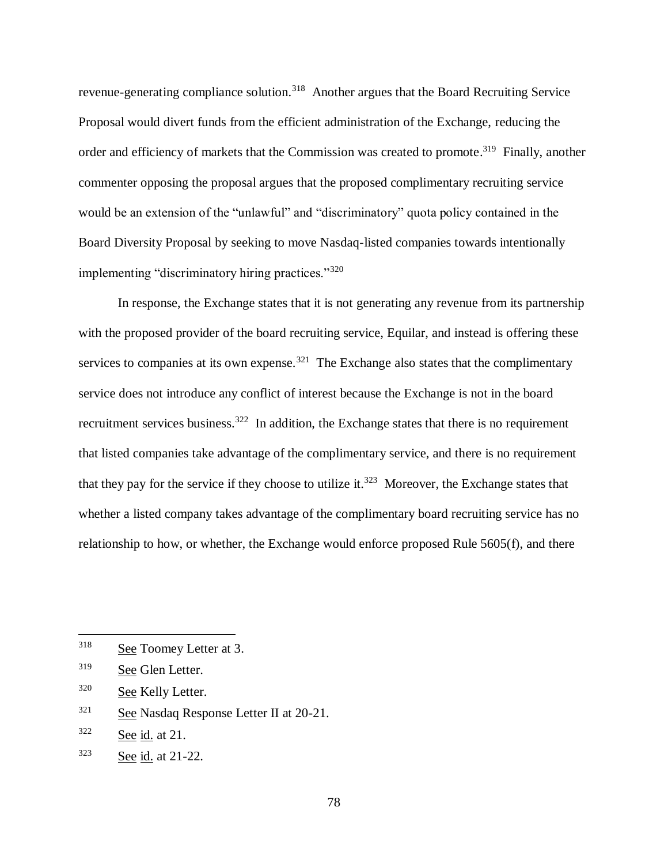revenue-generating compliance solution.<sup>318</sup> Another argues that the Board Recruiting Service Proposal would divert funds from the efficient administration of the Exchange, reducing the order and efficiency of markets that the Commission was created to promote.<sup>319</sup> Finally, another commenter opposing the proposal argues that the proposed complimentary recruiting service would be an extension of the "unlawful" and "discriminatory" quota policy contained in the Board Diversity Proposal by seeking to move Nasdaq-listed companies towards intentionally implementing "discriminatory hiring practices."<sup>320</sup>

<span id="page-77-1"></span><span id="page-77-0"></span>In response, the Exchange states that it is not generating any revenue from its partnership with the proposed provider of the board recruiting service, Equilar, and instead is offering these services to companies at its own expense.<sup>321</sup> The Exchange also states that the complimentary service does not introduce any conflict of interest because the Exchange is not in the board recruitment services business.<sup>322</sup> In addition, the Exchange states that there is no requirement that listed companies take advantage of the complimentary service, and there is no requirement that they pay for the service if they choose to utilize it.<sup>323</sup> Moreover, the Exchange states that whether a listed company takes advantage of the complimentary board recruiting service has no relationship to how, or whether, the Exchange would enforce proposed Rule 5605(f), and there

<sup>318</sup> See Toomey Letter at 3.

<sup>&</sup>lt;sup>319</sup> See Glen Letter.

<sup>320</sup> See Kelly Letter.

 $321$  See Nasdaq Response Letter II at 20-21.

<sup>322</sup> See id. at 21.

<sup>323</sup> See id. at 21-22.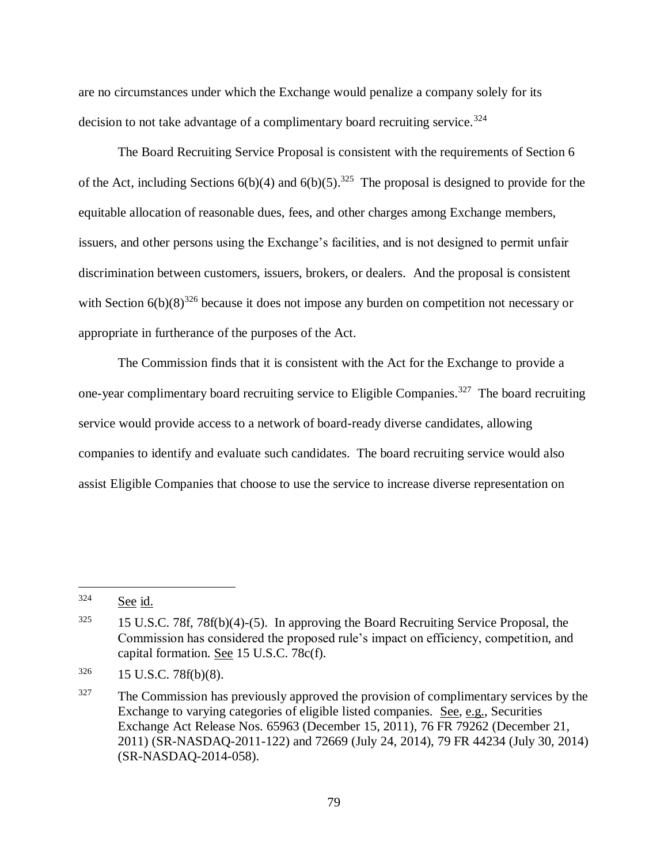<span id="page-78-0"></span>are no circumstances under which the Exchange would penalize a company solely for its decision to not take advantage of a complimentary board recruiting service.<sup>324</sup>

The Board Recruiting Service Proposal is consistent with the requirements of Section 6 of the Act, including Sections  $6(b)(4)$  and  $6(b)(5)$ .<sup>325</sup> The proposal is designed to provide for the equitable allocation of reasonable dues, fees, and other charges among Exchange members, issuers, and other persons using the Exchange's facilities, and is not designed to permit unfair discrimination between customers, issuers, brokers, or dealers. And the proposal is consistent with Section  $6(b)(8)^{326}$  because it does not impose any burden on competition not necessary or appropriate in furtherance of the purposes of the Act.

The Commission finds that it is consistent with the Act for the Exchange to provide a one-year complimentary board recruiting service to Eligible Companies.<sup>327</sup> The board recruiting service would provide access to a network of board-ready diverse candidates, allowing companies to identify and evaluate such candidates. The board recruiting service would also assist Eligible Companies that choose to use the service to increase diverse representation on

<sup>324</sup> See id.

<sup>&</sup>lt;sup>325</sup> 15 U.S.C. 78f, 78f(b)(4)-(5). In approving the Board Recruiting Service Proposal, the Commission has considered the proposed rule's impact on efficiency, competition, and capital formation. See 15 U.S.C. 78c(f).

 $326$  15 U.S.C. 78f(b)(8).

 $327$  The Commission has previously approved the provision of complimentary services by the Exchange to varying categories of eligible listed companies. See, e.g., Securities Exchange Act Release Nos. 65963 (December 15, 2011), 76 FR 79262 (December 21, 2011) (SR-NASDAQ-2011-122) and 72669 (July 24, 2014), 79 FR 44234 (July 30, 2014) (SR-NASDAQ-2014-058).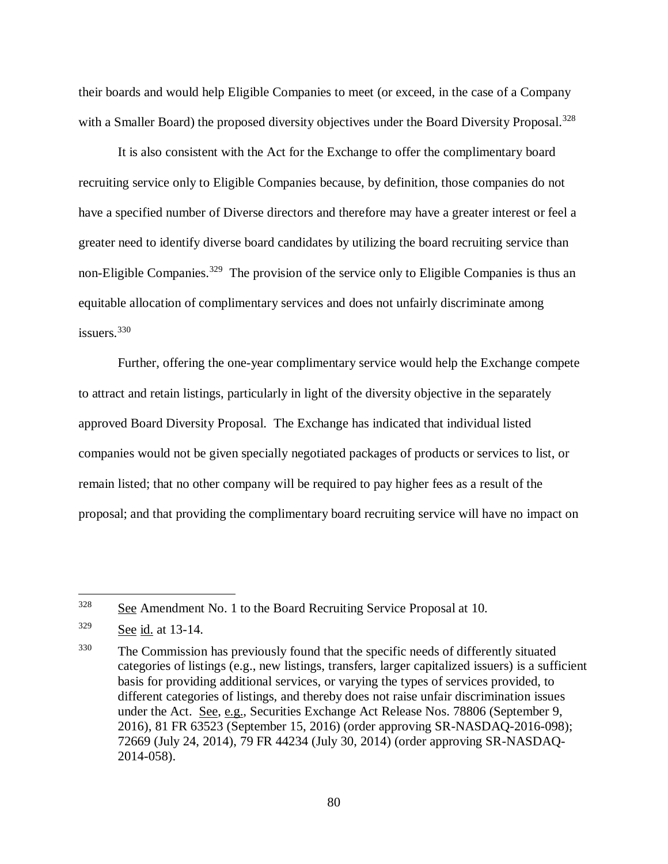their boards and would help Eligible Companies to meet (or exceed, in the case of a Company with a Smaller Board) the proposed diversity objectives under the Board Diversity Proposal.<sup>328</sup>

It is also consistent with the Act for the Exchange to offer the complimentary board recruiting service only to Eligible Companies because, by definition, those companies do not have a specified number of Diverse directors and therefore may have a greater interest or feel a greater need to identify diverse board candidates by utilizing the board recruiting service than non-Eligible Companies.<sup>329</sup> The provision of the service only to Eligible Companies is thus an equitable allocation of complimentary services and does not unfairly discriminate among issuers.<sup>330</sup>

Further, offering the one-year complimentary service would help the Exchange compete to attract and retain listings, particularly in light of the diversity objective in the separately approved Board Diversity Proposal. The Exchange has indicated that individual listed companies would not be given specially negotiated packages of products or services to list, or remain listed; that no other company will be required to pay higher fees as a result of the proposal; and that providing the complimentary board recruiting service will have no impact on

<sup>&</sup>lt;sup>328</sup> See Amendment No. 1 to the Board Recruiting Service Proposal at 10.

 $329$  See id. at 13-14.

<sup>&</sup>lt;sup>330</sup> The Commission has previously found that the specific needs of differently situated categories of listings (e.g., new listings, transfers, larger capitalized issuers) is a sufficient basis for providing additional services, or varying the types of services provided, to different categories of listings, and thereby does not raise unfair discrimination issues under the Act. See, e.g., Securities Exchange Act Release Nos. 78806 (September 9, 2016), 81 FR 63523 (September 15, 2016) (order approving SR-NASDAQ-2016-098); 72669 (July 24, 2014), 79 FR 44234 (July 30, 2014) (order approving SR-NASDAQ-2014-058).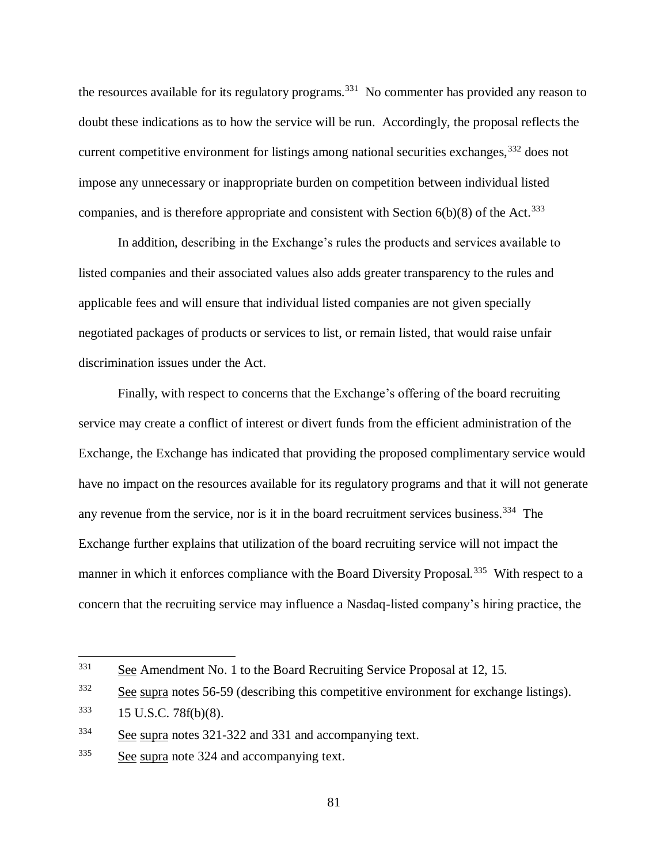<span id="page-80-0"></span>the resources available for its regulatory programs.<sup>331</sup> No commenter has provided any reason to doubt these indications as to how the service will be run. Accordingly, the proposal reflects the current competitive environment for listings among national securities exchanges,<sup>332</sup> does not impose any unnecessary or inappropriate burden on competition between individual listed companies, and is therefore appropriate and consistent with Section  $6(b)(8)$  of the Act.<sup>333</sup>

In addition, describing in the Exchange's rules the products and services available to listed companies and their associated values also adds greater transparency to the rules and applicable fees and will ensure that individual listed companies are not given specially negotiated packages of products or services to list, or remain listed, that would raise unfair discrimination issues under the Act.

Finally, with respect to concerns that the Exchange's offering of the board recruiting service may create a conflict of interest or divert funds from the efficient administration of the Exchange, the Exchange has indicated that providing the proposed complimentary service would have no impact on the resources available for its regulatory programs and that it will not generate any revenue from the service, nor is it in the board recruitment services business.<sup>334</sup> The Exchange further explains that utilization of the board recruiting service will not impact the manner in which it enforces compliance with the Board Diversity Proposal.<sup>335</sup> With respect to a concern that the recruiting service may influence a Nasdaq-listed company's hiring practice, the

<sup>331</sup> See Amendment No. 1 to the Board Recruiting Service Proposal at 12, 15.

<sup>&</sup>lt;sup>332</sup> See supra notes [56](#page-16-0)[-59](#page-17-0) (describing this competitive environment for exchange listings).

 $333$  15 U.S.C. 78f(b)(8).

<sup>&</sup>lt;sup>334</sup> See supra notes [321](#page-77-0)[-322](#page-77-1) and [331](#page-80-0) and accompanying text.

<sup>335</sup> See supra note [324](#page-78-0) and accompanying text.